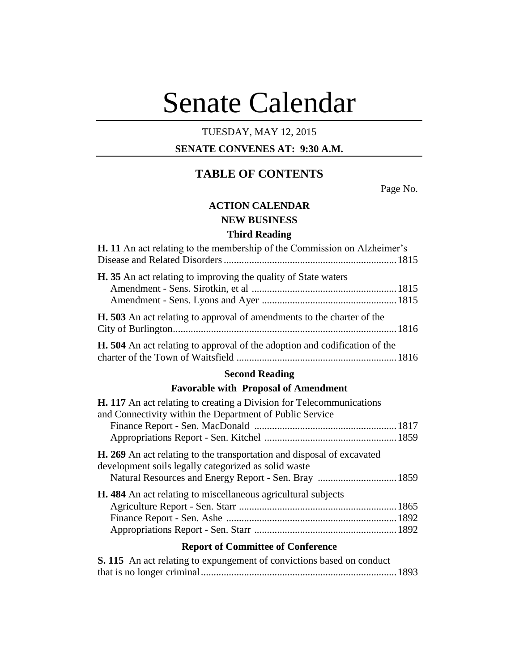# Senate Calendar

## TUESDAY, MAY 12, 2015

#### **SENATE CONVENES AT: 9:30 A.M.**

## **TABLE OF CONTENTS**

Page No.

## **ACTION CALENDAR NEW BUSINESS**

#### **Third Reading**

| <b>H.</b> 11 An act relating to the membership of the Commission on Alzheimer's   |  |
|-----------------------------------------------------------------------------------|--|
| <b>H.</b> 35 An act relating to improving the quality of State waters             |  |
| <b>H.</b> 503 An act relating to approval of amendments to the charter of the     |  |
| <b>H.</b> 504 An act relating to approval of the adoption and codification of the |  |

#### **Second Reading**

#### **Favorable with Proposal of Amendment**

| <b>H. 117</b> An act relating to creating a Division for Telecommunications                                                           |  |
|---------------------------------------------------------------------------------------------------------------------------------------|--|
| and Connectivity within the Department of Public Service                                                                              |  |
|                                                                                                                                       |  |
|                                                                                                                                       |  |
| <b>H. 269</b> An act relating to the transportation and disposal of excavated<br>development soils legally categorized as solid waste |  |
| <b>H.</b> 484 An act relating to miscellaneous agricultural subjects                                                                  |  |
|                                                                                                                                       |  |
|                                                                                                                                       |  |
|                                                                                                                                       |  |
| Report of Committee of Conference                                                                                                     |  |

#### **Report of Committee of Conference**

| S. 115 An act relating to expungement of convictions based on conduct |  |
|-----------------------------------------------------------------------|--|
|                                                                       |  |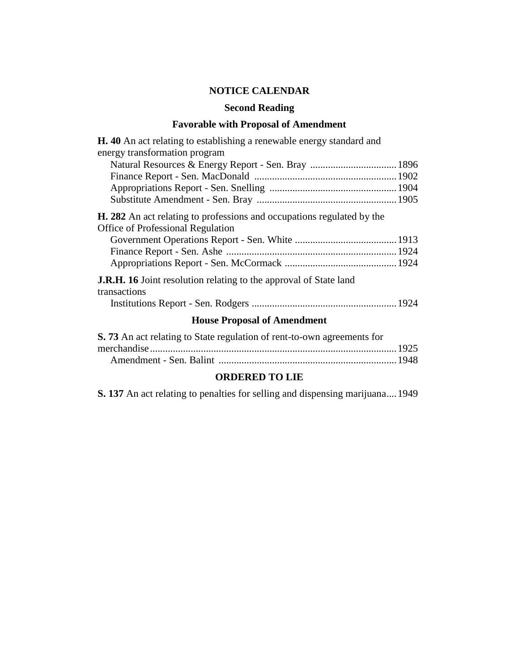## **NOTICE CALENDAR**

#### **Second Reading**

## **Favorable with Proposal of Amendment**<br>in the actual linking a management account that and and

| <b>H.</b> 40 An act relating to establishing a renewable energy standard and                                              |  |  |
|---------------------------------------------------------------------------------------------------------------------------|--|--|
| energy transformation program                                                                                             |  |  |
| Natural Resources & Energy Report - Sen. Bray  1896                                                                       |  |  |
|                                                                                                                           |  |  |
|                                                                                                                           |  |  |
|                                                                                                                           |  |  |
| <b>H. 282</b> An act relating to professions and occupations regulated by the<br><b>Office of Professional Regulation</b> |  |  |
|                                                                                                                           |  |  |
|                                                                                                                           |  |  |
|                                                                                                                           |  |  |
| <b>J.R.H. 16</b> Joint resolution relating to the approval of State land<br>transactions                                  |  |  |
|                                                                                                                           |  |  |
| <b>House Proposal of Amendment</b>                                                                                        |  |  |

| S. 73 An act relating to State regulation of rent-to-own agreements for |  |
|-------------------------------------------------------------------------|--|
|                                                                         |  |
|                                                                         |  |

### **ORDERED TO LIE**

**S. 137** An act relating to penalties for selling and dispensing marijuana....1949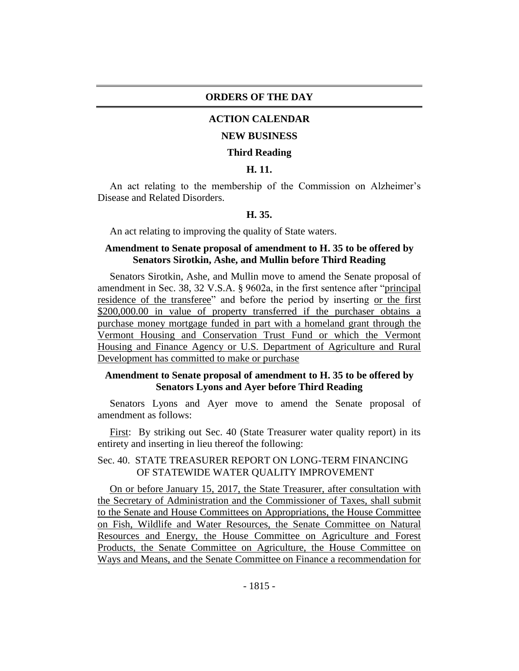#### **ORDERS OF THE DAY**

#### **ACTION CALENDAR**

#### **NEW BUSINESS**

#### **Third Reading**

#### **H. 11.**

An act relating to the membership of the Commission on Alzheimer's Disease and Related Disorders.

#### **H. 35.**

An act relating to improving the quality of State waters.

#### **Amendment to Senate proposal of amendment to H. 35 to be offered by Senators Sirotkin, Ashe, and Mullin before Third Reading**

Senators Sirotkin, Ashe, and Mullin move to amend the Senate proposal of amendment in Sec. 38, 32 V.S.A. § 9602a, in the first sentence after "principal residence of the transferee" and before the period by inserting or the first \$200,000.00 in value of property transferred if the purchaser obtains a purchase money mortgage funded in part with a homeland grant through the Vermont Housing and Conservation Trust Fund or which the Vermont Housing and Finance Agency or U.S. Department of Agriculture and Rural Development has committed to make or purchase

#### **Amendment to Senate proposal of amendment to H. 35 to be offered by Senators Lyons and Ayer before Third Reading**

Senators Lyons and Ayer move to amend the Senate proposal of amendment as follows:

First: By striking out Sec. 40 (State Treasurer water quality report) in its entirety and inserting in lieu thereof the following:

#### Sec. 40. STATE TREASURER REPORT ON LONG-TERM FINANCING OF STATEWIDE WATER QUALITY IMPROVEMENT

On or before January 15, 2017, the State Treasurer, after consultation with the Secretary of Administration and the Commissioner of Taxes, shall submit to the Senate and House Committees on Appropriations, the House Committee on Fish, Wildlife and Water Resources, the Senate Committee on Natural Resources and Energy, the House Committee on Agriculture and Forest Products, the Senate Committee on Agriculture, the House Committee on Ways and Means, and the Senate Committee on Finance a recommendation for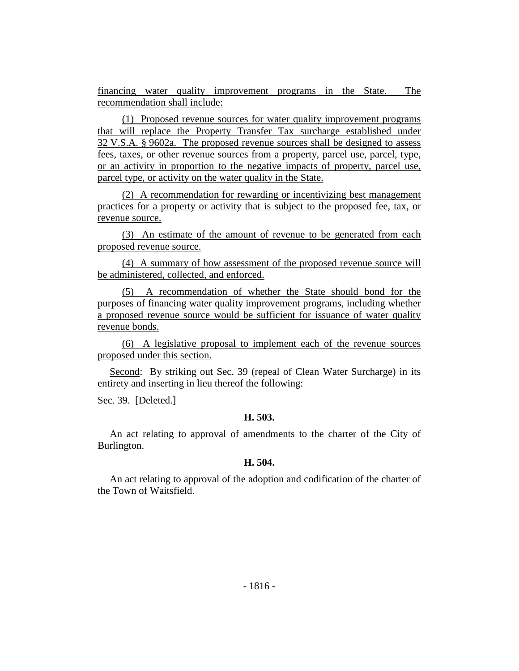financing water quality improvement programs in the State. The recommendation shall include:

(1) Proposed revenue sources for water quality improvement programs that will replace the Property Transfer Tax surcharge established under 32 V.S.A. § 9602a. The proposed revenue sources shall be designed to assess fees, taxes, or other revenue sources from a property, parcel use, parcel, type, or an activity in proportion to the negative impacts of property, parcel use, parcel type, or activity on the water quality in the State.

(2) A recommendation for rewarding or incentivizing best management practices for a property or activity that is subject to the proposed fee, tax, or revenue source.

(3) An estimate of the amount of revenue to be generated from each proposed revenue source.

(4) A summary of how assessment of the proposed revenue source will be administered, collected, and enforced.

(5) A recommendation of whether the State should bond for the purposes of financing water quality improvement programs, including whether a proposed revenue source would be sufficient for issuance of water quality revenue bonds.

(6) A legislative proposal to implement each of the revenue sources proposed under this section.

Second: By striking out Sec. 39 (repeal of Clean Water Surcharge) in its entirety and inserting in lieu thereof the following:

Sec. 39. [Deleted.]

#### **H. 503.**

An act relating to approval of amendments to the charter of the City of Burlington.

#### **H. 504.**

An act relating to approval of the adoption and codification of the charter of the Town of Waitsfield.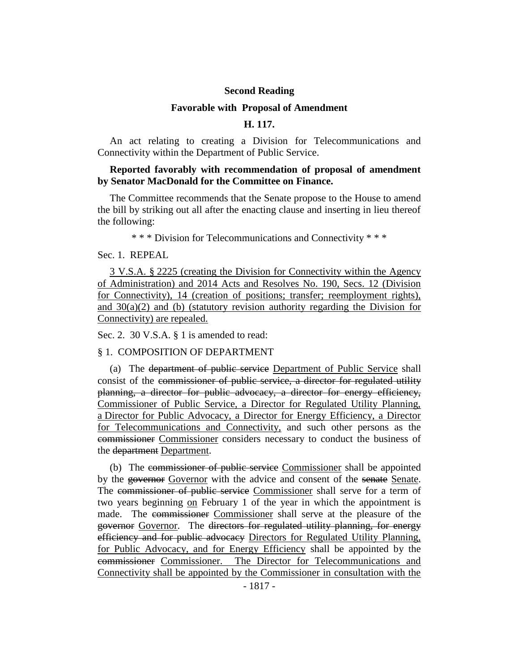#### **Second Reading**

#### **Favorable with Proposal of Amendment**

#### **H. 117.**

An act relating to creating a Division for Telecommunications and Connectivity within the Department of Public Service.

#### **Reported favorably with recommendation of proposal of amendment by Senator MacDonald for the Committee on Finance.**

The Committee recommends that the Senate propose to the House to amend the bill by striking out all after the enacting clause and inserting in lieu thereof the following:

\* \* \* Division for Telecommunications and Connectivity \* \* \*

#### Sec. 1. REPEAL

3 V.S.A. § 2225 (creating the Division for Connectivity within the Agency of Administration) and 2014 Acts and Resolves No. 190, Secs. 12 (Division for Connectivity), 14 (creation of positions; transfer; reemployment rights), and  $30(a)(2)$  and (b) (statutory revision authority regarding the Division for Connectivity) are repealed.

Sec. 2. 30 V.S.A. § 1 is amended to read:

#### § 1. COMPOSITION OF DEPARTMENT

(a) The department of public service Department of Public Service shall consist of the commissioner of public service, a director for regulated utility planning, a director for public advocacy, a director for energy efficiency, Commissioner of Public Service, a Director for Regulated Utility Planning, a Director for Public Advocacy, a Director for Energy Efficiency, a Director for Telecommunications and Connectivity, and such other persons as the commissioner Commissioner considers necessary to conduct the business of the department Department.

(b) The commissioner of public service Commissioner shall be appointed by the governor Governor with the advice and consent of the senate Senate. The commissioner of public service Commissioner shall serve for a term of two years beginning on February 1 of the year in which the appointment is made. The commissioner Commissioner shall serve at the pleasure of the governor Governor. The directors for regulated utility planning, for energy efficiency and for public advocacy Directors for Regulated Utility Planning, for Public Advocacy, and for Energy Efficiency shall be appointed by the commissioner Commissioner. The Director for Telecommunications and Connectivity shall be appointed by the Commissioner in consultation with the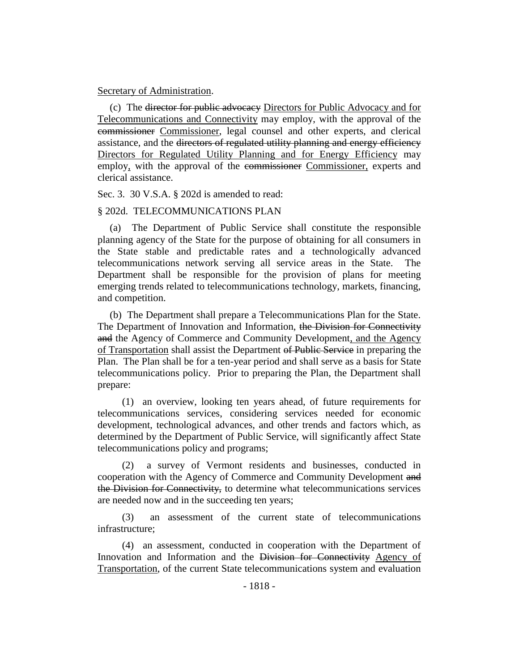#### Secretary of Administration.

(c) The director for public advocacy Directors for Public Advocacy and for Telecommunications and Connectivity may employ, with the approval of the commissioner Commissioner, legal counsel and other experts, and clerical assistance, and the directors of regulated utility planning and energy efficiency Directors for Regulated Utility Planning and for Energy Efficiency may employ, with the approval of the commissioner Commissioner, experts and clerical assistance.

Sec. 3. 30 V.S.A. § 202d is amended to read:

#### § 202d. TELECOMMUNICATIONS PLAN

(a) The Department of Public Service shall constitute the responsible planning agency of the State for the purpose of obtaining for all consumers in the State stable and predictable rates and a technologically advanced telecommunications network serving all service areas in the State. The Department shall be responsible for the provision of plans for meeting emerging trends related to telecommunications technology, markets, financing, and competition.

(b) The Department shall prepare a Telecommunications Plan for the State. The Department of Innovation and Information, the Division for Connectivity and the Agency of Commerce and Community Development, and the Agency of Transportation shall assist the Department of Public Service in preparing the Plan. The Plan shall be for a ten-year period and shall serve as a basis for State telecommunications policy. Prior to preparing the Plan, the Department shall prepare:

(1) an overview, looking ten years ahead, of future requirements for telecommunications services, considering services needed for economic development, technological advances, and other trends and factors which, as determined by the Department of Public Service, will significantly affect State telecommunications policy and programs;

(2) a survey of Vermont residents and businesses, conducted in cooperation with the Agency of Commerce and Community Development and the Division for Connectivity, to determine what telecommunications services are needed now and in the succeeding ten years;

(3) an assessment of the current state of telecommunications infrastructure;

(4) an assessment, conducted in cooperation with the Department of Innovation and Information and the Division for Connectivity Agency of Transportation, of the current State telecommunications system and evaluation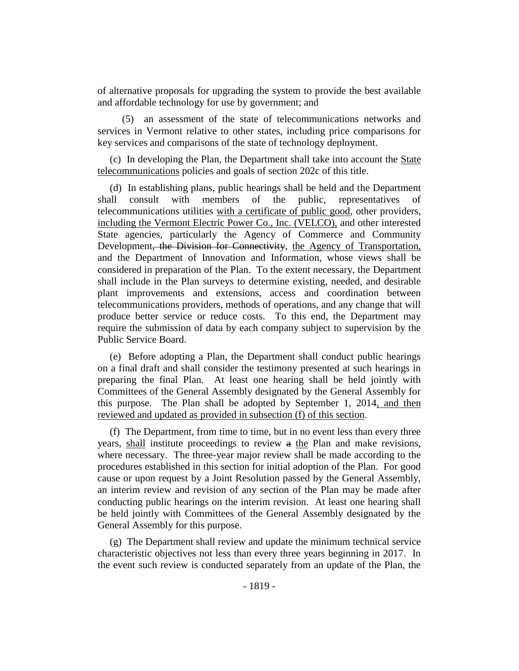of alternative proposals for upgrading the system to provide the best available and affordable technology for use by government; and

(5) an assessment of the state of telecommunications networks and services in Vermont relative to other states, including price comparisons for key services and comparisons of the state of technology deployment.

(c) In developing the Plan, the Department shall take into account the State telecommunications policies and goals of section 202c of this title.

(d) In establishing plans, public hearings shall be held and the Department shall consult with members of the public, representatives of telecommunications utilities with a certificate of public good, other providers, including the Vermont Electric Power Co., Inc. (VELCO), and other interested State agencies, particularly the Agency of Commerce and Community Development, the Division for Connectivity, the Agency of Transportation, and the Department of Innovation and Information, whose views shall be considered in preparation of the Plan. To the extent necessary, the Department shall include in the Plan surveys to determine existing, needed, and desirable plant improvements and extensions, access and coordination between telecommunications providers, methods of operations, and any change that will produce better service or reduce costs. To this end, the Department may require the submission of data by each company subject to supervision by the Public Service Board.

(e) Before adopting a Plan, the Department shall conduct public hearings on a final draft and shall consider the testimony presented at such hearings in preparing the final Plan. At least one hearing shall be held jointly with Committees of the General Assembly designated by the General Assembly for this purpose. The Plan shall be adopted by September 1, 2014, and then reviewed and updated as provided in subsection (f) of this section.

(f) The Department, from time to time, but in no event less than every three years, shall institute proceedings to review a the Plan and make revisions, where necessary. The three-year major review shall be made according to the procedures established in this section for initial adoption of the Plan. For good cause or upon request by a Joint Resolution passed by the General Assembly, an interim review and revision of any section of the Plan may be made after conducting public hearings on the interim revision. At least one hearing shall be held jointly with Committees of the General Assembly designated by the General Assembly for this purpose.

(g) The Department shall review and update the minimum technical service characteristic objectives not less than every three years beginning in 2017. In the event such review is conducted separately from an update of the Plan, the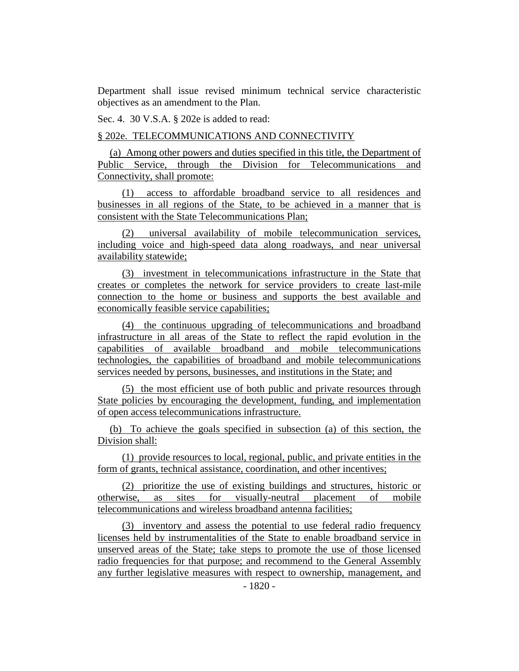Department shall issue revised minimum technical service characteristic objectives as an amendment to the Plan.

Sec. 4. 30 V.S.A. § 202e is added to read:

§ 202e. TELECOMMUNICATIONS AND CONNECTIVITY

(a) Among other powers and duties specified in this title, the Department of Public Service, through the Division for Telecommunications and Connectivity, shall promote:

(1) access to affordable broadband service to all residences and businesses in all regions of the State, to be achieved in a manner that is consistent with the State Telecommunications Plan;

(2) universal availability of mobile telecommunication services, including voice and high-speed data along roadways, and near universal availability statewide;

(3) investment in telecommunications infrastructure in the State that creates or completes the network for service providers to create last-mile connection to the home or business and supports the best available and economically feasible service capabilities;

(4) the continuous upgrading of telecommunications and broadband infrastructure in all areas of the State to reflect the rapid evolution in the capabilities of available broadband and mobile telecommunications technologies, the capabilities of broadband and mobile telecommunications services needed by persons, businesses, and institutions in the State; and

(5) the most efficient use of both public and private resources through State policies by encouraging the development, funding, and implementation of open access telecommunications infrastructure.

(b) To achieve the goals specified in subsection (a) of this section, the Division shall:

(1) provide resources to local, regional, public, and private entities in the form of grants, technical assistance, coordination, and other incentives;

(2) prioritize the use of existing buildings and structures, historic or otherwise, as sites for visually-neutral placement of mobile telecommunications and wireless broadband antenna facilities;

(3) inventory and assess the potential to use federal radio frequency licenses held by instrumentalities of the State to enable broadband service in unserved areas of the State; take steps to promote the use of those licensed radio frequencies for that purpose; and recommend to the General Assembly any further legislative measures with respect to ownership, management, and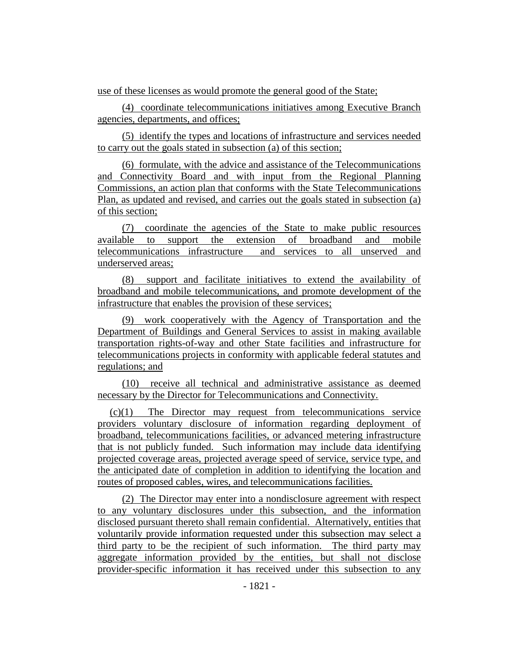use of these licenses as would promote the general good of the State;

(4) coordinate telecommunications initiatives among Executive Branch agencies, departments, and offices;

(5) identify the types and locations of infrastructure and services needed to carry out the goals stated in subsection (a) of this section;

(6) formulate, with the advice and assistance of the Telecommunications and Connectivity Board and with input from the Regional Planning Commissions, an action plan that conforms with the State Telecommunications Plan, as updated and revised, and carries out the goals stated in subsection (a) of this section;

(7) coordinate the agencies of the State to make public resources available to support the extension of broadband and mobile telecommunications infrastructure and services to all unserved and underserved areas;

(8) support and facilitate initiatives to extend the availability of broadband and mobile telecommunications, and promote development of the infrastructure that enables the provision of these services;

(9) work cooperatively with the Agency of Transportation and the Department of Buildings and General Services to assist in making available transportation rights-of-way and other State facilities and infrastructure for telecommunications projects in conformity with applicable federal statutes and regulations; and

(10) receive all technical and administrative assistance as deemed necessary by the Director for Telecommunications and Connectivity.

(c)(1) The Director may request from telecommunications service providers voluntary disclosure of information regarding deployment of broadband, telecommunications facilities, or advanced metering infrastructure that is not publicly funded. Such information may include data identifying projected coverage areas, projected average speed of service, service type, and the anticipated date of completion in addition to identifying the location and routes of proposed cables, wires, and telecommunications facilities.

(2) The Director may enter into a nondisclosure agreement with respect to any voluntary disclosures under this subsection, and the information disclosed pursuant thereto shall remain confidential. Alternatively, entities that voluntarily provide information requested under this subsection may select a third party to be the recipient of such information. The third party may aggregate information provided by the entities, but shall not disclose provider-specific information it has received under this subsection to any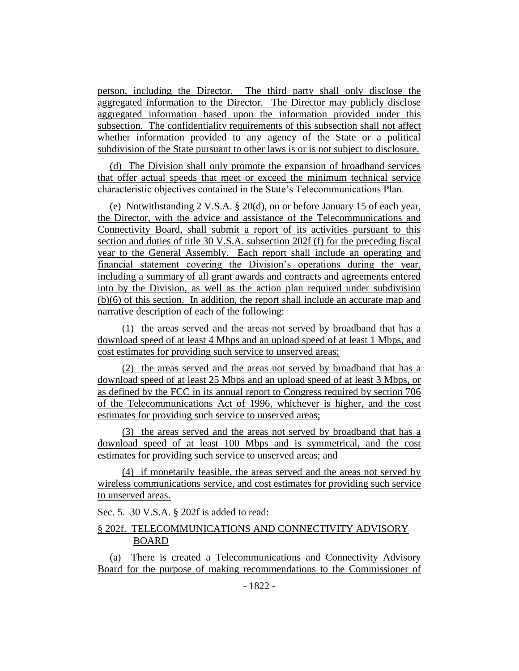person, including the Director. The third party shall only disclose the aggregated information to the Director. The Director may publicly disclose aggregated information based upon the information provided under this subsection. The confidentiality requirements of this subsection shall not affect whether information provided to any agency of the State or a political subdivision of the State pursuant to other laws is or is not subject to disclosure.

(d) The Division shall only promote the expansion of broadband services that offer actual speeds that meet or exceed the minimum technical service characteristic objectives contained in the State's Telecommunications Plan.

(e) Notwithstanding 2 V.S.A. § 20(d), on or before January 15 of each year, the Director, with the advice and assistance of the Telecommunications and Connectivity Board, shall submit a report of its activities pursuant to this section and duties of title 30 V.S.A. subsection 202f (f) for the preceding fiscal year to the General Assembly. Each report shall include an operating and financial statement covering the Division's operations during the year, including a summary of all grant awards and contracts and agreements entered into by the Division, as well as the action plan required under subdivision (b)(6) of this section. In addition, the report shall include an accurate map and narrative description of each of the following:

(1) the areas served and the areas not served by broadband that has a download speed of at least 4 Mbps and an upload speed of at least 1 Mbps, and cost estimates for providing such service to unserved areas;

(2) the areas served and the areas not served by broadband that has a download speed of at least 25 Mbps and an upload speed of at least 3 Mbps, or as defined by the FCC in its annual report to Congress required by section 706 of the Telecommunications Act of 1996, whichever is higher, and the cost estimates for providing such service to unserved areas;

(3) the areas served and the areas not served by broadband that has a download speed of at least 100 Mbps and is symmetrical, and the cost estimates for providing such service to unserved areas; and

(4) if monetarily feasible, the areas served and the areas not served by wireless communications service, and cost estimates for providing such service to unserved areas.

Sec. 5. 30 V.S.A. § 202f is added to read:

#### § 202f. TELECOMMUNICATIONS AND CONNECTIVITY ADVISORY BOARD

(a) There is created a Telecommunications and Connectivity Advisory Board for the purpose of making recommendations to the Commissioner of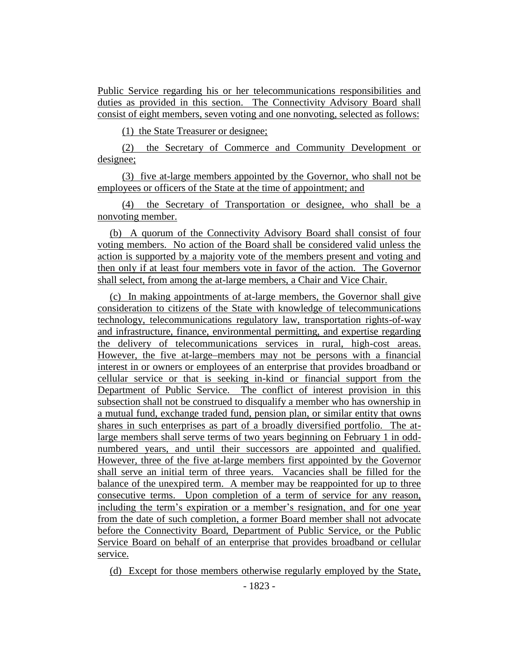Public Service regarding his or her telecommunications responsibilities and duties as provided in this section. The Connectivity Advisory Board shall consist of eight members, seven voting and one nonvoting, selected as follows:

(1) the State Treasurer or designee;

(2) the Secretary of Commerce and Community Development or designee;

(3) five at-large members appointed by the Governor, who shall not be employees or officers of the State at the time of appointment; and

(4) the Secretary of Transportation or designee, who shall be a nonvoting member.

(b) A quorum of the Connectivity Advisory Board shall consist of four voting members. No action of the Board shall be considered valid unless the action is supported by a majority vote of the members present and voting and then only if at least four members vote in favor of the action. The Governor shall select, from among the at-large members, a Chair and Vice Chair.

(c) In making appointments of at-large members, the Governor shall give consideration to citizens of the State with knowledge of telecommunications technology, telecommunications regulatory law, transportation rights-of-way and infrastructure, finance, environmental permitting, and expertise regarding the delivery of telecommunications services in rural, high-cost areas. However, the five at-large members may not be persons with a financial interest in or owners or employees of an enterprise that provides broadband or cellular service or that is seeking in-kind or financial support from the Department of Public Service. The conflict of interest provision in this subsection shall not be construed to disqualify a member who has ownership in a mutual fund, exchange traded fund, pension plan, or similar entity that owns shares in such enterprises as part of a broadly diversified portfolio. The atlarge members shall serve terms of two years beginning on February 1 in oddnumbered years, and until their successors are appointed and qualified. However, three of the five at-large members first appointed by the Governor shall serve an initial term of three years. Vacancies shall be filled for the balance of the unexpired term. A member may be reappointed for up to three consecutive terms. Upon completion of a term of service for any reason, including the term's expiration or a member's resignation, and for one year from the date of such completion, a former Board member shall not advocate before the Connectivity Board, Department of Public Service, or the Public Service Board on behalf of an enterprise that provides broadband or cellular service.

(d) Except for those members otherwise regularly employed by the State,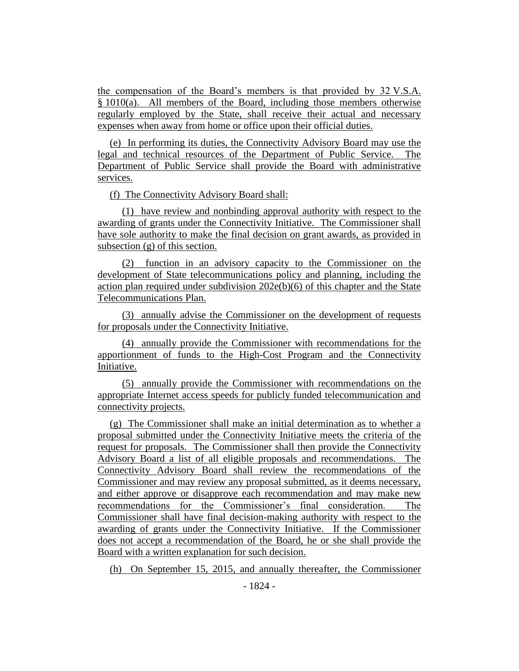the compensation of the Board's members is that provided by 32 V.S.A. § 1010(a). All members of the Board, including those members otherwise regularly employed by the State, shall receive their actual and necessary expenses when away from home or office upon their official duties.

(e) In performing its duties, the Connectivity Advisory Board may use the legal and technical resources of the Department of Public Service. The Department of Public Service shall provide the Board with administrative services.

(f) The Connectivity Advisory Board shall:

(1) have review and nonbinding approval authority with respect to the awarding of grants under the Connectivity Initiative. The Commissioner shall have sole authority to make the final decision on grant awards, as provided in subsection (g) of this section.

(2) function in an advisory capacity to the Commissioner on the development of State telecommunications policy and planning, including the action plan required under subdivision 202e(b)(6) of this chapter and the State Telecommunications Plan.

(3) annually advise the Commissioner on the development of requests for proposals under the Connectivity Initiative.

(4) annually provide the Commissioner with recommendations for the apportionment of funds to the High-Cost Program and the Connectivity Initiative.

(5) annually provide the Commissioner with recommendations on the appropriate Internet access speeds for publicly funded telecommunication and connectivity projects.

(g) The Commissioner shall make an initial determination as to whether a proposal submitted under the Connectivity Initiative meets the criteria of the request for proposals. The Commissioner shall then provide the Connectivity Advisory Board a list of all eligible proposals and recommendations. The Connectivity Advisory Board shall review the recommendations of the Commissioner and may review any proposal submitted, as it deems necessary, and either approve or disapprove each recommendation and may make new recommendations for the Commissioner's final consideration. The Commissioner shall have final decision-making authority with respect to the awarding of grants under the Connectivity Initiative. If the Commissioner does not accept a recommendation of the Board, he or she shall provide the Board with a written explanation for such decision.

(h) On September 15, 2015, and annually thereafter, the Commissioner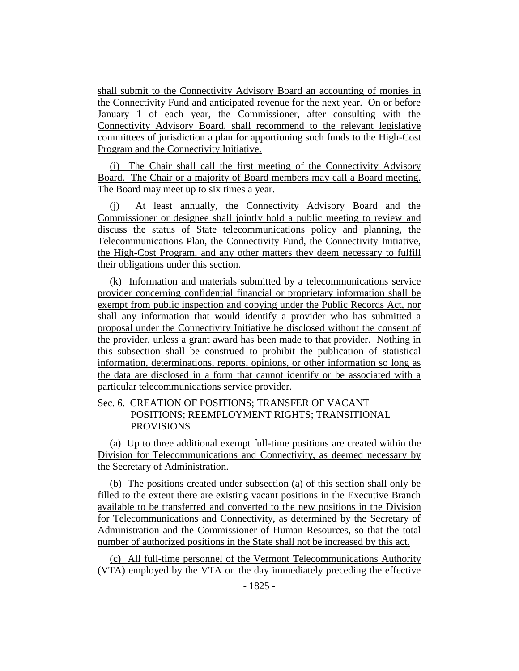shall submit to the Connectivity Advisory Board an accounting of monies in the Connectivity Fund and anticipated revenue for the next year. On or before January 1 of each year, the Commissioner, after consulting with the Connectivity Advisory Board, shall recommend to the relevant legislative committees of jurisdiction a plan for apportioning such funds to the High-Cost Program and the Connectivity Initiative.

(i) The Chair shall call the first meeting of the Connectivity Advisory Board. The Chair or a majority of Board members may call a Board meeting. The Board may meet up to six times a year.

(j) At least annually, the Connectivity Advisory Board and the Commissioner or designee shall jointly hold a public meeting to review and discuss the status of State telecommunications policy and planning, the Telecommunications Plan, the Connectivity Fund, the Connectivity Initiative, the High-Cost Program, and any other matters they deem necessary to fulfill their obligations under this section.

(k) Information and materials submitted by a telecommunications service provider concerning confidential financial or proprietary information shall be exempt from public inspection and copying under the Public Records Act, nor shall any information that would identify a provider who has submitted a proposal under the Connectivity Initiative be disclosed without the consent of the provider, unless a grant award has been made to that provider. Nothing in this subsection shall be construed to prohibit the publication of statistical information, determinations, reports, opinions, or other information so long as the data are disclosed in a form that cannot identify or be associated with a particular telecommunications service provider.

#### Sec. 6. CREATION OF POSITIONS; TRANSFER OF VACANT POSITIONS; REEMPLOYMENT RIGHTS; TRANSITIONAL PROVISIONS

(a) Up to three additional exempt full-time positions are created within the Division for Telecommunications and Connectivity, as deemed necessary by the Secretary of Administration.

(b) The positions created under subsection (a) of this section shall only be filled to the extent there are existing vacant positions in the Executive Branch available to be transferred and converted to the new positions in the Division for Telecommunications and Connectivity, as determined by the Secretary of Administration and the Commissioner of Human Resources, so that the total number of authorized positions in the State shall not be increased by this act.

(c) All full-time personnel of the Vermont Telecommunications Authority (VTA) employed by the VTA on the day immediately preceding the effective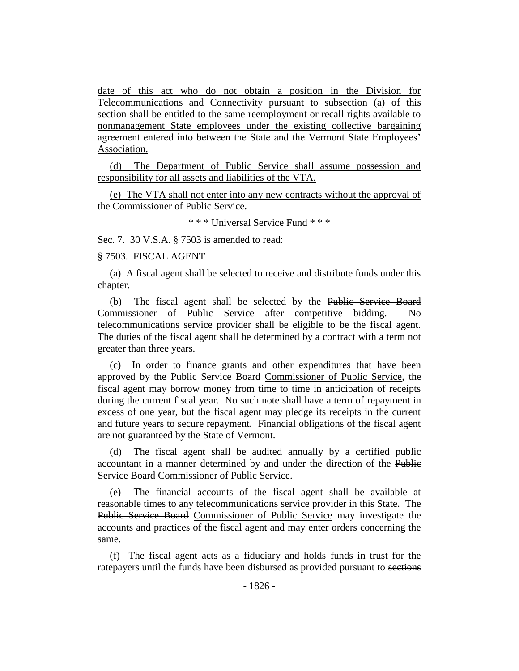date of this act who do not obtain a position in the Division for Telecommunications and Connectivity pursuant to subsection (a) of this section shall be entitled to the same reemployment or recall rights available to nonmanagement State employees under the existing collective bargaining agreement entered into between the State and the Vermont State Employees' Association.

(d) The Department of Public Service shall assume possession and responsibility for all assets and liabilities of the VTA.

(e) The VTA shall not enter into any new contracts without the approval of the Commissioner of Public Service.

\* \* \* Universal Service Fund \* \* \*

Sec. 7. 30 V.S.A. § 7503 is amended to read:

#### § 7503. FISCAL AGENT

(a) A fiscal agent shall be selected to receive and distribute funds under this chapter.

(b) The fiscal agent shall be selected by the Public Service Board Commissioner of Public Service after competitive bidding. No telecommunications service provider shall be eligible to be the fiscal agent. The duties of the fiscal agent shall be determined by a contract with a term not greater than three years.

(c) In order to finance grants and other expenditures that have been approved by the Public Service Board Commissioner of Public Service, the fiscal agent may borrow money from time to time in anticipation of receipts during the current fiscal year. No such note shall have a term of repayment in excess of one year, but the fiscal agent may pledge its receipts in the current and future years to secure repayment. Financial obligations of the fiscal agent are not guaranteed by the State of Vermont.

(d) The fiscal agent shall be audited annually by a certified public accountant in a manner determined by and under the direction of the Public Service Board Commissioner of Public Service.

(e) The financial accounts of the fiscal agent shall be available at reasonable times to any telecommunications service provider in this State. The Public Service Board Commissioner of Public Service may investigate the accounts and practices of the fiscal agent and may enter orders concerning the same.

(f) The fiscal agent acts as a fiduciary and holds funds in trust for the ratepayers until the funds have been disbursed as provided pursuant to sections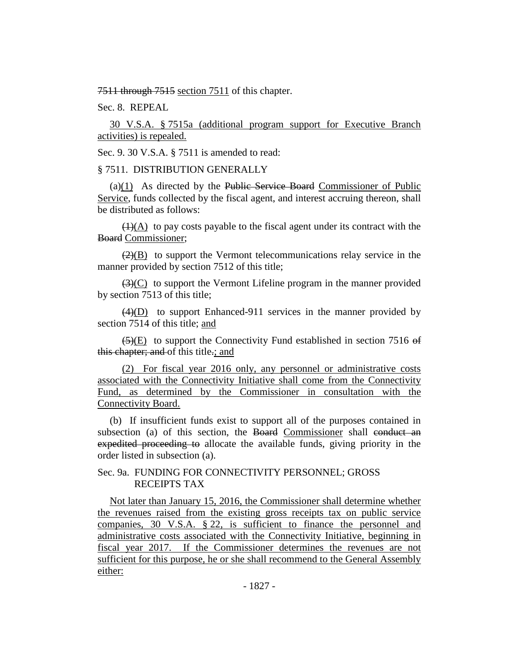7511 through 7515 section 7511 of this chapter.

Sec. 8. REPEAL

30 V.S.A. § 7515a (additional program support for Executive Branch activities) is repealed.

Sec. 9. 30 V.S.A. § 7511 is amended to read:

#### § 7511. DISTRIBUTION GENERALLY

 $(a)(1)$  As directed by the Public Service Board Commissioner of Public Service, funds collected by the fiscal agent, and interest accruing thereon, shall be distributed as follows:

 $\left(\frac{1}{A}\right)$  to pay costs payable to the fiscal agent under its contract with the Board Commissioner;

 $(2)(B)$  to support the Vermont telecommunications relay service in the manner provided by section 7512 of this title;

 $(3)(C)$  to support the Vermont Lifeline program in the manner provided by section 7513 of this title;

 $\overline{(4)(D)}$  to support Enhanced-911 services in the manner provided by section 7514 of this title; and

 $(5)(E)$  to support the Connectivity Fund established in section 7516 of this chapter; and of this title.; and

(2) For fiscal year 2016 only, any personnel or administrative costs associated with the Connectivity Initiative shall come from the Connectivity Fund, as determined by the Commissioner in consultation with the Connectivity Board.

(b) If insufficient funds exist to support all of the purposes contained in subsection (a) of this section, the Board Commissioner shall conduct an expedited proceeding to allocate the available funds, giving priority in the order listed in subsection (a).

#### Sec. 9a. FUNDING FOR CONNECTIVITY PERSONNEL; GROSS RECEIPTS TAX

Not later than January 15, 2016, the Commissioner shall determine whether the revenues raised from the existing gross receipts tax on public service companies, 30 V.S.A. § 22, is sufficient to finance the personnel and administrative costs associated with the Connectivity Initiative, beginning in fiscal year 2017. If the Commissioner determines the revenues are not sufficient for this purpose, he or she shall recommend to the General Assembly either: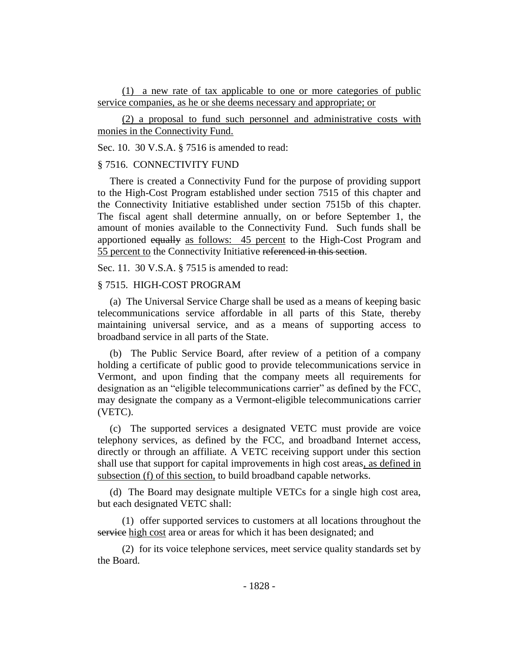(1) a new rate of tax applicable to one or more categories of public service companies, as he or she deems necessary and appropriate; or

(2) a proposal to fund such personnel and administrative costs with monies in the Connectivity Fund.

Sec. 10. 30 V.S.A. § 7516 is amended to read:

#### § 7516. CONNECTIVITY FUND

There is created a Connectivity Fund for the purpose of providing support to the High-Cost Program established under section 7515 of this chapter and the Connectivity Initiative established under section 7515b of this chapter. The fiscal agent shall determine annually, on or before September 1, the amount of monies available to the Connectivity Fund. Such funds shall be apportioned equally as follows: 45 percent to the High-Cost Program and 55 percent to the Connectivity Initiative referenced in this section.

Sec. 11. 30 V.S.A. § 7515 is amended to read:

#### § 7515. HIGH-COST PROGRAM

(a) The Universal Service Charge shall be used as a means of keeping basic telecommunications service affordable in all parts of this State, thereby maintaining universal service, and as a means of supporting access to broadband service in all parts of the State.

(b) The Public Service Board, after review of a petition of a company holding a certificate of public good to provide telecommunications service in Vermont, and upon finding that the company meets all requirements for designation as an "eligible telecommunications carrier" as defined by the FCC, may designate the company as a Vermont-eligible telecommunications carrier (VETC).

(c) The supported services a designated VETC must provide are voice telephony services, as defined by the FCC, and broadband Internet access, directly or through an affiliate. A VETC receiving support under this section shall use that support for capital improvements in high cost areas, as defined in subsection (f) of this section, to build broadband capable networks.

(d) The Board may designate multiple VETCs for a single high cost area, but each designated VETC shall:

(1) offer supported services to customers at all locations throughout the service high cost area or areas for which it has been designated; and

(2) for its voice telephone services, meet service quality standards set by the Board.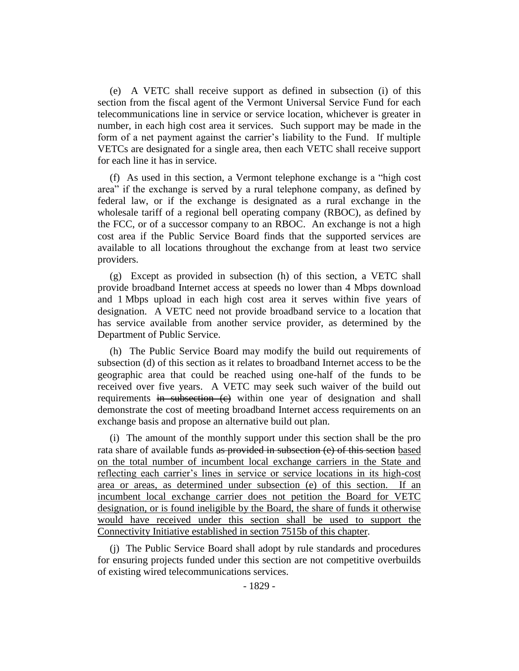(e) A VETC shall receive support as defined in subsection (i) of this section from the fiscal agent of the Vermont Universal Service Fund for each telecommunications line in service or service location, whichever is greater in number, in each high cost area it services. Such support may be made in the form of a net payment against the carrier's liability to the Fund. If multiple VETCs are designated for a single area, then each VETC shall receive support for each line it has in service.

(f) As used in this section, a Vermont telephone exchange is a "high cost area" if the exchange is served by a rural telephone company, as defined by federal law, or if the exchange is designated as a rural exchange in the wholesale tariff of a regional bell operating company (RBOC), as defined by the FCC, or of a successor company to an RBOC. An exchange is not a high cost area if the Public Service Board finds that the supported services are available to all locations throughout the exchange from at least two service providers.

(g) Except as provided in subsection (h) of this section, a VETC shall provide broadband Internet access at speeds no lower than 4 Mbps download and 1 Mbps upload in each high cost area it serves within five years of designation. A VETC need not provide broadband service to a location that has service available from another service provider, as determined by the Department of Public Service.

(h) The Public Service Board may modify the build out requirements of subsection (d) of this section as it relates to broadband Internet access to be the geographic area that could be reached using one-half of the funds to be received over five years. A VETC may seek such waiver of the build out requirements in subsection (e) within one year of designation and shall demonstrate the cost of meeting broadband Internet access requirements on an exchange basis and propose an alternative build out plan.

(i) The amount of the monthly support under this section shall be the pro rata share of available funds as provided in subsection (e) of this section based on the total number of incumbent local exchange carriers in the State and reflecting each carrier's lines in service or service locations in its high-cost area or areas, as determined under subsection (e) of this section. If an incumbent local exchange carrier does not petition the Board for VETC designation, or is found ineligible by the Board, the share of funds it otherwise would have received under this section shall be used to support the Connectivity Initiative established in section 7515b of this chapter.

(j) The Public Service Board shall adopt by rule standards and procedures for ensuring projects funded under this section are not competitive overbuilds of existing wired telecommunications services.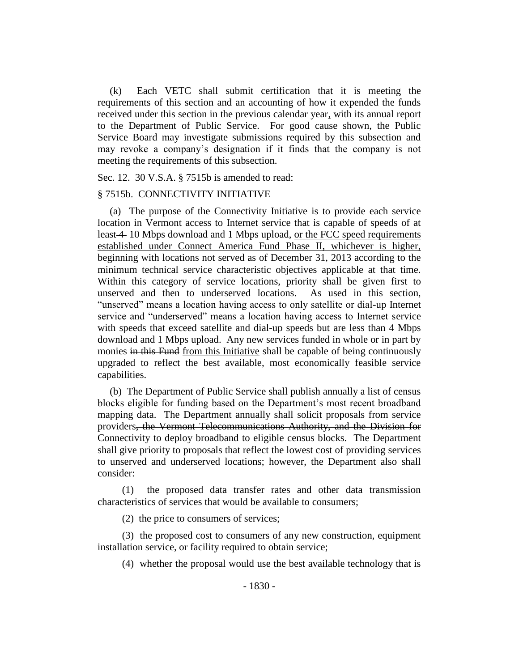(k) Each VETC shall submit certification that it is meeting the requirements of this section and an accounting of how it expended the funds received under this section in the previous calendar year, with its annual report to the Department of Public Service. For good cause shown, the Public Service Board may investigate submissions required by this subsection and may revoke a company's designation if it finds that the company is not meeting the requirements of this subsection.

Sec. 12. 30 V.S.A. § 7515b is amended to read:

#### § 7515b. CONNECTIVITY INITIATIVE

(a) The purpose of the Connectivity Initiative is to provide each service location in Vermont access to Internet service that is capable of speeds of at least 4 10 Mbps download and 1 Mbps upload, or the FCC speed requirements established under Connect America Fund Phase II, whichever is higher, beginning with locations not served as of December 31, 2013 according to the minimum technical service characteristic objectives applicable at that time. Within this category of service locations, priority shall be given first to unserved and then to underserved locations. As used in this section, "unserved" means a location having access to only satellite or dial-up Internet service and "underserved" means a location having access to Internet service with speeds that exceed satellite and dial-up speeds but are less than 4 Mbps download and 1 Mbps upload. Any new services funded in whole or in part by monies in this Fund from this Initiative shall be capable of being continuously upgraded to reflect the best available, most economically feasible service capabilities.

(b) The Department of Public Service shall publish annually a list of census blocks eligible for funding based on the Department's most recent broadband mapping data. The Department annually shall solicit proposals from service providers, the Vermont Telecommunications Authority, and the Division for Connectivity to deploy broadband to eligible census blocks. The Department shall give priority to proposals that reflect the lowest cost of providing services to unserved and underserved locations; however, the Department also shall consider:

(1) the proposed data transfer rates and other data transmission characteristics of services that would be available to consumers;

(2) the price to consumers of services;

(3) the proposed cost to consumers of any new construction, equipment installation service, or facility required to obtain service;

(4) whether the proposal would use the best available technology that is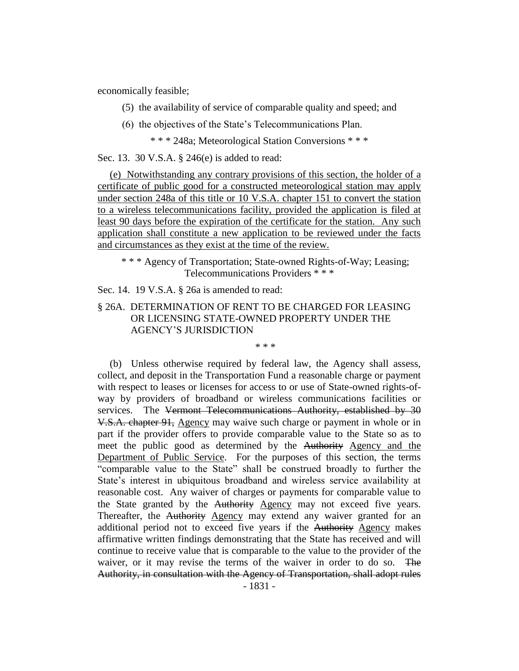economically feasible;

(5) the availability of service of comparable quality and speed; and

(6) the objectives of the State's Telecommunications Plan.

\* \* \* 248a; Meteorological Station Conversions \* \* \*

Sec. 13. 30 V.S.A. § 246(e) is added to read:

(e) Notwithstanding any contrary provisions of this section, the holder of a certificate of public good for a constructed meteorological station may apply under section 248a of this title or 10 V.S.A. chapter 151 to convert the station to a wireless telecommunications facility, provided the application is filed at least 90 days before the expiration of the certificate for the station. Any such application shall constitute a new application to be reviewed under the facts and circumstances as they exist at the time of the review.

\* \* \* Agency of Transportation; State-owned Rights-of-Way; Leasing; Telecommunications Providers \* \* \*

Sec. 14. 19 V.S.A. § 26a is amended to read:

#### § 26A. DETERMINATION OF RENT TO BE CHARGED FOR LEASING OR LICENSING STATE-OWNED PROPERTY UNDER THE AGENCY'S JURISDICTION

\* \* \*

(b) Unless otherwise required by federal law, the Agency shall assess, collect, and deposit in the Transportation Fund a reasonable charge or payment with respect to leases or licenses for access to or use of State-owned rights-ofway by providers of broadband or wireless communications facilities or services. The Vermont Telecommunications Authority, established by 30 V.S.A. chapter 91, Agency may waive such charge or payment in whole or in part if the provider offers to provide comparable value to the State so as to meet the public good as determined by the Authority Agency and the Department of Public Service. For the purposes of this section, the terms "comparable value to the State" shall be construed broadly to further the State's interest in ubiquitous broadband and wireless service availability at reasonable cost. Any waiver of charges or payments for comparable value to the State granted by the Authority Agency may not exceed five years. Thereafter, the Authority Agency may extend any waiver granted for an additional period not to exceed five years if the Authority Agency makes affirmative written findings demonstrating that the State has received and will continue to receive value that is comparable to the value to the provider of the waiver, or it may revise the terms of the waiver in order to do so. The Authority, in consultation with the Agency of Transportation, shall adopt rules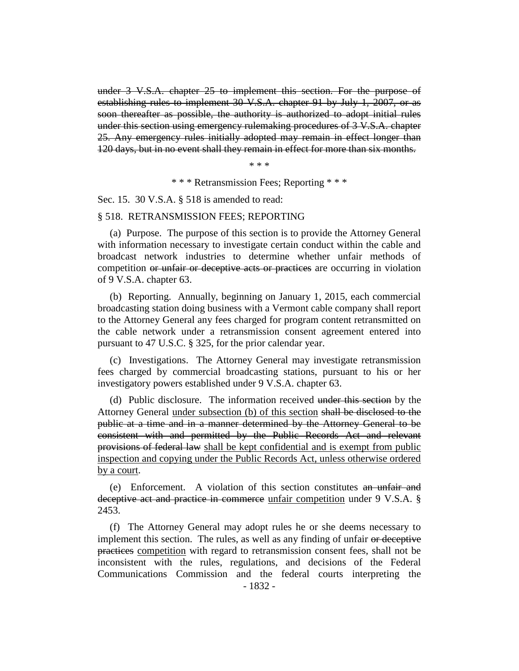under 3 V.S.A. chapter 25 to implement this section. For the purpose of establishing rules to implement 30 V.S.A. chapter 91 by July 1, 2007, or as soon thereafter as possible, the authority is authorized to adopt initial rules under this section using emergency rulemaking procedures of 3 V.S.A. chapter 25. Any emergency rules initially adopted may remain in effect longer than 120 days, but in no event shall they remain in effect for more than six months.

\* \* \*

\* \* \* Retransmission Fees; Reporting \* \* \*

Sec. 15. 30 V.S.A. § 518 is amended to read:

#### § 518. RETRANSMISSION FEES; REPORTING

(a) Purpose. The purpose of this section is to provide the Attorney General with information necessary to investigate certain conduct within the cable and broadcast network industries to determine whether unfair methods of competition or unfair or deceptive acts or practices are occurring in violation of 9 V.S.A. chapter 63.

(b) Reporting. Annually, beginning on January 1, 2015, each commercial broadcasting station doing business with a Vermont cable company shall report to the Attorney General any fees charged for program content retransmitted on the cable network under a retransmission consent agreement entered into pursuant to 47 U.S.C. § 325, for the prior calendar year.

(c) Investigations. The Attorney General may investigate retransmission fees charged by commercial broadcasting stations, pursuant to his or her investigatory powers established under 9 V.S.A. chapter 63.

(d) Public disclosure. The information received under this section by the Attorney General under subsection (b) of this section shall be disclosed to the public at a time and in a manner determined by the Attorney General to be consistent with and permitted by the Public Records Act and relevant provisions of federal law shall be kept confidential and is exempt from public inspection and copying under the Public Records Act, unless otherwise ordered by a court.

(e) Enforcement. A violation of this section constitutes an unfair and deceptive act and practice in commerce unfair competition under 9 V.S.A. § 2453.

(f) The Attorney General may adopt rules he or she deems necessary to implement this section. The rules, as well as any finding of unfair or deceptive practices competition with regard to retransmission consent fees, shall not be inconsistent with the rules, regulations, and decisions of the Federal Communications Commission and the federal courts interpreting the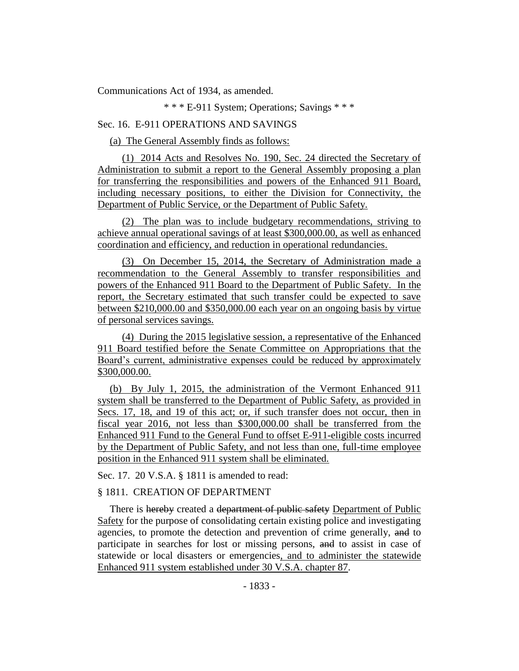Communications Act of 1934, as amended.

\* \* \* E-911 System; Operations; Savings \* \* \*

#### Sec. 16. E-911 OPERATIONS AND SAVINGS

(a) The General Assembly finds as follows:

(1) 2014 Acts and Resolves No. 190, Sec. 24 directed the Secretary of Administration to submit a report to the General Assembly proposing a plan for transferring the responsibilities and powers of the Enhanced 911 Board, including necessary positions, to either the Division for Connectivity, the Department of Public Service, or the Department of Public Safety.

(2) The plan was to include budgetary recommendations, striving to achieve annual operational savings of at least \$300,000.00, as well as enhanced coordination and efficiency, and reduction in operational redundancies.

(3) On December 15, 2014, the Secretary of Administration made a recommendation to the General Assembly to transfer responsibilities and powers of the Enhanced 911 Board to the Department of Public Safety. In the report, the Secretary estimated that such transfer could be expected to save between \$210,000.00 and \$350,000.00 each year on an ongoing basis by virtue of personal services savings.

(4) During the 2015 legislative session, a representative of the Enhanced 911 Board testified before the Senate Committee on Appropriations that the Board's current, administrative expenses could be reduced by approximately \$300,000.00.

(b) By July 1, 2015, the administration of the Vermont Enhanced 911 system shall be transferred to the Department of Public Safety, as provided in Secs. 17, 18, and 19 of this act; or, if such transfer does not occur, then in fiscal year 2016, not less than \$300,000.00 shall be transferred from the Enhanced 911 Fund to the General Fund to offset E-911-eligible costs incurred by the Department of Public Safety, and not less than one, full-time employee position in the Enhanced 911 system shall be eliminated.

Sec. 17. 20 V.S.A. § 1811 is amended to read:

#### § 1811. CREATION OF DEPARTMENT

There is hereby created a department of public safety Department of Public Safety for the purpose of consolidating certain existing police and investigating agencies, to promote the detection and prevention of crime generally, and to participate in searches for lost or missing persons, and to assist in case of statewide or local disasters or emergencies, and to administer the statewide Enhanced 911 system established under 30 V.S.A. chapter 87.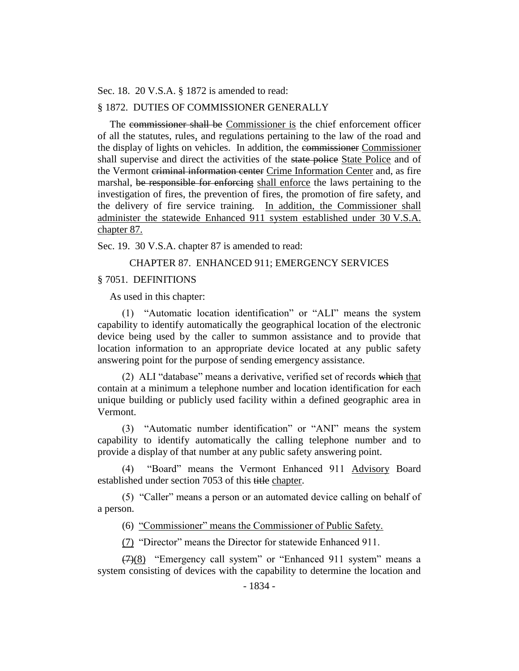Sec. 18. 20 V.S.A. § 1872 is amended to read:

#### § 1872. DUTIES OF COMMISSIONER GENERALLY

The commissioner shall be Commissioner is the chief enforcement officer of all the statutes, rules, and regulations pertaining to the law of the road and the display of lights on vehicles. In addition, the commissioner Commissioner shall supervise and direct the activities of the state police State Police and of the Vermont criminal information center Crime Information Center and, as fire marshal, be responsible for enforcing shall enforce the laws pertaining to the investigation of fires, the prevention of fires, the promotion of fire safety, and the delivery of fire service training. In addition, the Commissioner shall administer the statewide Enhanced 911 system established under 30 V.S.A. chapter 87.

Sec. 19. 30 V.S.A. chapter 87 is amended to read:

#### CHAPTER 87. ENHANCED 911; EMERGENCY SERVICES

#### § 7051. DEFINITIONS

As used in this chapter:

(1) "Automatic location identification" or "ALI" means the system capability to identify automatically the geographical location of the electronic device being used by the caller to summon assistance and to provide that location information to an appropriate device located at any public safety answering point for the purpose of sending emergency assistance.

(2) ALI "database" means a derivative, verified set of records which that contain at a minimum a telephone number and location identification for each unique building or publicly used facility within a defined geographic area in Vermont.

(3) "Automatic number identification" or "ANI" means the system capability to identify automatically the calling telephone number and to provide a display of that number at any public safety answering point.

(4) "Board" means the Vermont Enhanced 911 Advisory Board established under section 7053 of this title chapter.

(5) "Caller" means a person or an automated device calling on behalf of a person.

(6) "Commissioner" means the Commissioner of Public Safety.

(7) "Director" means the Director for statewide Enhanced 911.

(7)(8) "Emergency call system" or "Enhanced 911 system" means a system consisting of devices with the capability to determine the location and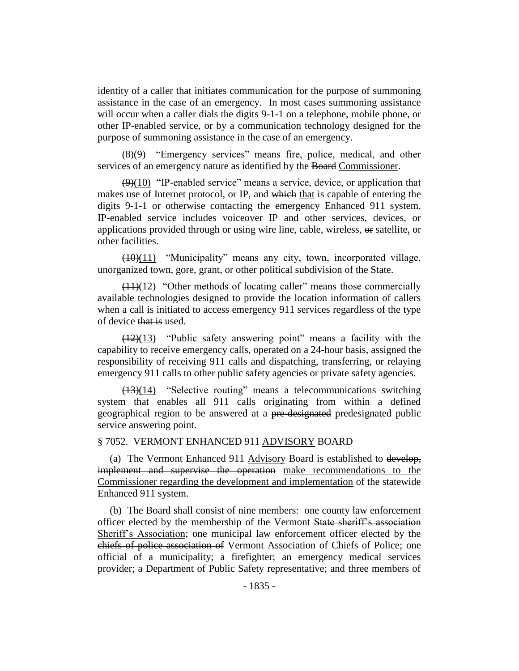identity of a caller that initiates communication for the purpose of summoning assistance in the case of an emergency. In most cases summoning assistance will occur when a caller dials the digits 9-1-1 on a telephone, mobile phone, or other IP-enabled service, or by a communication technology designed for the purpose of summoning assistance in the case of an emergency.

(8)(9) "Emergency services" means fire, police, medical, and other services of an emergency nature as identified by the Board Commissioner.

 $(9)(10)$  "IP-enabled service" means a service, device, or application that makes use of Internet protocol, or IP, and which that is capable of entering the digits 9-1-1 or otherwise contacting the emergency Enhanced 911 system. IP-enabled service includes voiceover IP and other services, devices, or applications provided through or using wire line, cable, wireless, or satellite, or other facilities.

(10)(11) "Municipality" means any city, town, incorporated village, unorganized town, gore, grant, or other political subdivision of the State.

 $(11)(12)$  "Other methods of locating caller" means those commercially available technologies designed to provide the location information of callers when a call is initiated to access emergency 911 services regardless of the type of device that is used.

 $(12)(13)$  "Public safety answering point" means a facility with the capability to receive emergency calls, operated on a 24-hour basis, assigned the responsibility of receiving 911 calls and dispatching, transferring, or relaying emergency 911 calls to other public safety agencies or private safety agencies.

 $(13)(14)$  "Selective routing" means a telecommunications switching system that enables all 911 calls originating from within a defined geographical region to be answered at a pre-designated predesignated public service answering point.

#### § 7052. VERMONT ENHANCED 911 ADVISORY BOARD

(a) The Vermont Enhanced 911 Advisory Board is established to develop, implement and supervise the operation make recommendations to the Commissioner regarding the development and implementation of the statewide Enhanced 911 system.

(b) The Board shall consist of nine members: one county law enforcement officer elected by the membership of the Vermont State sheriff's association Sheriff's Association; one municipal law enforcement officer elected by the chiefs of police association of Vermont Association of Chiefs of Police; one official of a municipality; a firefighter; an emergency medical services provider; a Department of Public Safety representative; and three members of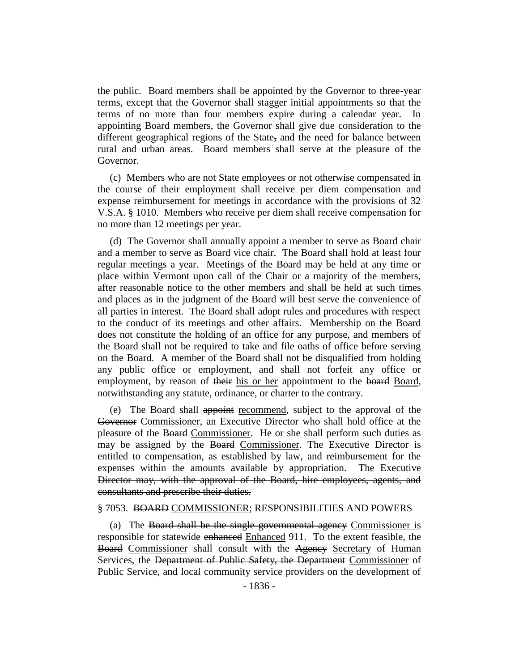the public. Board members shall be appointed by the Governor to three-year terms, except that the Governor shall stagger initial appointments so that the terms of no more than four members expire during a calendar year. In appointing Board members, the Governor shall give due consideration to the different geographical regions of the State, and the need for balance between rural and urban areas. Board members shall serve at the pleasure of the Governor.

(c) Members who are not State employees or not otherwise compensated in the course of their employment shall receive per diem compensation and expense reimbursement for meetings in accordance with the provisions of 32 V.S.A. § 1010. Members who receive per diem shall receive compensation for no more than 12 meetings per year.

(d) The Governor shall annually appoint a member to serve as Board chair and a member to serve as Board vice chair. The Board shall hold at least four regular meetings a year. Meetings of the Board may be held at any time or place within Vermont upon call of the Chair or a majority of the members, after reasonable notice to the other members and shall be held at such times and places as in the judgment of the Board will best serve the convenience of all parties in interest. The Board shall adopt rules and procedures with respect to the conduct of its meetings and other affairs. Membership on the Board does not constitute the holding of an office for any purpose, and members of the Board shall not be required to take and file oaths of office before serving on the Board. A member of the Board shall not be disqualified from holding any public office or employment, and shall not forfeit any office or employment, by reason of their his or her appointment to the board Board, notwithstanding any statute, ordinance, or charter to the contrary.

(e) The Board shall appoint recommend, subject to the approval of the Governor Commissioner, an Executive Director who shall hold office at the pleasure of the Board Commissioner. He or she shall perform such duties as may be assigned by the Board Commissioner. The Executive Director is entitled to compensation, as established by law, and reimbursement for the expenses within the amounts available by appropriation. The Executive Director may, with the approval of the Board, hire employees, agents, and consultants and prescribe their duties.

#### § 7053. BOARD COMMISSIONER; RESPONSIBILITIES AND POWERS

(a) The Board shall be the single governmental agency Commissioner is responsible for statewide enhanced Enhanced 911. To the extent feasible, the Board Commissioner shall consult with the Ageney Secretary of Human Services, the Department of Public Safety, the Department Commissioner of Public Service, and local community service providers on the development of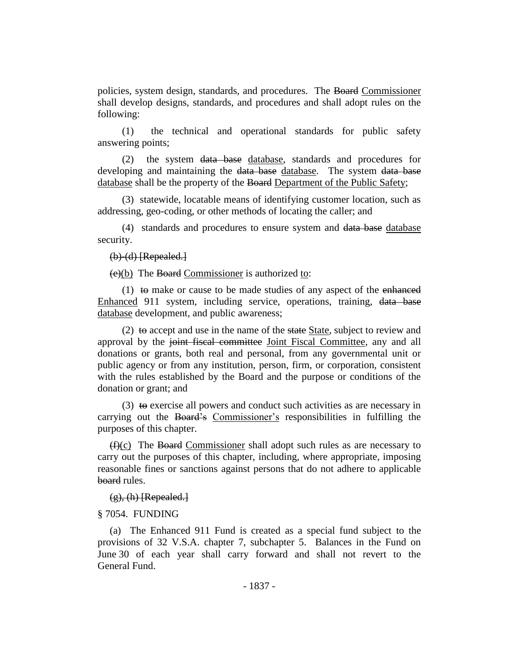policies, system design, standards, and procedures. The Board Commissioner shall develop designs, standards, and procedures and shall adopt rules on the following:

(1) the technical and operational standards for public safety answering points;

(2) the system data base database, standards and procedures for developing and maintaining the data base database. The system data base database shall be the property of the Board Department of the Public Safety;

(3) statewide, locatable means of identifying customer location, such as addressing, geo-coding, or other methods of locating the caller; and

(4) standards and procedures to ensure system and data base database security.

 $(b)$   $(d)$  [Repealed.]

 $(e)(b)$  The Board Commissioner is authorized to:

(1) to make or cause to be made studies of any aspect of the enhanced Enhanced 911 system, including service, operations, training, data base database development, and public awareness;

(2) to accept and use in the name of the state State, subject to review and approval by the joint fiscal committee Joint Fiscal Committee, any and all donations or grants, both real and personal, from any governmental unit or public agency or from any institution, person, firm, or corporation, consistent with the rules established by the Board and the purpose or conditions of the donation or grant; and

(3)  $\leftrightarrow$  exercise all powers and conduct such activities as are necessary in carrying out the Board's Commissioner's responsibilities in fulfilling the purposes of this chapter.

 $(f)(c)$  The Board Commissioner shall adopt such rules as are necessary to carry out the purposes of this chapter, including, where appropriate, imposing reasonable fines or sanctions against persons that do not adhere to applicable board rules.

 $(g)$ , (h) [Repealed.]

#### § 7054. FUNDING

(a) The Enhanced 911 Fund is created as a special fund subject to the provisions of 32 V.S.A. chapter 7, subchapter 5. Balances in the Fund on June 30 of each year shall carry forward and shall not revert to the General Fund.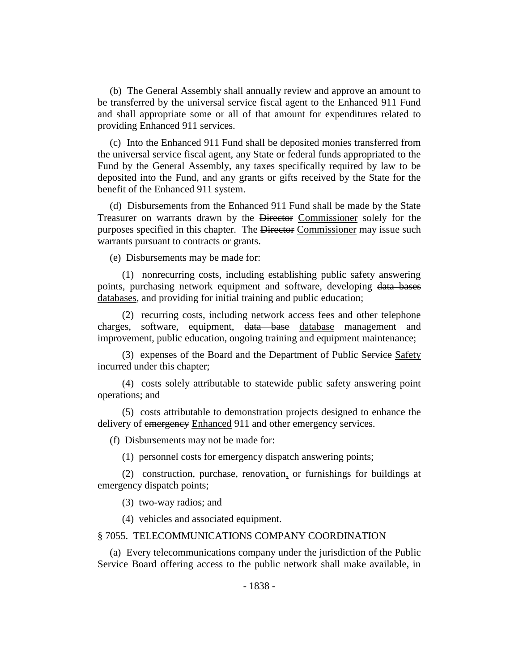(b) The General Assembly shall annually review and approve an amount to be transferred by the universal service fiscal agent to the Enhanced 911 Fund and shall appropriate some or all of that amount for expenditures related to providing Enhanced 911 services.

(c) Into the Enhanced 911 Fund shall be deposited monies transferred from the universal service fiscal agent, any State or federal funds appropriated to the Fund by the General Assembly, any taxes specifically required by law to be deposited into the Fund, and any grants or gifts received by the State for the benefit of the Enhanced 911 system.

(d) Disbursements from the Enhanced 911 Fund shall be made by the State Treasurer on warrants drawn by the Director Commissioner solely for the purposes specified in this chapter. The Director Commissioner may issue such warrants pursuant to contracts or grants.

(e) Disbursements may be made for:

(1) nonrecurring costs, including establishing public safety answering points, purchasing network equipment and software, developing data bases databases, and providing for initial training and public education;

(2) recurring costs, including network access fees and other telephone charges, software, equipment, data base database management and improvement, public education, ongoing training and equipment maintenance;

(3) expenses of the Board and the Department of Public Service Safety incurred under this chapter;

(4) costs solely attributable to statewide public safety answering point operations; and

(5) costs attributable to demonstration projects designed to enhance the delivery of emergency Enhanced 911 and other emergency services.

(f) Disbursements may not be made for:

(1) personnel costs for emergency dispatch answering points;

(2) construction, purchase, renovation, or furnishings for buildings at emergency dispatch points;

(3) two-way radios; and

(4) vehicles and associated equipment.

#### § 7055. TELECOMMUNICATIONS COMPANY COORDINATION

(a) Every telecommunications company under the jurisdiction of the Public Service Board offering access to the public network shall make available, in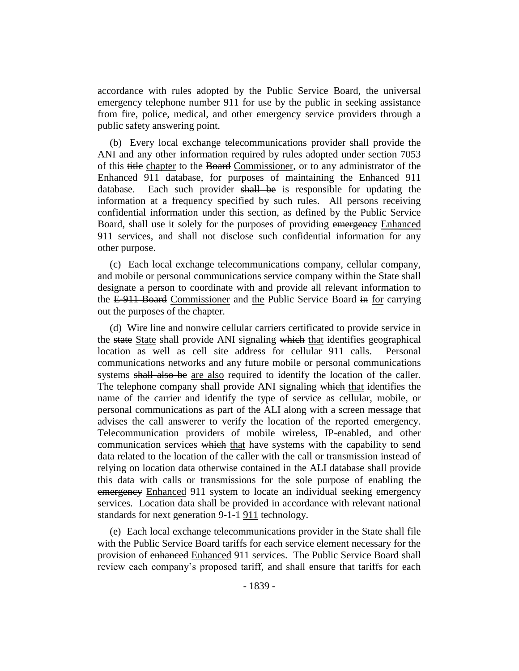accordance with rules adopted by the Public Service Board, the universal emergency telephone number 911 for use by the public in seeking assistance from fire, police, medical, and other emergency service providers through a public safety answering point.

(b) Every local exchange telecommunications provider shall provide the ANI and any other information required by rules adopted under section 7053 of this title chapter to the Board Commissioner, or to any administrator of the Enhanced 911 database, for purposes of maintaining the Enhanced 911 database. Each such provider shall be is responsible for updating the information at a frequency specified by such rules. All persons receiving confidential information under this section, as defined by the Public Service Board, shall use it solely for the purposes of providing emergency Enhanced 911 services, and shall not disclose such confidential information for any other purpose.

(c) Each local exchange telecommunications company, cellular company, and mobile or personal communications service company within the State shall designate a person to coordinate with and provide all relevant information to the E-911 Board Commissioner and the Public Service Board in for carrying out the purposes of the chapter.

(d) Wire line and nonwire cellular carriers certificated to provide service in the state State shall provide ANI signaling which that identifies geographical location as well as cell site address for cellular 911 calls. Personal communications networks and any future mobile or personal communications systems shall also be are also required to identify the location of the caller. The telephone company shall provide ANI signaling which that identifies the name of the carrier and identify the type of service as cellular, mobile, or personal communications as part of the ALI along with a screen message that advises the call answerer to verify the location of the reported emergency. Telecommunication providers of mobile wireless, IP-enabled, and other communication services which that have systems with the capability to send data related to the location of the caller with the call or transmission instead of relying on location data otherwise contained in the ALI database shall provide this data with calls or transmissions for the sole purpose of enabling the emergency Enhanced 911 system to locate an individual seeking emergency services. Location data shall be provided in accordance with relevant national standards for next generation  $9-1-1$  911 technology.

(e) Each local exchange telecommunications provider in the State shall file with the Public Service Board tariffs for each service element necessary for the provision of enhanced Enhanced 911 services. The Public Service Board shall review each company's proposed tariff, and shall ensure that tariffs for each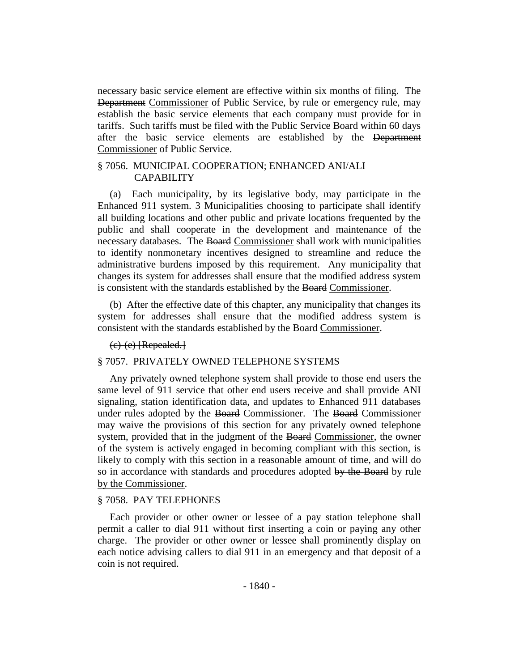necessary basic service element are effective within six months of filing. The Department Commissioner of Public Service, by rule or emergency rule, may establish the basic service elements that each company must provide for in tariffs. Such tariffs must be filed with the Public Service Board within 60 days after the basic service elements are established by the Department Commissioner of Public Service.

#### § 7056. MUNICIPAL COOPERATION; ENHANCED ANI/ALI CAPABILITY

(a) Each municipality, by its legislative body, may participate in the Enhanced 911 system. 3 Municipalities choosing to participate shall identify all building locations and other public and private locations frequented by the public and shall cooperate in the development and maintenance of the necessary databases. The Board Commissioner shall work with municipalities to identify nonmonetary incentives designed to streamline and reduce the administrative burdens imposed by this requirement. Any municipality that changes its system for addresses shall ensure that the modified address system is consistent with the standards established by the Board Commissioner.

(b) After the effective date of this chapter, any municipality that changes its system for addresses shall ensure that the modified address system is consistent with the standards established by the Board Commissioner.

#### (c)-(e) [Repealed.]

#### § 7057. PRIVATELY OWNED TELEPHONE SYSTEMS

Any privately owned telephone system shall provide to those end users the same level of 911 service that other end users receive and shall provide ANI signaling, station identification data, and updates to Enhanced 911 databases under rules adopted by the Board Commissioner. The Board Commissioner may waive the provisions of this section for any privately owned telephone system, provided that in the judgment of the Board Commissioner, the owner of the system is actively engaged in becoming compliant with this section, is likely to comply with this section in a reasonable amount of time, and will do so in accordance with standards and procedures adopted by the Board by rule by the Commissioner.

#### § 7058. PAY TELEPHONES

Each provider or other owner or lessee of a pay station telephone shall permit a caller to dial 911 without first inserting a coin or paying any other charge. The provider or other owner or lessee shall prominently display on each notice advising callers to dial 911 in an emergency and that deposit of a coin is not required.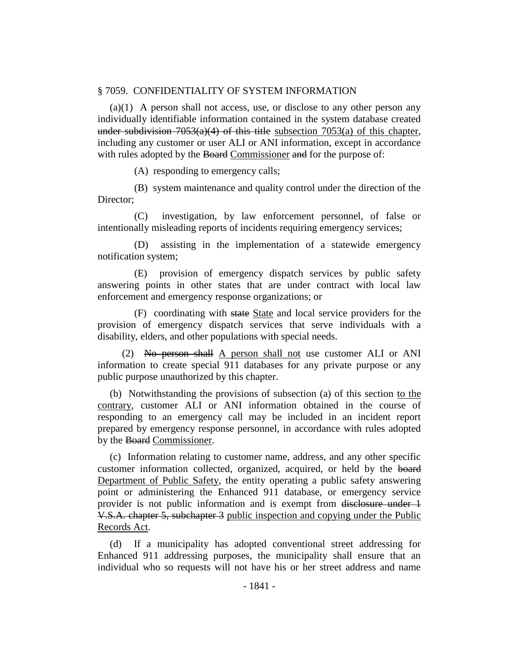#### § 7059. CONFIDENTIALITY OF SYSTEM INFORMATION

(a)(1) A person shall not access, use, or disclose to any other person any individually identifiable information contained in the system database created under subdivision  $7053(a)(4)$  of this title subsection  $7053(a)$  of this chapter, including any customer or user ALI or ANI information, except in accordance with rules adopted by the Board Commissioner and for the purpose of:

(A) responding to emergency calls;

(B) system maintenance and quality control under the direction of the Director:

(C) investigation, by law enforcement personnel, of false or intentionally misleading reports of incidents requiring emergency services;

(D) assisting in the implementation of a statewide emergency notification system;

(E) provision of emergency dispatch services by public safety answering points in other states that are under contract with local law enforcement and emergency response organizations; or

(F) coordinating with state State and local service providers for the provision of emergency dispatch services that serve individuals with a disability, elders, and other populations with special needs.

(2) No person shall A person shall not use customer ALI or ANI information to create special 911 databases for any private purpose or any public purpose unauthorized by this chapter.

(b) Notwithstanding the provisions of subsection (a) of this section to the contrary, customer ALI or ANI information obtained in the course of responding to an emergency call may be included in an incident report prepared by emergency response personnel, in accordance with rules adopted by the Board Commissioner.

(c) Information relating to customer name, address, and any other specific customer information collected, organized, acquired, or held by the board Department of Public Safety, the entity operating a public safety answering point or administering the Enhanced 911 database, or emergency service provider is not public information and is exempt from disclosure under 1 V.S.A. chapter 5, subchapter 3 public inspection and copying under the Public Records Act.

(d) If a municipality has adopted conventional street addressing for Enhanced 911 addressing purposes, the municipality shall ensure that an individual who so requests will not have his or her street address and name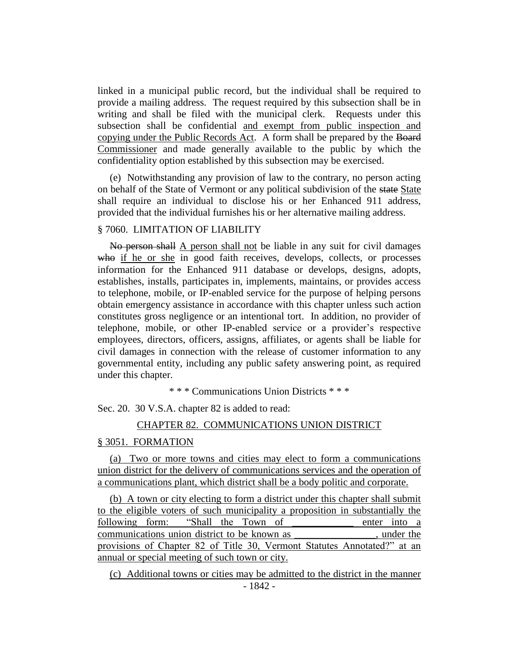linked in a municipal public record, but the individual shall be required to provide a mailing address. The request required by this subsection shall be in writing and shall be filed with the municipal clerk. Requests under this subsection shall be confidential and exempt from public inspection and copying under the Public Records Act. A form shall be prepared by the Board Commissioner and made generally available to the public by which the confidentiality option established by this subsection may be exercised.

(e) Notwithstanding any provision of law to the contrary, no person acting on behalf of the State of Vermont or any political subdivision of the state State shall require an individual to disclose his or her Enhanced 911 address, provided that the individual furnishes his or her alternative mailing address.

#### § 7060. LIMITATION OF LIABILITY

No person shall A person shall not be liable in any suit for civil damages who if he or she in good faith receives, develops, collects, or processes information for the Enhanced 911 database or develops, designs, adopts, establishes, installs, participates in, implements, maintains, or provides access to telephone, mobile, or IP-enabled service for the purpose of helping persons obtain emergency assistance in accordance with this chapter unless such action constitutes gross negligence or an intentional tort. In addition, no provider of telephone, mobile, or other IP-enabled service or a provider's respective employees, directors, officers, assigns, affiliates, or agents shall be liable for civil damages in connection with the release of customer information to any governmental entity, including any public safety answering point, as required under this chapter.

\* \* \* Communications Union Districts \* \* \*

Sec. 20. 30 V.S.A. chapter 82 is added to read:

#### CHAPTER 82. COMMUNICATIONS UNION DISTRICT

#### § 3051. FORMATION

(a) Two or more towns and cities may elect to form a communications union district for the delivery of communications services and the operation of a communications plant, which district shall be a body politic and corporate.

(b) A town or city electing to form a district under this chapter shall submit to the eligible voters of such municipality a proposition in substantially the following form: "Shall the Town of \_\_\_\_\_\_\_\_\_\_\_\_ enter into a communications union district to be known as \_\_\_\_\_\_\_\_\_\_\_\_\_\_\_\_, under the provisions of Chapter 82 of Title 30, Vermont Statutes Annotated?" at an annual or special meeting of such town or city.

- 1842 - (c) Additional towns or cities may be admitted to the district in the manner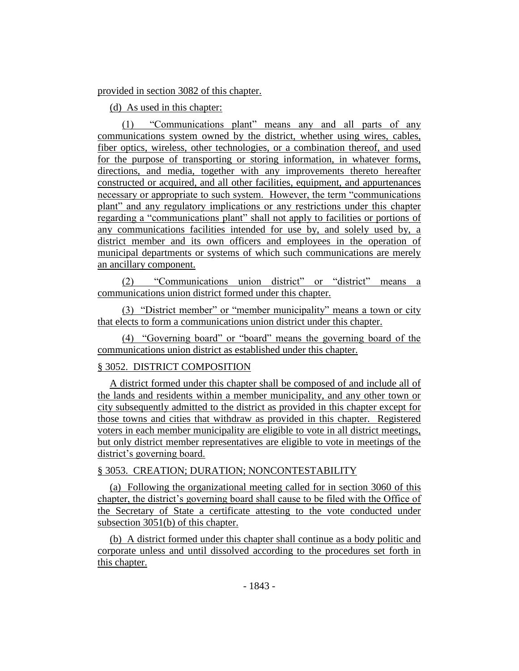#### provided in section 3082 of this chapter.

#### (d) As used in this chapter:

(1) "Communications plant" means any and all parts of any communications system owned by the district, whether using wires, cables, fiber optics, wireless, other technologies, or a combination thereof, and used for the purpose of transporting or storing information, in whatever forms, directions, and media, together with any improvements thereto hereafter constructed or acquired, and all other facilities, equipment, and appurtenances necessary or appropriate to such system. However, the term "communications plant" and any regulatory implications or any restrictions under this chapter regarding a "communications plant" shall not apply to facilities or portions of any communications facilities intended for use by, and solely used by, a district member and its own officers and employees in the operation of municipal departments or systems of which such communications are merely an ancillary component.

(2) "Communications union district" or "district" means a communications union district formed under this chapter.

(3) "District member" or "member municipality" means a town or city that elects to form a communications union district under this chapter.

(4) "Governing board" or "board" means the governing board of the communications union district as established under this chapter.

#### § 3052. DISTRICT COMPOSITION

A district formed under this chapter shall be composed of and include all of the lands and residents within a member municipality, and any other town or city subsequently admitted to the district as provided in this chapter except for those towns and cities that withdraw as provided in this chapter. Registered voters in each member municipality are eligible to vote in all district meetings, but only district member representatives are eligible to vote in meetings of the district's governing board.

#### § 3053. CREATION; DURATION; NONCONTESTABILITY

(a) Following the organizational meeting called for in section 3060 of this chapter, the district's governing board shall cause to be filed with the Office of the Secretary of State a certificate attesting to the vote conducted under subsection 3051(b) of this chapter.

(b) A district formed under this chapter shall continue as a body politic and corporate unless and until dissolved according to the procedures set forth in this chapter.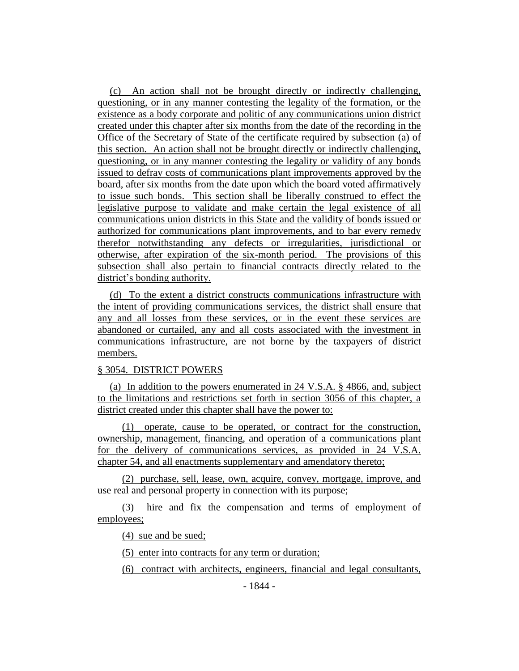(c) An action shall not be brought directly or indirectly challenging, questioning, or in any manner contesting the legality of the formation, or the existence as a body corporate and politic of any communications union district created under this chapter after six months from the date of the recording in the Office of the Secretary of State of the certificate required by subsection (a) of this section. An action shall not be brought directly or indirectly challenging, questioning, or in any manner contesting the legality or validity of any bonds issued to defray costs of communications plant improvements approved by the board, after six months from the date upon which the board voted affirmatively to issue such bonds. This section shall be liberally construed to effect the legislative purpose to validate and make certain the legal existence of all communications union districts in this State and the validity of bonds issued or authorized for communications plant improvements, and to bar every remedy therefor notwithstanding any defects or irregularities, jurisdictional or otherwise, after expiration of the six-month period. The provisions of this subsection shall also pertain to financial contracts directly related to the district's bonding authority.

(d) To the extent a district constructs communications infrastructure with the intent of providing communications services, the district shall ensure that any and all losses from these services, or in the event these services are abandoned or curtailed, any and all costs associated with the investment in communications infrastructure, are not borne by the taxpayers of district members.

#### § 3054. DISTRICT POWERS

(a) In addition to the powers enumerated in 24 V.S.A. § 4866, and, subject to the limitations and restrictions set forth in section 3056 of this chapter, a district created under this chapter shall have the power to:

(1) operate, cause to be operated, or contract for the construction, ownership, management, financing, and operation of a communications plant for the delivery of communications services, as provided in 24 V.S.A. chapter 54, and all enactments supplementary and amendatory thereto;

(2) purchase, sell, lease, own, acquire, convey, mortgage, improve, and use real and personal property in connection with its purpose;

(3) hire and fix the compensation and terms of employment of employees;

(4) sue and be sued;

(5) enter into contracts for any term or duration;

(6) contract with architects, engineers, financial and legal consultants,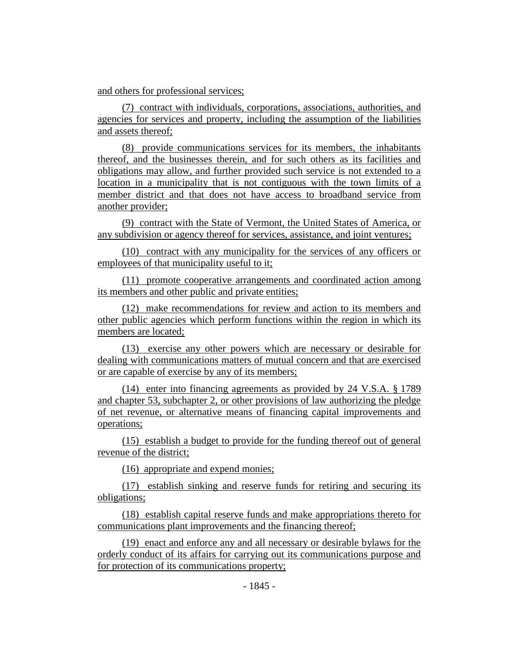and others for professional services;

(7) contract with individuals, corporations, associations, authorities, and agencies for services and property, including the assumption of the liabilities and assets thereof;

(8) provide communications services for its members, the inhabitants thereof, and the businesses therein, and for such others as its facilities and obligations may allow, and further provided such service is not extended to a location in a municipality that is not contiguous with the town limits of a member district and that does not have access to broadband service from another provider;

(9) contract with the State of Vermont, the United States of America, or any subdivision or agency thereof for services, assistance, and joint ventures;

(10) contract with any municipality for the services of any officers or employees of that municipality useful to it;

(11) promote cooperative arrangements and coordinated action among its members and other public and private entities;

(12) make recommendations for review and action to its members and other public agencies which perform functions within the region in which its members are located;

(13) exercise any other powers which are necessary or desirable for dealing with communications matters of mutual concern and that are exercised or are capable of exercise by any of its members;

(14) enter into financing agreements as provided by 24 V.S.A. § 1789 and chapter 53, subchapter 2, or other provisions of law authorizing the pledge of net revenue, or alternative means of financing capital improvements and operations;

(15) establish a budget to provide for the funding thereof out of general revenue of the district;

(16) appropriate and expend monies;

(17) establish sinking and reserve funds for retiring and securing its obligations;

(18) establish capital reserve funds and make appropriations thereto for communications plant improvements and the financing thereof;

(19) enact and enforce any and all necessary or desirable bylaws for the orderly conduct of its affairs for carrying out its communications purpose and for protection of its communications property;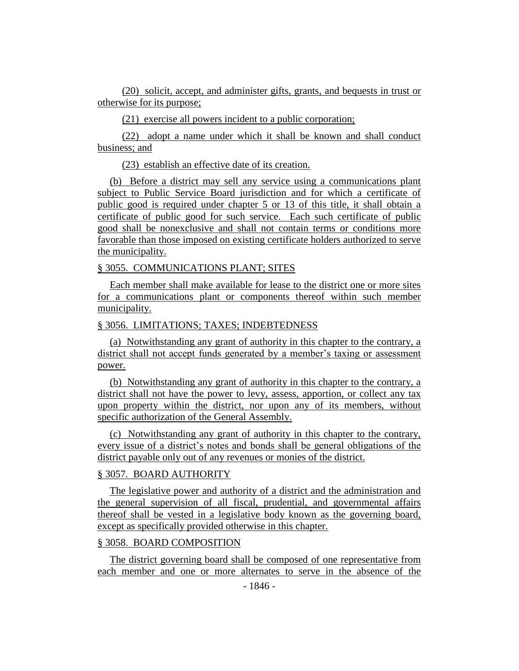(20) solicit, accept, and administer gifts, grants, and bequests in trust or otherwise for its purpose;

(21) exercise all powers incident to a public corporation;

(22) adopt a name under which it shall be known and shall conduct business; and

(23) establish an effective date of its creation.

(b) Before a district may sell any service using a communications plant subject to Public Service Board jurisdiction and for which a certificate of public good is required under chapter 5 or 13 of this title, it shall obtain a certificate of public good for such service. Each such certificate of public good shall be nonexclusive and shall not contain terms or conditions more favorable than those imposed on existing certificate holders authorized to serve the municipality.

#### § 3055. COMMUNICATIONS PLANT; SITES

Each member shall make available for lease to the district one or more sites for a communications plant or components thereof within such member municipality.

#### § 3056. LIMITATIONS; TAXES; INDEBTEDNESS

(a) Notwithstanding any grant of authority in this chapter to the contrary, a district shall not accept funds generated by a member's taxing or assessment power.

(b) Notwithstanding any grant of authority in this chapter to the contrary, a district shall not have the power to levy, assess, apportion, or collect any tax upon property within the district, nor upon any of its members, without specific authorization of the General Assembly.

(c) Notwithstanding any grant of authority in this chapter to the contrary, every issue of a district's notes and bonds shall be general obligations of the district payable only out of any revenues or monies of the district.

#### § 3057. BOARD AUTHORITY

The legislative power and authority of a district and the administration and the general supervision of all fiscal, prudential, and governmental affairs thereof shall be vested in a legislative body known as the governing board, except as specifically provided otherwise in this chapter.

#### § 3058. BOARD COMPOSITION

The district governing board shall be composed of one representative from each member and one or more alternates to serve in the absence of the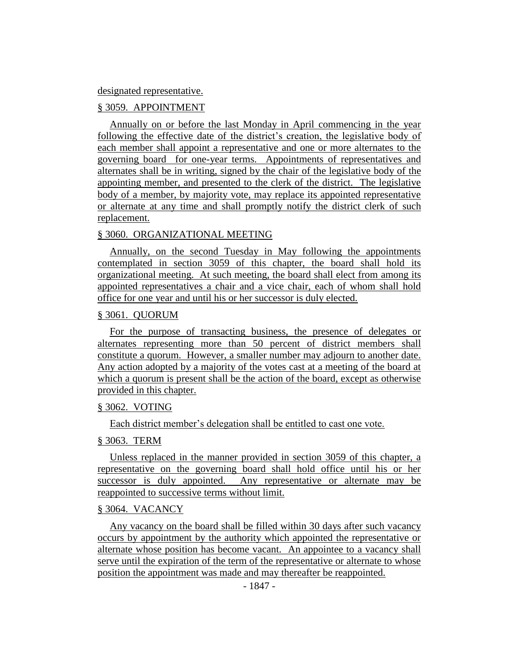#### designated representative.

#### § 3059. APPOINTMENT

Annually on or before the last Monday in April commencing in the year following the effective date of the district's creation, the legislative body of each member shall appoint a representative and one or more alternates to the governing board for one-year terms. Appointments of representatives and alternates shall be in writing, signed by the chair of the legislative body of the appointing member, and presented to the clerk of the district. The legislative body of a member, by majority vote, may replace its appointed representative or alternate at any time and shall promptly notify the district clerk of such replacement.

#### § 3060. ORGANIZATIONAL MEETING

Annually, on the second Tuesday in May following the appointments contemplated in section 3059 of this chapter, the board shall hold its organizational meeting. At such meeting, the board shall elect from among its appointed representatives a chair and a vice chair, each of whom shall hold office for one year and until his or her successor is duly elected.

#### § 3061. QUORUM

For the purpose of transacting business, the presence of delegates or alternates representing more than 50 percent of district members shall constitute a quorum. However, a smaller number may adjourn to another date. Any action adopted by a majority of the votes cast at a meeting of the board at which a quorum is present shall be the action of the board, except as otherwise provided in this chapter.

#### § 3062. VOTING

Each district member's delegation shall be entitled to cast one vote.

#### § 3063. TERM

Unless replaced in the manner provided in section 3059 of this chapter, a representative on the governing board shall hold office until his or her successor is duly appointed. Any representative or alternate may be reappointed to successive terms without limit.

#### § 3064. VACANCY

Any vacancy on the board shall be filled within 30 days after such vacancy occurs by appointment by the authority which appointed the representative or alternate whose position has become vacant. An appointee to a vacancy shall serve until the expiration of the term of the representative or alternate to whose position the appointment was made and may thereafter be reappointed.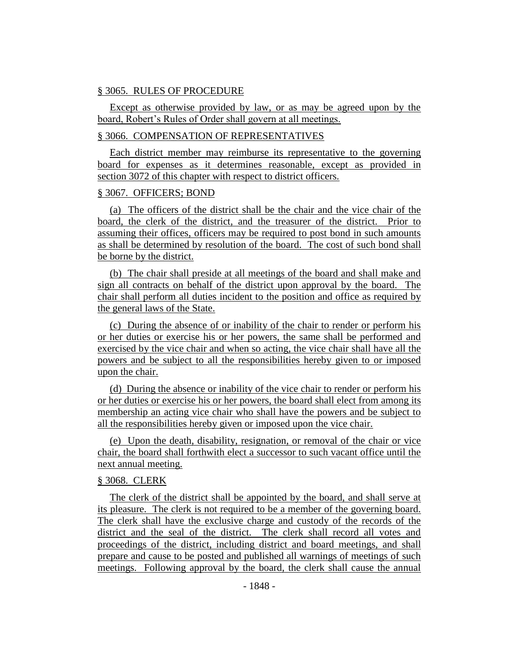#### § 3065. RULES OF PROCEDURE

Except as otherwise provided by law, or as may be agreed upon by the board, Robert's Rules of Order shall govern at all meetings.

#### § 3066. COMPENSATION OF REPRESENTATIVES

Each district member may reimburse its representative to the governing board for expenses as it determines reasonable, except as provided in section 3072 of this chapter with respect to district officers.

#### § 3067. OFFICERS; BOND

(a) The officers of the district shall be the chair and the vice chair of the board, the clerk of the district, and the treasurer of the district. Prior to assuming their offices, officers may be required to post bond in such amounts as shall be determined by resolution of the board. The cost of such bond shall be borne by the district.

(b) The chair shall preside at all meetings of the board and shall make and sign all contracts on behalf of the district upon approval by the board. The chair shall perform all duties incident to the position and office as required by the general laws of the State.

(c) During the absence of or inability of the chair to render or perform his or her duties or exercise his or her powers, the same shall be performed and exercised by the vice chair and when so acting, the vice chair shall have all the powers and be subject to all the responsibilities hereby given to or imposed upon the chair.

(d) During the absence or inability of the vice chair to render or perform his or her duties or exercise his or her powers, the board shall elect from among its membership an acting vice chair who shall have the powers and be subject to all the responsibilities hereby given or imposed upon the vice chair.

(e) Upon the death, disability, resignation, or removal of the chair or vice chair, the board shall forthwith elect a successor to such vacant office until the next annual meeting.

#### § 3068. CLERK

The clerk of the district shall be appointed by the board, and shall serve at its pleasure. The clerk is not required to be a member of the governing board. The clerk shall have the exclusive charge and custody of the records of the district and the seal of the district. The clerk shall record all votes and proceedings of the district, including district and board meetings, and shall prepare and cause to be posted and published all warnings of meetings of such meetings. Following approval by the board, the clerk shall cause the annual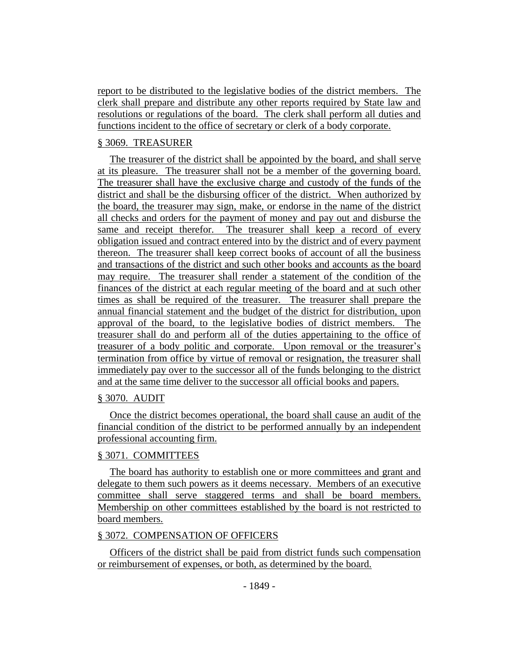report to be distributed to the legislative bodies of the district members. The clerk shall prepare and distribute any other reports required by State law and resolutions or regulations of the board. The clerk shall perform all duties and functions incident to the office of secretary or clerk of a body corporate.

# § 3069. TREASURER

The treasurer of the district shall be appointed by the board, and shall serve at its pleasure. The treasurer shall not be a member of the governing board. The treasurer shall have the exclusive charge and custody of the funds of the district and shall be the disbursing officer of the district. When authorized by the board, the treasurer may sign, make, or endorse in the name of the district all checks and orders for the payment of money and pay out and disburse the same and receipt therefor. The treasurer shall keep a record of every obligation issued and contract entered into by the district and of every payment thereon. The treasurer shall keep correct books of account of all the business and transactions of the district and such other books and accounts as the board may require. The treasurer shall render a statement of the condition of the finances of the district at each regular meeting of the board and at such other times as shall be required of the treasurer. The treasurer shall prepare the annual financial statement and the budget of the district for distribution, upon approval of the board, to the legislative bodies of district members. The treasurer shall do and perform all of the duties appertaining to the office of treasurer of a body politic and corporate. Upon removal or the treasurer's termination from office by virtue of removal or resignation, the treasurer shall immediately pay over to the successor all of the funds belonging to the district and at the same time deliver to the successor all official books and papers.

# § 3070. AUDIT

Once the district becomes operational, the board shall cause an audit of the financial condition of the district to be performed annually by an independent professional accounting firm.

## § 3071. COMMITTEES

The board has authority to establish one or more committees and grant and delegate to them such powers as it deems necessary. Members of an executive committee shall serve staggered terms and shall be board members. Membership on other committees established by the board is not restricted to board members.

## § 3072. COMPENSATION OF OFFICERS

Officers of the district shall be paid from district funds such compensation or reimbursement of expenses, or both, as determined by the board.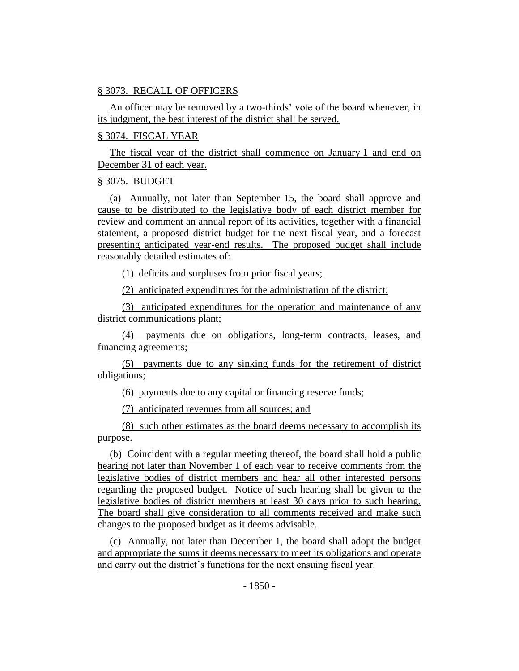## § 3073. RECALL OF OFFICERS

An officer may be removed by a two-thirds' vote of the board whenever, in its judgment, the best interest of the district shall be served.

### § 3074. FISCAL YEAR

The fiscal year of the district shall commence on January 1 and end on December 31 of each year.

### § 3075. BUDGET

(a) Annually, not later than September 15, the board shall approve and cause to be distributed to the legislative body of each district member for review and comment an annual report of its activities, together with a financial statement, a proposed district budget for the next fiscal year, and a forecast presenting anticipated year-end results. The proposed budget shall include reasonably detailed estimates of:

(1) deficits and surpluses from prior fiscal years;

(2) anticipated expenditures for the administration of the district;

(3) anticipated expenditures for the operation and maintenance of any district communications plant;

(4) payments due on obligations, long-term contracts, leases, and financing agreements;

(5) payments due to any sinking funds for the retirement of district obligations;

(6) payments due to any capital or financing reserve funds;

(7) anticipated revenues from all sources; and

(8) such other estimates as the board deems necessary to accomplish its purpose.

(b) Coincident with a regular meeting thereof, the board shall hold a public hearing not later than November 1 of each year to receive comments from the legislative bodies of district members and hear all other interested persons regarding the proposed budget. Notice of such hearing shall be given to the legislative bodies of district members at least 30 days prior to such hearing. The board shall give consideration to all comments received and make such changes to the proposed budget as it deems advisable.

(c) Annually, not later than December 1, the board shall adopt the budget and appropriate the sums it deems necessary to meet its obligations and operate and carry out the district's functions for the next ensuing fiscal year.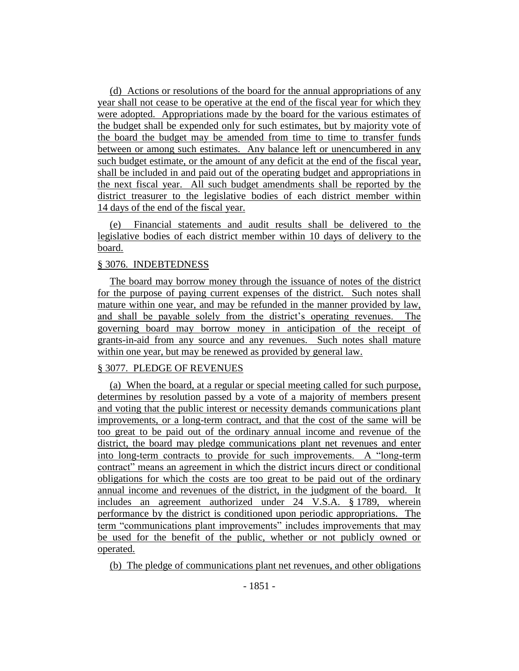(d) Actions or resolutions of the board for the annual appropriations of any year shall not cease to be operative at the end of the fiscal year for which they were adopted. Appropriations made by the board for the various estimates of the budget shall be expended only for such estimates, but by majority vote of the board the budget may be amended from time to time to transfer funds between or among such estimates. Any balance left or unencumbered in any such budget estimate, or the amount of any deficit at the end of the fiscal year, shall be included in and paid out of the operating budget and appropriations in the next fiscal year. All such budget amendments shall be reported by the district treasurer to the legislative bodies of each district member within 14 days of the end of the fiscal year.

(e) Financial statements and audit results shall be delivered to the legislative bodies of each district member within 10 days of delivery to the board.

### § 3076. INDEBTEDNESS

The board may borrow money through the issuance of notes of the district for the purpose of paying current expenses of the district. Such notes shall mature within one year, and may be refunded in the manner provided by law, and shall be payable solely from the district's operating revenues. The governing board may borrow money in anticipation of the receipt of grants-in-aid from any source and any revenues. Such notes shall mature within one year, but may be renewed as provided by general law.

## § 3077. PLEDGE OF REVENUES

(a) When the board, at a regular or special meeting called for such purpose, determines by resolution passed by a vote of a majority of members present and voting that the public interest or necessity demands communications plant improvements, or a long-term contract, and that the cost of the same will be too great to be paid out of the ordinary annual income and revenue of the district, the board may pledge communications plant net revenues and enter into long-term contracts to provide for such improvements. A "long-term contract" means an agreement in which the district incurs direct or conditional obligations for which the costs are too great to be paid out of the ordinary annual income and revenues of the district, in the judgment of the board. It includes an agreement authorized under 24 V.S.A. § 1789, wherein performance by the district is conditioned upon periodic appropriations. The term "communications plant improvements" includes improvements that may be used for the benefit of the public, whether or not publicly owned or operated.

(b) The pledge of communications plant net revenues, and other obligations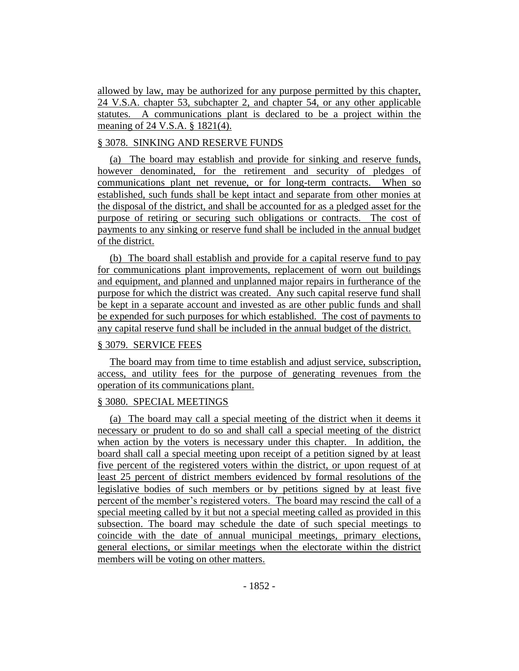allowed by law, may be authorized for any purpose permitted by this chapter, 24 V.S.A. chapter 53, subchapter 2, and chapter 54, or any other applicable statutes. A communications plant is declared to be a project within the meaning of 24 V.S.A. § 1821(4).

# § 3078. SINKING AND RESERVE FUNDS

(a) The board may establish and provide for sinking and reserve funds, however denominated, for the retirement and security of pledges of communications plant net revenue, or for long-term contracts. When so established, such funds shall be kept intact and separate from other monies at the disposal of the district, and shall be accounted for as a pledged asset for the purpose of retiring or securing such obligations or contracts. The cost of payments to any sinking or reserve fund shall be included in the annual budget of the district.

(b) The board shall establish and provide for a capital reserve fund to pay for communications plant improvements, replacement of worn out buildings and equipment, and planned and unplanned major repairs in furtherance of the purpose for which the district was created. Any such capital reserve fund shall be kept in a separate account and invested as are other public funds and shall be expended for such purposes for which established. The cost of payments to any capital reserve fund shall be included in the annual budget of the district.

## § 3079. SERVICE FEES

The board may from time to time establish and adjust service, subscription, access, and utility fees for the purpose of generating revenues from the operation of its communications plant.

## § 3080. SPECIAL MEETINGS

(a) The board may call a special meeting of the district when it deems it necessary or prudent to do so and shall call a special meeting of the district when action by the voters is necessary under this chapter. In addition, the board shall call a special meeting upon receipt of a petition signed by at least five percent of the registered voters within the district, or upon request of at least 25 percent of district members evidenced by formal resolutions of the legislative bodies of such members or by petitions signed by at least five percent of the member's registered voters. The board may rescind the call of a special meeting called by it but not a special meeting called as provided in this subsection. The board may schedule the date of such special meetings to coincide with the date of annual municipal meetings, primary elections, general elections, or similar meetings when the electorate within the district members will be voting on other matters.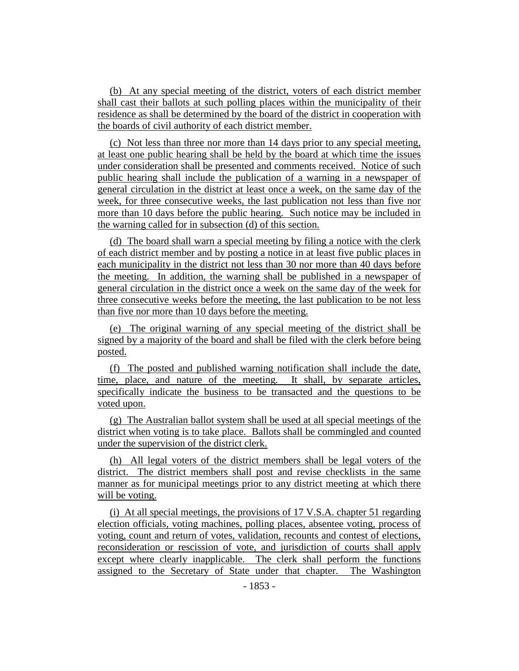(b) At any special meeting of the district, voters of each district member shall cast their ballots at such polling places within the municipality of their residence as shall be determined by the board of the district in cooperation with the boards of civil authority of each district member.

(c) Not less than three nor more than 14 days prior to any special meeting, at least one public hearing shall be held by the board at which time the issues under consideration shall be presented and comments received. Notice of such public hearing shall include the publication of a warning in a newspaper of general circulation in the district at least once a week, on the same day of the week, for three consecutive weeks, the last publication not less than five nor more than 10 days before the public hearing. Such notice may be included in the warning called for in subsection (d) of this section.

(d) The board shall warn a special meeting by filing a notice with the clerk of each district member and by posting a notice in at least five public places in each municipality in the district not less than 30 nor more than 40 days before the meeting. In addition, the warning shall be published in a newspaper of general circulation in the district once a week on the same day of the week for three consecutive weeks before the meeting, the last publication to be not less than five nor more than 10 days before the meeting.

(e) The original warning of any special meeting of the district shall be signed by a majority of the board and shall be filed with the clerk before being posted.

(f) The posted and published warning notification shall include the date, time, place, and nature of the meeting. It shall, by separate articles, specifically indicate the business to be transacted and the questions to be voted upon.

(g) The Australian ballot system shall be used at all special meetings of the district when voting is to take place. Ballots shall be commingled and counted under the supervision of the district clerk.

(h) All legal voters of the district members shall be legal voters of the district. The district members shall post and revise checklists in the same manner as for municipal meetings prior to any district meeting at which there will be voting.

(i) At all special meetings, the provisions of 17 V.S.A. chapter 51 regarding election officials, voting machines, polling places, absentee voting, process of voting, count and return of votes, validation, recounts and contest of elections, reconsideration or rescission of vote, and jurisdiction of courts shall apply except where clearly inapplicable. The clerk shall perform the functions assigned to the Secretary of State under that chapter. The Washington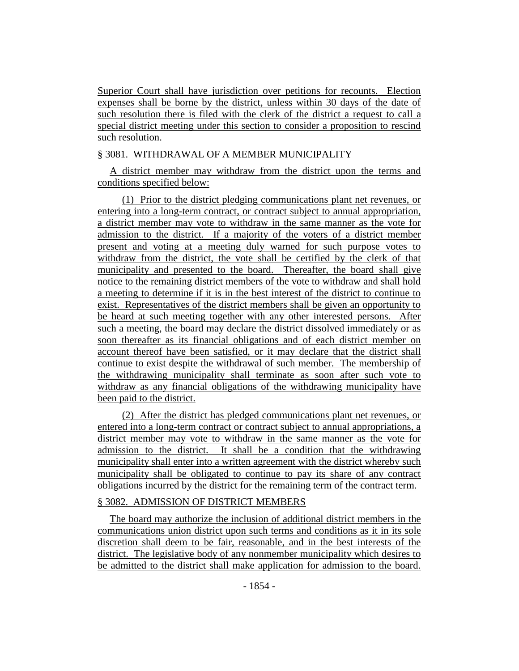Superior Court shall have jurisdiction over petitions for recounts. Election expenses shall be borne by the district, unless within 30 days of the date of such resolution there is filed with the clerk of the district a request to call a special district meeting under this section to consider a proposition to rescind such resolution.

## § 3081. WITHDRAWAL OF A MEMBER MUNICIPALITY

A district member may withdraw from the district upon the terms and conditions specified below:

(1) Prior to the district pledging communications plant net revenues, or entering into a long-term contract, or contract subject to annual appropriation, a district member may vote to withdraw in the same manner as the vote for admission to the district. If a majority of the voters of a district member present and voting at a meeting duly warned for such purpose votes to withdraw from the district, the vote shall be certified by the clerk of that municipality and presented to the board. Thereafter, the board shall give notice to the remaining district members of the vote to withdraw and shall hold a meeting to determine if it is in the best interest of the district to continue to exist. Representatives of the district members shall be given an opportunity to be heard at such meeting together with any other interested persons. After such a meeting, the board may declare the district dissolved immediately or as soon thereafter as its financial obligations and of each district member on account thereof have been satisfied, or it may declare that the district shall continue to exist despite the withdrawal of such member. The membership of the withdrawing municipality shall terminate as soon after such vote to withdraw as any financial obligations of the withdrawing municipality have been paid to the district.

(2) After the district has pledged communications plant net revenues, or entered into a long-term contract or contract subject to annual appropriations, a district member may vote to withdraw in the same manner as the vote for admission to the district. It shall be a condition that the withdrawing municipality shall enter into a written agreement with the district whereby such municipality shall be obligated to continue to pay its share of any contract obligations incurred by the district for the remaining term of the contract term.

## § 3082. ADMISSION OF DISTRICT MEMBERS

The board may authorize the inclusion of additional district members in the communications union district upon such terms and conditions as it in its sole discretion shall deem to be fair, reasonable, and in the best interests of the district. The legislative body of any nonmember municipality which desires to be admitted to the district shall make application for admission to the board.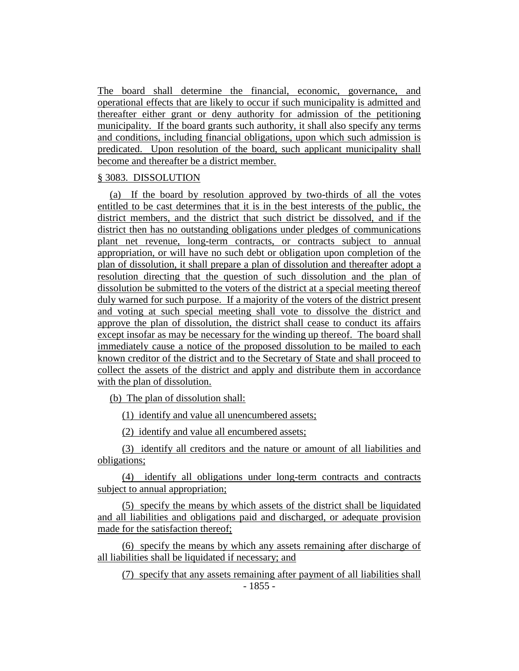The board shall determine the financial, economic, governance, and operational effects that are likely to occur if such municipality is admitted and thereafter either grant or deny authority for admission of the petitioning municipality. If the board grants such authority, it shall also specify any terms and conditions, including financial obligations, upon which such admission is predicated. Upon resolution of the board, such applicant municipality shall become and thereafter be a district member.

### § 3083. DISSOLUTION

(a) If the board by resolution approved by two-thirds of all the votes entitled to be cast determines that it is in the best interests of the public, the district members, and the district that such district be dissolved, and if the district then has no outstanding obligations under pledges of communications plant net revenue, long-term contracts, or contracts subject to annual appropriation, or will have no such debt or obligation upon completion of the plan of dissolution, it shall prepare a plan of dissolution and thereafter adopt a resolution directing that the question of such dissolution and the plan of dissolution be submitted to the voters of the district at a special meeting thereof duly warned for such purpose. If a majority of the voters of the district present and voting at such special meeting shall vote to dissolve the district and approve the plan of dissolution, the district shall cease to conduct its affairs except insofar as may be necessary for the winding up thereof. The board shall immediately cause a notice of the proposed dissolution to be mailed to each known creditor of the district and to the Secretary of State and shall proceed to collect the assets of the district and apply and distribute them in accordance with the plan of dissolution.

(b) The plan of dissolution shall:

(1) identify and value all unencumbered assets;

(2) identify and value all encumbered assets;

(3) identify all creditors and the nature or amount of all liabilities and obligations;

(4) identify all obligations under long-term contracts and contracts subject to annual appropriation;

(5) specify the means by which assets of the district shall be liquidated and all liabilities and obligations paid and discharged, or adequate provision made for the satisfaction thereof;

(6) specify the means by which any assets remaining after discharge of all liabilities shall be liquidated if necessary; and

- 1855 - (7) specify that any assets remaining after payment of all liabilities shall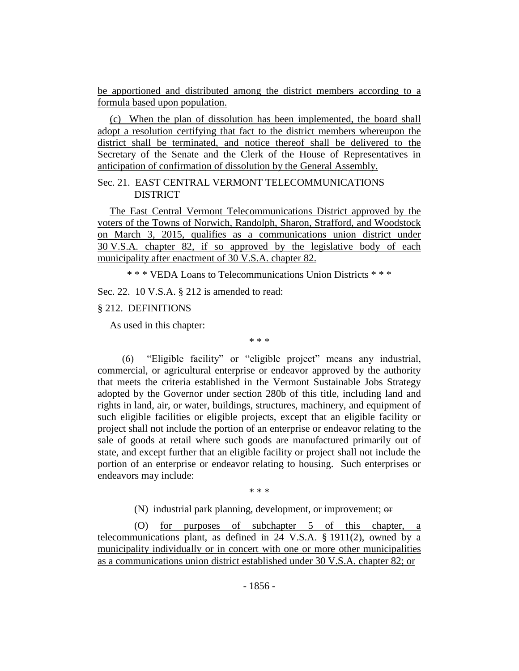be apportioned and distributed among the district members according to a formula based upon population.

(c) When the plan of dissolution has been implemented, the board shall adopt a resolution certifying that fact to the district members whereupon the district shall be terminated, and notice thereof shall be delivered to the Secretary of the Senate and the Clerk of the House of Representatives in anticipation of confirmation of dissolution by the General Assembly.

### Sec. 21. EAST CENTRAL VERMONT TELECOMMUNICATIONS DISTRICT

The East Central Vermont Telecommunications District approved by the voters of the Towns of Norwich, Randolph, Sharon, Strafford, and Woodstock on March 3, 2015, qualifies as a communications union district under 30 V.S.A. chapter 82, if so approved by the legislative body of each municipality after enactment of 30 V.S.A. chapter 82.

\* \* \* VEDA Loans to Telecommunications Union Districts \* \* \*

Sec. 22. 10 V.S.A. § 212 is amended to read:

## § 212. DEFINITIONS

As used in this chapter:

\* \* \*

(6) "Eligible facility" or "eligible project" means any industrial, commercial, or agricultural enterprise or endeavor approved by the authority that meets the criteria established in the Vermont Sustainable Jobs Strategy adopted by the Governor under section 280b of this title, including land and rights in land, air, or water, buildings, structures, machinery, and equipment of such eligible facilities or eligible projects, except that an eligible facility or project shall not include the portion of an enterprise or endeavor relating to the sale of goods at retail where such goods are manufactured primarily out of state, and except further that an eligible facility or project shall not include the portion of an enterprise or endeavor relating to housing. Such enterprises or endeavors may include:

\* \* \*

(N) industrial park planning, development, or improvement; or

(O) for purposes of subchapter 5 of this chapter, a telecommunications plant, as defined in 24 V.S.A. § 1911(2), owned by a municipality individually or in concert with one or more other municipalities as a communications union district established under 30 V.S.A. chapter 82; or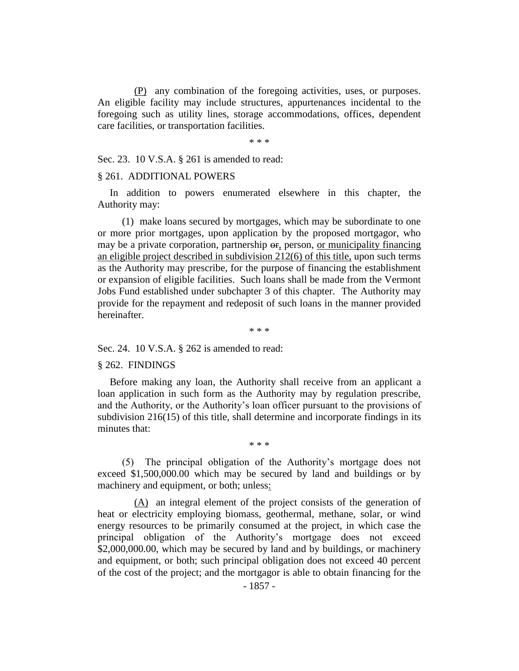(P) any combination of the foregoing activities, uses, or purposes. An eligible facility may include structures, appurtenances incidental to the foregoing such as utility lines, storage accommodations, offices, dependent care facilities, or transportation facilities.

\* \* \*

Sec. 23. 10 V.S.A. § 261 is amended to read:

#### § 261. ADDITIONAL POWERS

In addition to powers enumerated elsewhere in this chapter, the Authority may:

(1) make loans secured by mortgages, which may be subordinate to one or more prior mortgages, upon application by the proposed mortgagor, who may be a private corporation, partnership or, person, or municipality financing an eligible project described in subdivision 212(6) of this title, upon such terms as the Authority may prescribe, for the purpose of financing the establishment or expansion of eligible facilities. Such loans shall be made from the Vermont Jobs Fund established under subchapter 3 of this chapter. The Authority may provide for the repayment and redeposit of such loans in the manner provided hereinafter.

\* \* \*

Sec. 24. 10 V.S.A. § 262 is amended to read:

### § 262. FINDINGS

Before making any loan, the Authority shall receive from an applicant a loan application in such form as the Authority may by regulation prescribe, and the Authority, or the Authority's loan officer pursuant to the provisions of subdivision 216(15) of this title, shall determine and incorporate findings in its minutes that:

(5) The principal obligation of the Authority's mortgage does not exceed \$1,500,000.00 which may be secured by land and buildings or by machinery and equipment, or both; unless:

\* \* \*

(A) an integral element of the project consists of the generation of heat or electricity employing biomass, geothermal, methane, solar, or wind energy resources to be primarily consumed at the project, in which case the principal obligation of the Authority's mortgage does not exceed \$2,000,000.00, which may be secured by land and by buildings, or machinery and equipment, or both; such principal obligation does not exceed 40 percent of the cost of the project; and the mortgagor is able to obtain financing for the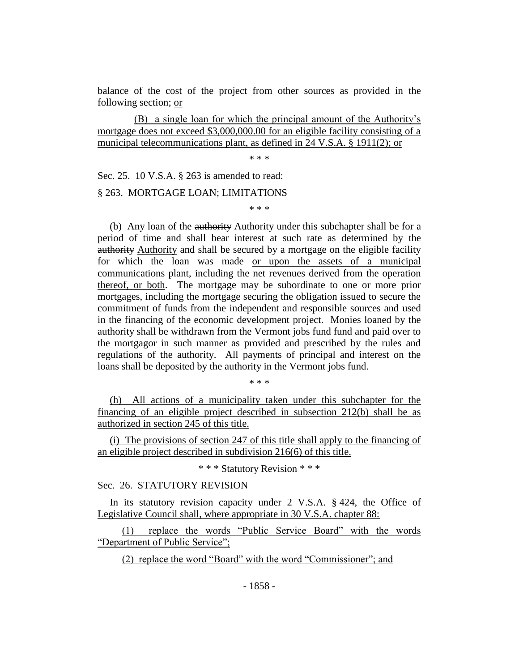balance of the cost of the project from other sources as provided in the following section; or

(B) a single loan for which the principal amount of the Authority's mortgage does not exceed \$3,000,000.00 for an eligible facility consisting of a municipal telecommunications plant, as defined in 24 V.S.A. § 1911(2); or

\* \* \*

Sec. 25. 10 V.S.A. § 263 is amended to read:

### § 263. MORTGAGE LOAN; LIMITATIONS

\* \* \*

(b) Any loan of the authority Authority under this subchapter shall be for a period of time and shall bear interest at such rate as determined by the authority Authority and shall be secured by a mortgage on the eligible facility for which the loan was made or upon the assets of a municipal communications plant, including the net revenues derived from the operation thereof, or both. The mortgage may be subordinate to one or more prior mortgages, including the mortgage securing the obligation issued to secure the commitment of funds from the independent and responsible sources and used in the financing of the economic development project. Monies loaned by the authority shall be withdrawn from the Vermont jobs fund fund and paid over to the mortgagor in such manner as provided and prescribed by the rules and regulations of the authority. All payments of principal and interest on the loans shall be deposited by the authority in the Vermont jobs fund.

\* \* \*

(h) All actions of a municipality taken under this subchapter for the financing of an eligible project described in subsection 212(b) shall be as authorized in section 245 of this title.

(i) The provisions of section 247 of this title shall apply to the financing of an eligible project described in subdivision 216(6) of this title.

\* \* \* Statutory Revision \* \* \*

# Sec. 26. STATUTORY REVISION

In its statutory revision capacity under 2 V.S.A. § 424, the Office of Legislative Council shall, where appropriate in 30 V.S.A. chapter 88:

(1) replace the words "Public Service Board" with the words "Department of Public Service";

(2) replace the word "Board" with the word "Commissioner"; and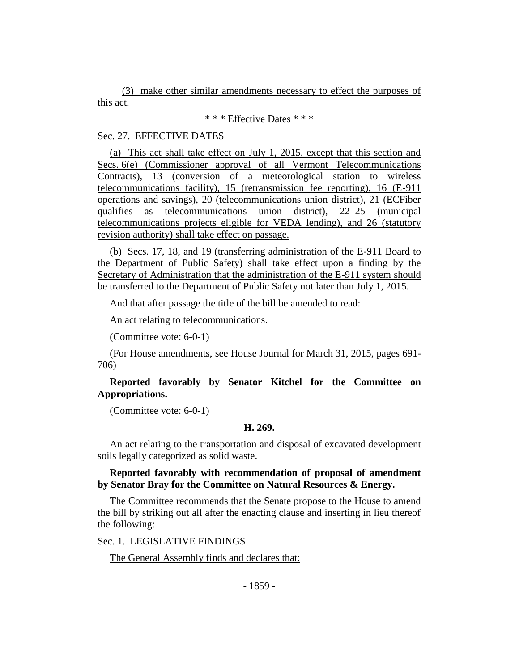(3) make other similar amendments necessary to effect the purposes of this act.

\* \* \* Effective Dates \* \* \*

### Sec. 27. EFFECTIVE DATES

(a) This act shall take effect on July 1, 2015, except that this section and Secs. 6(e) (Commissioner approval of all Vermont Telecommunications Contracts), 13 (conversion of a meteorological station to wireless telecommunications facility), 15 (retransmission fee reporting), 16 (E-911 operations and savings), 20 (telecommunications union district), 21 (ECFiber qualifies as telecommunications union district), 22–25 (municipal telecommunications projects eligible for VEDA lending), and 26 (statutory revision authority) shall take effect on passage.

(b) Secs. 17, 18, and 19 (transferring administration of the E-911 Board to the Department of Public Safety) shall take effect upon a finding by the Secretary of Administration that the administration of the E-911 system should be transferred to the Department of Public Safety not later than July 1, 2015.

And that after passage the title of the bill be amended to read:

An act relating to telecommunications.

(Committee vote: 6-0-1)

(For House amendments, see House Journal for March 31, 2015, pages 691- 706)

## **Reported favorably by Senator Kitchel for the Committee on Appropriations.**

(Committee vote: 6-0-1)

### **H. 269.**

An act relating to the transportation and disposal of excavated development soils legally categorized as solid waste.

## **Reported favorably with recommendation of proposal of amendment by Senator Bray for the Committee on Natural Resources & Energy.**

The Committee recommends that the Senate propose to the House to amend the bill by striking out all after the enacting clause and inserting in lieu thereof the following:

Sec. 1. LEGISLATIVE FINDINGS

The General Assembly finds and declares that: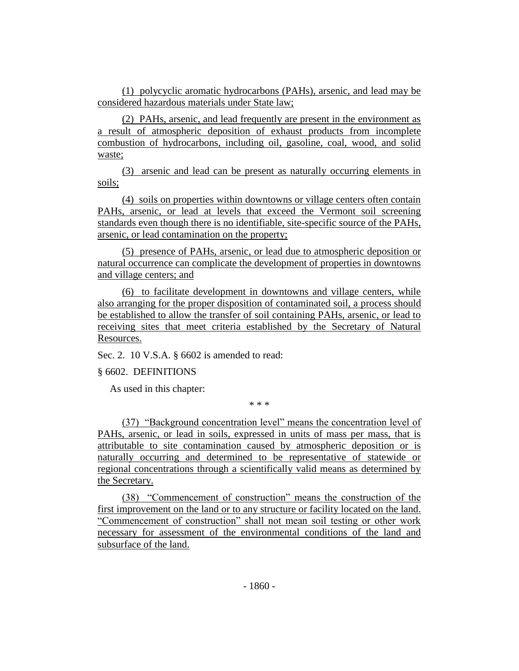(1) polycyclic aromatic hydrocarbons (PAHs), arsenic, and lead may be considered hazardous materials under State law;

(2) PAHs, arsenic, and lead frequently are present in the environment as a result of atmospheric deposition of exhaust products from incomplete combustion of hydrocarbons, including oil, gasoline, coal, wood, and solid waste;

(3) arsenic and lead can be present as naturally occurring elements in soils;

(4) soils on properties within downtowns or village centers often contain PAHs, arsenic, or lead at levels that exceed the Vermont soil screening standards even though there is no identifiable, site-specific source of the PAHs, arsenic, or lead contamination on the property;

(5) presence of PAHs, arsenic, or lead due to atmospheric deposition or natural occurrence can complicate the development of properties in downtowns and village centers; and

(6) to facilitate development in downtowns and village centers, while also arranging for the proper disposition of contaminated soil, a process should be established to allow the transfer of soil containing PAHs, arsenic, or lead to receiving sites that meet criteria established by the Secretary of Natural Resources.

Sec. 2. 10 V.S.A. § 6602 is amended to read:

§ 6602. DEFINITIONS

As used in this chapter:

\* \* \*

(37) "Background concentration level" means the concentration level of PAHs, arsenic, or lead in soils, expressed in units of mass per mass, that is attributable to site contamination caused by atmospheric deposition or is naturally occurring and determined to be representative of statewide or regional concentrations through a scientifically valid means as determined by the Secretary.

(38) "Commencement of construction" means the construction of the first improvement on the land or to any structure or facility located on the land. "Commencement of construction" shall not mean soil testing or other work necessary for assessment of the environmental conditions of the land and subsurface of the land.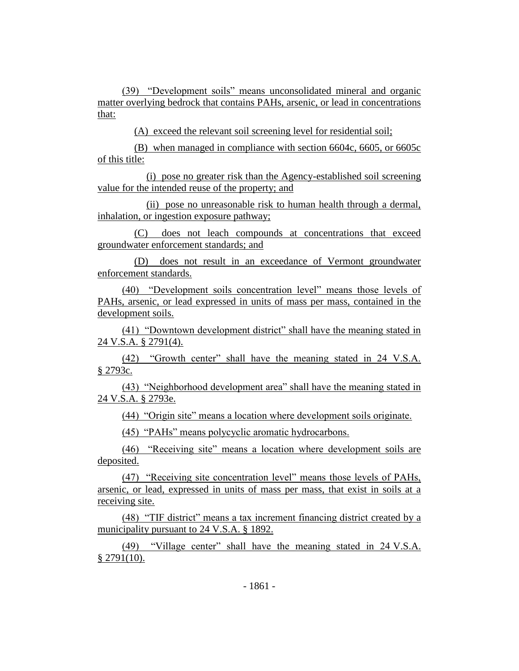(39) "Development soils" means unconsolidated mineral and organic matter overlying bedrock that contains PAHs, arsenic, or lead in concentrations that:

(A) exceed the relevant soil screening level for residential soil;

(B) when managed in compliance with section 6604c, 6605, or 6605c of this title:

(i) pose no greater risk than the Agency-established soil screening value for the intended reuse of the property; and

(ii) pose no unreasonable risk to human health through a dermal, inhalation, or ingestion exposure pathway;

(C) does not leach compounds at concentrations that exceed groundwater enforcement standards; and

(D) does not result in an exceedance of Vermont groundwater enforcement standards.

(40) "Development soils concentration level" means those levels of PAHs, arsenic, or lead expressed in units of mass per mass, contained in the development soils.

(41) "Downtown development district" shall have the meaning stated in 24 V.S.A. § 2791(4).

(42) "Growth center" shall have the meaning stated in 24 V.S.A. § 2793c.

(43) "Neighborhood development area" shall have the meaning stated in 24 V.S.A. § 2793e.

(44) "Origin site" means a location where development soils originate.

(45) "PAHs" means polycyclic aromatic hydrocarbons.

(46) "Receiving site" means a location where development soils are deposited.

(47) "Receiving site concentration level" means those levels of PAHs, arsenic, or lead, expressed in units of mass per mass, that exist in soils at a receiving site.

(48) "TIF district" means a tax increment financing district created by a municipality pursuant to 24 V.S.A. § 1892.

(49) "Village center" shall have the meaning stated in 24 V.S.A.  $§$  2791(10).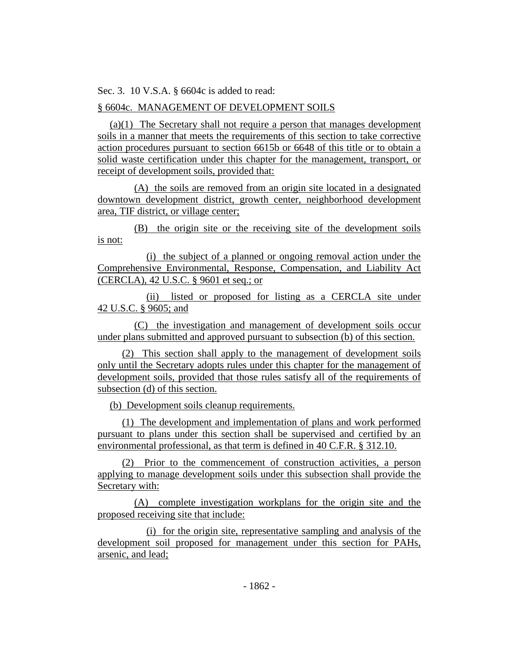Sec. 3. 10 V.S.A. § 6604c is added to read:

# § 6604c. MANAGEMENT OF DEVELOPMENT SOILS

(a)(1) The Secretary shall not require a person that manages development soils in a manner that meets the requirements of this section to take corrective action procedures pursuant to section 6615b or 6648 of this title or to obtain a solid waste certification under this chapter for the management, transport, or receipt of development soils, provided that:

(A) the soils are removed from an origin site located in a designated downtown development district, growth center, neighborhood development area, TIF district, or village center;

(B) the origin site or the receiving site of the development soils is not:

(i) the subject of a planned or ongoing removal action under the Comprehensive Environmental, Response, Compensation, and Liability Act (CERCLA), 42 U.S.C. § 9601 et seq.; or

(ii) listed or proposed for listing as a CERCLA site under 42 U.S.C. § 9605; and

(C) the investigation and management of development soils occur under plans submitted and approved pursuant to subsection (b) of this section.

(2) This section shall apply to the management of development soils only until the Secretary adopts rules under this chapter for the management of development soils, provided that those rules satisfy all of the requirements of subsection (d) of this section.

(b) Development soils cleanup requirements.

(1) The development and implementation of plans and work performed pursuant to plans under this section shall be supervised and certified by an environmental professional, as that term is defined in 40 C.F.R. § 312.10.

(2) Prior to the commencement of construction activities, a person applying to manage development soils under this subsection shall provide the Secretary with:

(A) complete investigation workplans for the origin site and the proposed receiving site that include:

(i) for the origin site, representative sampling and analysis of the development soil proposed for management under this section for PAHs, arsenic, and lead;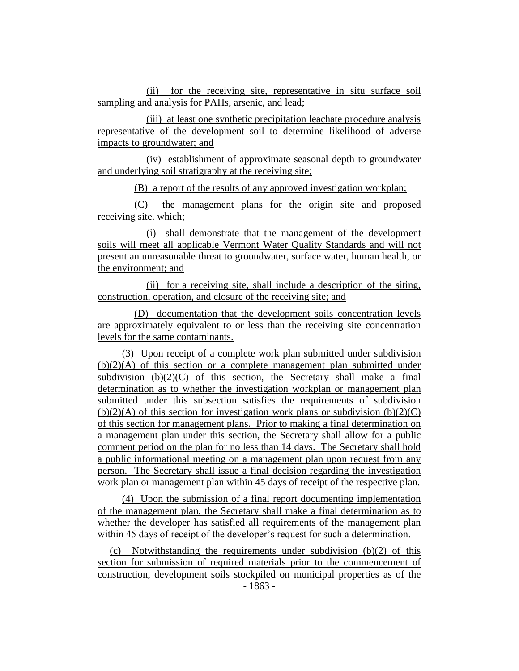(ii) for the receiving site, representative in situ surface soil sampling and analysis for PAHs, arsenic, and lead;

(iii) at least one synthetic precipitation leachate procedure analysis representative of the development soil to determine likelihood of adverse impacts to groundwater; and

(iv) establishment of approximate seasonal depth to groundwater and underlying soil stratigraphy at the receiving site;

(B) a report of the results of any approved investigation workplan;

(C) the management plans for the origin site and proposed receiving site. which;

(i) shall demonstrate that the management of the development soils will meet all applicable Vermont Water Quality Standards and will not present an unreasonable threat to groundwater, surface water, human health, or the environment; and

(ii) for a receiving site, shall include a description of the siting, construction, operation, and closure of the receiving site; and

(D) documentation that the development soils concentration levels are approximately equivalent to or less than the receiving site concentration levels for the same contaminants.

(3) Upon receipt of a complete work plan submitted under subdivision  $(b)(2)(A)$  of this section or a complete management plan submitted under subdivision  $(b)(2)(C)$  of this section, the Secretary shall make a final determination as to whether the investigation workplan or management plan submitted under this subsection satisfies the requirements of subdivision  $(b)(2)(A)$  of this section for investigation work plans or subdivision  $(b)(2)(C)$ of this section for management plans. Prior to making a final determination on a management plan under this section, the Secretary shall allow for a public comment period on the plan for no less than 14 days. The Secretary shall hold a public informational meeting on a management plan upon request from any person. The Secretary shall issue a final decision regarding the investigation work plan or management plan within 45 days of receipt of the respective plan.

(4) Upon the submission of a final report documenting implementation of the management plan, the Secretary shall make a final determination as to whether the developer has satisfied all requirements of the management plan within 45 days of receipt of the developer's request for such a determination.

(c) Notwithstanding the requirements under subdivision (b)(2) of this section for submission of required materials prior to the commencement of construction, development soils stockpiled on municipal properties as of the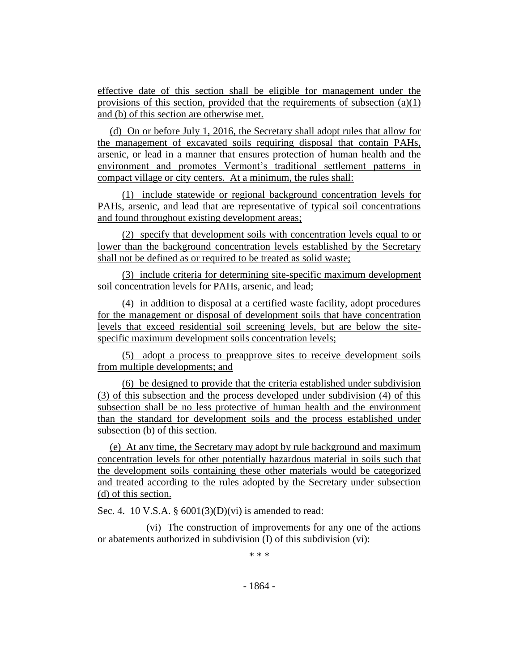effective date of this section shall be eligible for management under the provisions of this section, provided that the requirements of subsection (a)(1) and (b) of this section are otherwise met.

(d) On or before July 1, 2016, the Secretary shall adopt rules that allow for the management of excavated soils requiring disposal that contain PAHs, arsenic, or lead in a manner that ensures protection of human health and the environment and promotes Vermont's traditional settlement patterns in compact village or city centers. At a minimum, the rules shall:

(1) include statewide or regional background concentration levels for PAHs, arsenic, and lead that are representative of typical soil concentrations and found throughout existing development areas;

(2) specify that development soils with concentration levels equal to or lower than the background concentration levels established by the Secretary shall not be defined as or required to be treated as solid waste;

(3) include criteria for determining site-specific maximum development soil concentration levels for PAHs, arsenic, and lead;

(4) in addition to disposal at a certified waste facility, adopt procedures for the management or disposal of development soils that have concentration levels that exceed residential soil screening levels, but are below the sitespecific maximum development soils concentration levels;

(5) adopt a process to preapprove sites to receive development soils from multiple developments; and

(6) be designed to provide that the criteria established under subdivision (3) of this subsection and the process developed under subdivision (4) of this subsection shall be no less protective of human health and the environment than the standard for development soils and the process established under subsection (b) of this section.

(e) At any time, the Secretary may adopt by rule background and maximum concentration levels for other potentially hazardous material in soils such that the development soils containing these other materials would be categorized and treated according to the rules adopted by the Secretary under subsection (d) of this section.

Sec. 4. 10 V.S.A. §  $6001(3)(D)(vi)$  is amended to read:

(vi) The construction of improvements for any one of the actions or abatements authorized in subdivision (I) of this subdivision (vi):

\* \* \*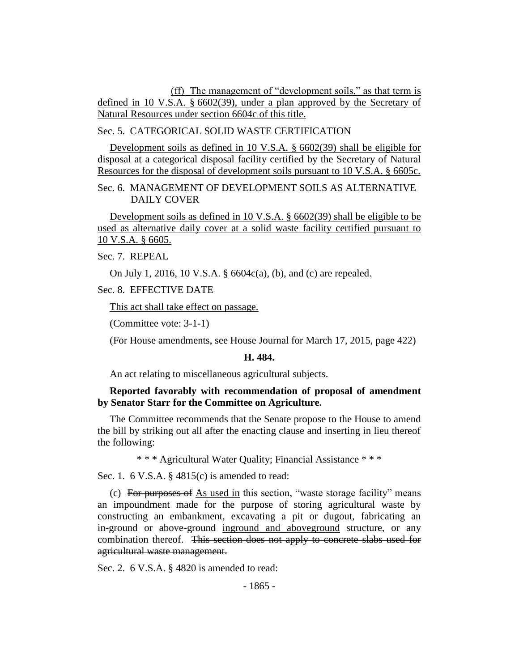(ff) The management of "development soils," as that term is defined in 10 V.S.A. § 6602(39), under a plan approved by the Secretary of Natural Resources under section 6604c of this title.

Sec. 5. CATEGORICAL SOLID WASTE CERTIFICATION

Development soils as defined in 10 V.S.A. § 6602(39) shall be eligible for disposal at a categorical disposal facility certified by the Secretary of Natural Resources for the disposal of development soils pursuant to 10 V.S.A. § 6605c.

Sec. 6. MANAGEMENT OF DEVELOPMENT SOILS AS ALTERNATIVE DAILY COVER

Development soils as defined in 10 V.S.A. § 6602(39) shall be eligible to be used as alternative daily cover at a solid waste facility certified pursuant to 10 V.S.A. § 6605.

Sec. 7. REPEAL

On July 1, 2016, 10 V.S.A. § 6604c(a), (b), and (c) are repealed.

Sec. 8. EFFECTIVE DATE

This act shall take effect on passage.

(Committee vote: 3-1-1)

(For House amendments, see House Journal for March 17, 2015, page 422)

### **H. 484.**

An act relating to miscellaneous agricultural subjects.

## **Reported favorably with recommendation of proposal of amendment by Senator Starr for the Committee on Agriculture.**

The Committee recommends that the Senate propose to the House to amend the bill by striking out all after the enacting clause and inserting in lieu thereof the following:

\* \* \* Agricultural Water Quality; Financial Assistance \* \* \*

Sec. 1. 6 V.S.A. § 4815(c) is amended to read:

(c) For purposes of As used in this section, "waste storage facility" means an impoundment made for the purpose of storing agricultural waste by constructing an embankment, excavating a pit or dugout, fabricating an in-ground or above-ground inground and aboveground structure, or any combination thereof. This section does not apply to concrete slabs used for agricultural waste management.

Sec. 2. 6 V.S.A. § 4820 is amended to read: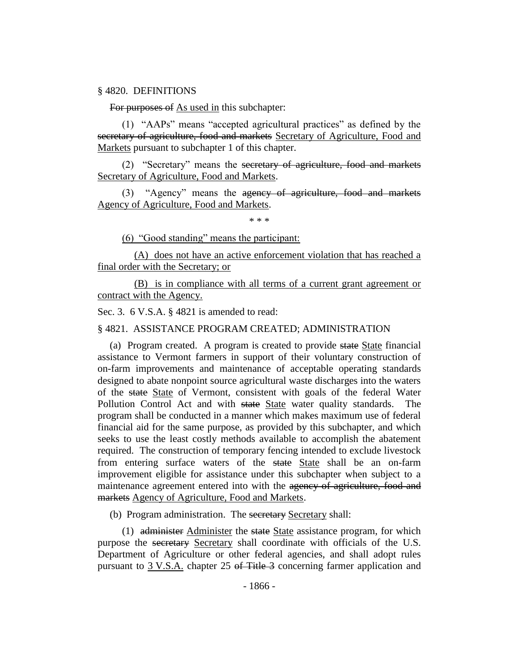#### § 4820. DEFINITIONS

For purposes of As used in this subchapter:

(1) "AAPs" means "accepted agricultural practices" as defined by the secretary of agriculture, food and markets Secretary of Agriculture, Food and Markets pursuant to subchapter 1 of this chapter.

(2) "Secretary" means the secretary of agriculture, food and markets Secretary of Agriculture, Food and Markets.

(3) "Agency" means the agency of agriculture, food and markets Agency of Agriculture, Food and Markets.

\* \* \*

(6) "Good standing" means the participant:

(A) does not have an active enforcement violation that has reached a final order with the Secretary; or

(B) is in compliance with all terms of a current grant agreement or contract with the Agency.

Sec. 3. 6 V.S.A. § 4821 is amended to read:

§ 4821. ASSISTANCE PROGRAM CREATED; ADMINISTRATION

(a) Program created. A program is created to provide state State financial assistance to Vermont farmers in support of their voluntary construction of on-farm improvements and maintenance of acceptable operating standards designed to abate nonpoint source agricultural waste discharges into the waters of the state State of Vermont, consistent with goals of the federal Water Pollution Control Act and with state State water quality standards. The program shall be conducted in a manner which makes maximum use of federal financial aid for the same purpose, as provided by this subchapter, and which seeks to use the least costly methods available to accomplish the abatement required. The construction of temporary fencing intended to exclude livestock from entering surface waters of the state State shall be an on-farm improvement eligible for assistance under this subchapter when subject to a maintenance agreement entered into with the agency of agriculture, food and markets Agency of Agriculture, Food and Markets.

(b) Program administration. The secretary Secretary shall:

(1) administer Administer the state State assistance program, for which purpose the secretary Secretary shall coordinate with officials of the U.S. Department of Agriculture or other federal agencies, and shall adopt rules pursuant to 3 V.S.A. chapter 25 of Title 3 concerning farmer application and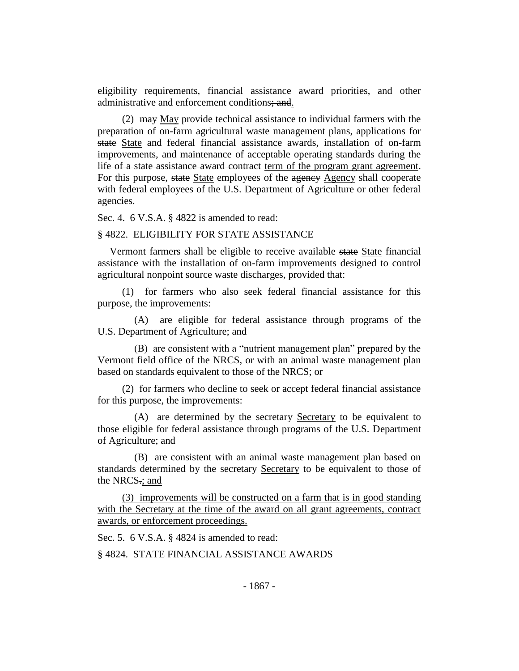eligibility requirements, financial assistance award priorities, and other administrative and enforcement conditions; and.

(2)  $\frac{1}{2}$  may May provide technical assistance to individual farmers with the preparation of on-farm agricultural waste management plans, applications for state State and federal financial assistance awards, installation of on-farm improvements, and maintenance of acceptable operating standards during the life of a state assistance award contract term of the program grant agreement. For this purpose, state State employees of the agency Agency shall cooperate with federal employees of the U.S. Department of Agriculture or other federal agencies.

Sec. 4. 6 V.S.A. § 4822 is amended to read:

#### § 4822. ELIGIBILITY FOR STATE ASSISTANCE

Vermont farmers shall be eligible to receive available state State financial assistance with the installation of on-farm improvements designed to control agricultural nonpoint source waste discharges, provided that:

(1) for farmers who also seek federal financial assistance for this purpose, the improvements:

(A) are eligible for federal assistance through programs of the U.S. Department of Agriculture; and

(B) are consistent with a "nutrient management plan" prepared by the Vermont field office of the NRCS, or with an animal waste management plan based on standards equivalent to those of the NRCS; or

(2) for farmers who decline to seek or accept federal financial assistance for this purpose, the improvements:

(A) are determined by the secretary Secretary to be equivalent to those eligible for federal assistance through programs of the U.S. Department of Agriculture; and

(B) are consistent with an animal waste management plan based on standards determined by the secretary Secretary to be equivalent to those of the NRCS.; and

(3) improvements will be constructed on a farm that is in good standing with the Secretary at the time of the award on all grant agreements, contract awards, or enforcement proceedings.

Sec. 5. 6 V.S.A. § 4824 is amended to read:

§ 4824. STATE FINANCIAL ASSISTANCE AWARDS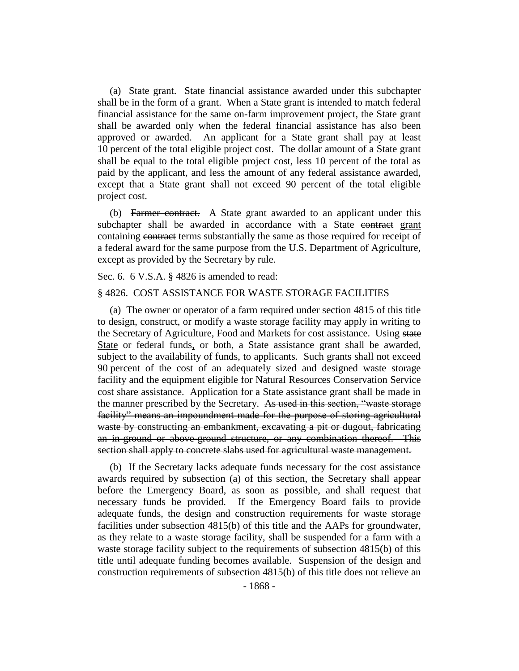(a) State grant. State financial assistance awarded under this subchapter shall be in the form of a grant. When a State grant is intended to match federal financial assistance for the same on-farm improvement project, the State grant shall be awarded only when the federal financial assistance has also been approved or awarded. An applicant for a State grant shall pay at least 10 percent of the total eligible project cost. The dollar amount of a State grant shall be equal to the total eligible project cost, less 10 percent of the total as paid by the applicant, and less the amount of any federal assistance awarded, except that a State grant shall not exceed 90 percent of the total eligible project cost.

(b) Farmer contract. A State grant awarded to an applicant under this subchapter shall be awarded in accordance with a State contract grant containing contract terms substantially the same as those required for receipt of a federal award for the same purpose from the U.S. Department of Agriculture, except as provided by the Secretary by rule.

Sec. 6. 6 V.S.A. § 4826 is amended to read:

### § 4826. COST ASSISTANCE FOR WASTE STORAGE FACILITIES

(a) The owner or operator of a farm required under section 4815 of this title to design, construct, or modify a waste storage facility may apply in writing to the Secretary of Agriculture, Food and Markets for cost assistance. Using state State or federal funds, or both, a State assistance grant shall be awarded, subject to the availability of funds, to applicants. Such grants shall not exceed 90 percent of the cost of an adequately sized and designed waste storage facility and the equipment eligible for Natural Resources Conservation Service cost share assistance. Application for a State assistance grant shall be made in the manner prescribed by the Secretary. As used in this section, "waste storage facility" means an impoundment made for the purpose of storing agricultural waste by constructing an embankment, excavating a pit or dugout, fabricating an in-ground or above-ground structure, or any combination thereof. This section shall apply to concrete slabs used for agricultural waste management.

(b) If the Secretary lacks adequate funds necessary for the cost assistance awards required by subsection (a) of this section, the Secretary shall appear before the Emergency Board, as soon as possible, and shall request that necessary funds be provided. If the Emergency Board fails to provide adequate funds, the design and construction requirements for waste storage facilities under subsection 4815(b) of this title and the AAPs for groundwater, as they relate to a waste storage facility, shall be suspended for a farm with a waste storage facility subject to the requirements of subsection 4815(b) of this title until adequate funding becomes available. Suspension of the design and construction requirements of subsection 4815(b) of this title does not relieve an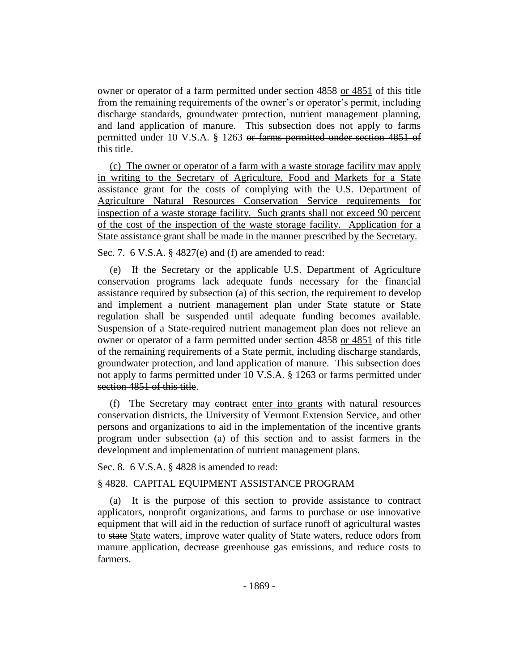owner or operator of a farm permitted under section 4858 or 4851 of this title from the remaining requirements of the owner's or operator's permit, including discharge standards, groundwater protection, nutrient management planning, and land application of manure. This subsection does not apply to farms permitted under 10 V.S.A. § 1263 or farms permitted under section 4851 of this title.

(c) The owner or operator of a farm with a waste storage facility may apply in writing to the Secretary of Agriculture, Food and Markets for a State assistance grant for the costs of complying with the U.S. Department of Agriculture Natural Resources Conservation Service requirements for inspection of a waste storage facility. Such grants shall not exceed 90 percent of the cost of the inspection of the waste storage facility. Application for a State assistance grant shall be made in the manner prescribed by the Secretary.

Sec. 7. 6 V.S.A. § 4827(e) and (f) are amended to read:

(e) If the Secretary or the applicable U.S. Department of Agriculture conservation programs lack adequate funds necessary for the financial assistance required by subsection (a) of this section, the requirement to develop and implement a nutrient management plan under State statute or State regulation shall be suspended until adequate funding becomes available. Suspension of a State-required nutrient management plan does not relieve an owner or operator of a farm permitted under section 4858 or 4851 of this title of the remaining requirements of a State permit, including discharge standards, groundwater protection, and land application of manure. This subsection does not apply to farms permitted under 10 V.S.A. § 1263 or farms permitted under section 4851 of this title.

(f) The Secretary may contract enter into grants with natural resources conservation districts, the University of Vermont Extension Service, and other persons and organizations to aid in the implementation of the incentive grants program under subsection (a) of this section and to assist farmers in the development and implementation of nutrient management plans.

Sec. 8. 6 V.S.A. § 4828 is amended to read:

### § 4828. CAPITAL EQUIPMENT ASSISTANCE PROGRAM

(a) It is the purpose of this section to provide assistance to contract applicators, nonprofit organizations, and farms to purchase or use innovative equipment that will aid in the reduction of surface runoff of agricultural wastes to state State waters, improve water quality of State waters, reduce odors from manure application, decrease greenhouse gas emissions, and reduce costs to farmers.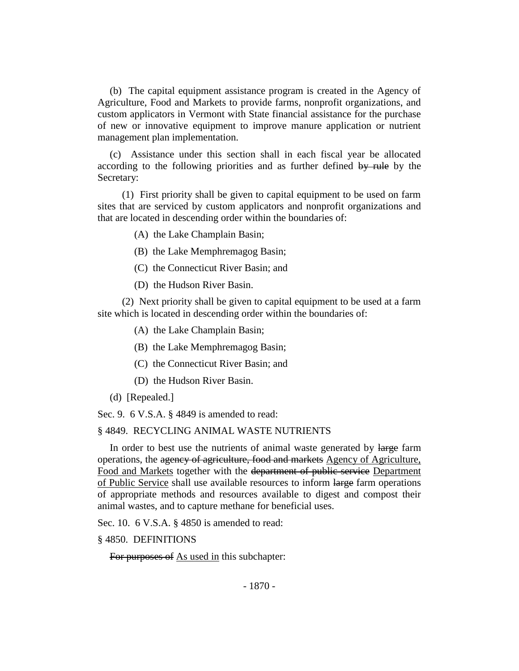(b) The capital equipment assistance program is created in the Agency of Agriculture, Food and Markets to provide farms, nonprofit organizations, and custom applicators in Vermont with State financial assistance for the purchase of new or innovative equipment to improve manure application or nutrient management plan implementation.

(c) Assistance under this section shall in each fiscal year be allocated according to the following priorities and as further defined by rule by the Secretary:

(1) First priority shall be given to capital equipment to be used on farm sites that are serviced by custom applicators and nonprofit organizations and that are located in descending order within the boundaries of:

- (A) the Lake Champlain Basin;
- (B) the Lake Memphremagog Basin;
- (C) the Connecticut River Basin; and
- (D) the Hudson River Basin.

(2) Next priority shall be given to capital equipment to be used at a farm site which is located in descending order within the boundaries of:

- (A) the Lake Champlain Basin;
- (B) the Lake Memphremagog Basin;
- (C) the Connecticut River Basin; and
- (D) the Hudson River Basin.
- (d) [Repealed.]

Sec. 9. 6 V.S.A. § 4849 is amended to read:

### § 4849. RECYCLING ANIMAL WASTE NUTRIENTS

In order to best use the nutrients of animal waste generated by large farm operations, the agency of agriculture, food and markets Agency of Agriculture, Food and Markets together with the department of public service Department of Public Service shall use available resources to inform large farm operations of appropriate methods and resources available to digest and compost their animal wastes, and to capture methane for beneficial uses.

Sec. 10. 6 V.S.A. § 4850 is amended to read:

#### § 4850. DEFINITIONS

For purposes of As used in this subchapter: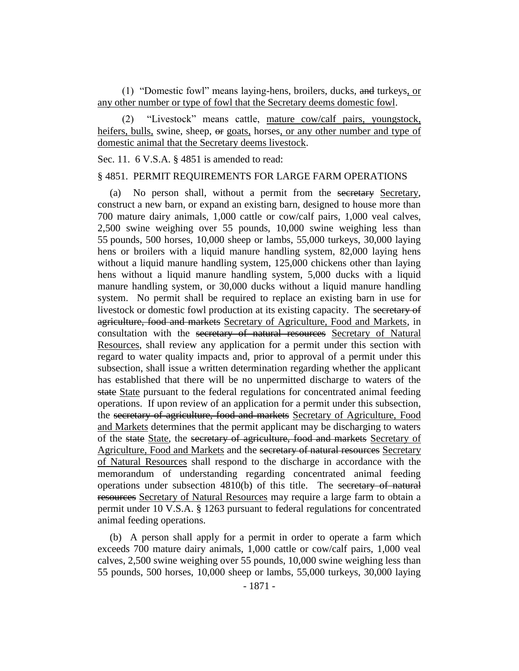(1) "Domestic fowl" means laying-hens, broilers, ducks, and turkeys, or any other number or type of fowl that the Secretary deems domestic fowl.

(2) "Livestock" means cattle, mature cow/calf pairs, youngstock, heifers, bulls, swine, sheep,  $\Theta$  goats, horses, or any other number and type of domestic animal that the Secretary deems livestock.

### Sec. 11. 6 V.S.A. § 4851 is amended to read:

#### § 4851. PERMIT REQUIREMENTS FOR LARGE FARM OPERATIONS

(a) No person shall, without a permit from the secretary Secretary, construct a new barn, or expand an existing barn, designed to house more than 700 mature dairy animals, 1,000 cattle or cow/calf pairs, 1,000 veal calves, 2,500 swine weighing over 55 pounds, 10,000 swine weighing less than 55 pounds, 500 horses, 10,000 sheep or lambs, 55,000 turkeys, 30,000 laying hens or broilers with a liquid manure handling system, 82,000 laying hens without a liquid manure handling system, 125,000 chickens other than laying hens without a liquid manure handling system, 5,000 ducks with a liquid manure handling system, or 30,000 ducks without a liquid manure handling system. No permit shall be required to replace an existing barn in use for livestock or domestic fowl production at its existing capacity. The secretary of agriculture, food and markets Secretary of Agriculture, Food and Markets, in consultation with the secretary of natural resources Secretary of Natural Resources, shall review any application for a permit under this section with regard to water quality impacts and, prior to approval of a permit under this subsection, shall issue a written determination regarding whether the applicant has established that there will be no unpermitted discharge to waters of the state State pursuant to the federal regulations for concentrated animal feeding operations. If upon review of an application for a permit under this subsection, the secretary of agriculture, food and markets Secretary of Agriculture, Food and Markets determines that the permit applicant may be discharging to waters of the state State, the secretary of agriculture, food and markets Secretary of Agriculture, Food and Markets and the secretary of natural resources Secretary of Natural Resources shall respond to the discharge in accordance with the memorandum of understanding regarding concentrated animal feeding operations under subsection  $4810(b)$  of this title. The secretary of natural resources Secretary of Natural Resources may require a large farm to obtain a permit under 10 V.S.A. § 1263 pursuant to federal regulations for concentrated animal feeding operations.

(b) A person shall apply for a permit in order to operate a farm which exceeds 700 mature dairy animals, 1,000 cattle or cow/calf pairs, 1,000 veal calves, 2,500 swine weighing over 55 pounds, 10,000 swine weighing less than 55 pounds, 500 horses, 10,000 sheep or lambs, 55,000 turkeys, 30,000 laying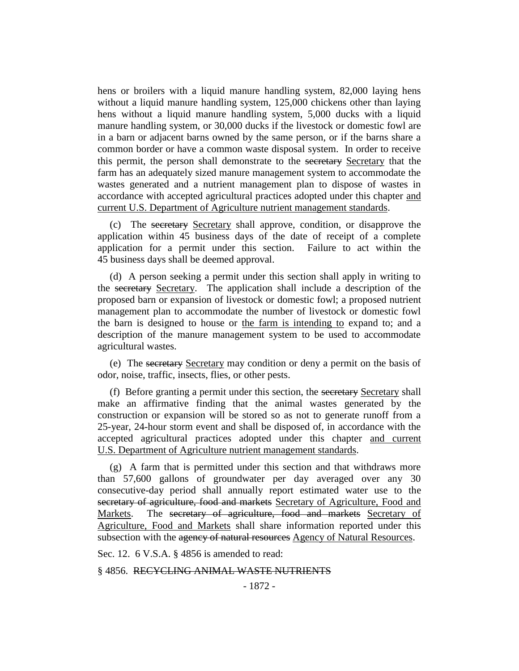hens or broilers with a liquid manure handling system, 82,000 laying hens without a liquid manure handling system, 125,000 chickens other than laying hens without a liquid manure handling system, 5,000 ducks with a liquid manure handling system, or 30,000 ducks if the livestock or domestic fowl are in a barn or adjacent barns owned by the same person, or if the barns share a common border or have a common waste disposal system. In order to receive this permit, the person shall demonstrate to the secretary Secretary that the farm has an adequately sized manure management system to accommodate the wastes generated and a nutrient management plan to dispose of wastes in accordance with accepted agricultural practices adopted under this chapter and current U.S. Department of Agriculture nutrient management standards.

(c) The secretary Secretary shall approve, condition, or disapprove the application within 45 business days of the date of receipt of a complete application for a permit under this section. Failure to act within the 45 business days shall be deemed approval.

(d) A person seeking a permit under this section shall apply in writing to the secretary Secretary. The application shall include a description of the proposed barn or expansion of livestock or domestic fowl; a proposed nutrient management plan to accommodate the number of livestock or domestic fowl the barn is designed to house or the farm is intending to expand to; and a description of the manure management system to be used to accommodate agricultural wastes.

(e) The secretary Secretary may condition or deny a permit on the basis of odor, noise, traffic, insects, flies, or other pests.

(f) Before granting a permit under this section, the secretary Secretary shall make an affirmative finding that the animal wastes generated by the construction or expansion will be stored so as not to generate runoff from a 25-year, 24-hour storm event and shall be disposed of, in accordance with the accepted agricultural practices adopted under this chapter and current U.S. Department of Agriculture nutrient management standards.

(g) A farm that is permitted under this section and that withdraws more than 57,600 gallons of groundwater per day averaged over any 30 consecutive-day period shall annually report estimated water use to the secretary of agriculture, food and markets Secretary of Agriculture, Food and Markets. The secretary of agriculture, food and markets Secretary of Agriculture, Food and Markets shall share information reported under this subsection with the agency of natural resources Agency of Natural Resources.

Sec. 12. 6 V.S.A. § 4856 is amended to read:

§ 4856. RECYCLING ANIMAL WASTE NUTRIENTS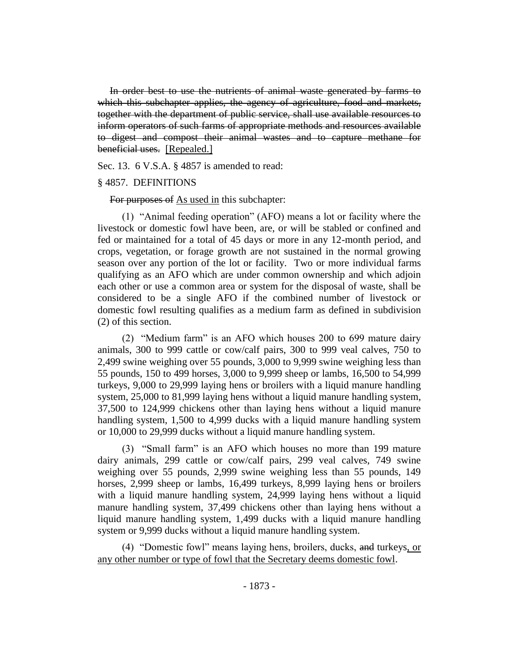In order best to use the nutrients of animal waste generated by farms to which this subchapter applies, the agency of agriculture, food and markets, together with the department of public service, shall use available resources to inform operators of such farms of appropriate methods and resources available to digest and compost their animal wastes and to capture methane for beneficial uses. [Repealed.]

Sec. 13. 6 V.S.A. § 4857 is amended to read:

### § 4857. DEFINITIONS

For purposes of As used in this subchapter:

(1) "Animal feeding operation" (AFO) means a lot or facility where the livestock or domestic fowl have been, are, or will be stabled or confined and fed or maintained for a total of 45 days or more in any 12-month period, and crops, vegetation, or forage growth are not sustained in the normal growing season over any portion of the lot or facility. Two or more individual farms qualifying as an AFO which are under common ownership and which adjoin each other or use a common area or system for the disposal of waste, shall be considered to be a single AFO if the combined number of livestock or domestic fowl resulting qualifies as a medium farm as defined in subdivision (2) of this section.

(2) "Medium farm" is an AFO which houses 200 to 699 mature dairy animals, 300 to 999 cattle or cow/calf pairs, 300 to 999 veal calves, 750 to 2,499 swine weighing over 55 pounds, 3,000 to 9,999 swine weighing less than 55 pounds, 150 to 499 horses, 3,000 to 9,999 sheep or lambs, 16,500 to 54,999 turkeys, 9,000 to 29,999 laying hens or broilers with a liquid manure handling system, 25,000 to 81,999 laying hens without a liquid manure handling system, 37,500 to 124,999 chickens other than laying hens without a liquid manure handling system, 1,500 to 4,999 ducks with a liquid manure handling system or 10,000 to 29,999 ducks without a liquid manure handling system.

(3) "Small farm" is an AFO which houses no more than 199 mature dairy animals, 299 cattle or cow/calf pairs, 299 veal calves, 749 swine weighing over 55 pounds, 2,999 swine weighing less than 55 pounds, 149 horses, 2,999 sheep or lambs, 16,499 turkeys, 8,999 laying hens or broilers with a liquid manure handling system, 24,999 laying hens without a liquid manure handling system, 37,499 chickens other than laying hens without a liquid manure handling system, 1,499 ducks with a liquid manure handling system or 9,999 ducks without a liquid manure handling system.

(4) "Domestic fowl" means laying hens, broilers, ducks, and turkeys, or any other number or type of fowl that the Secretary deems domestic fowl.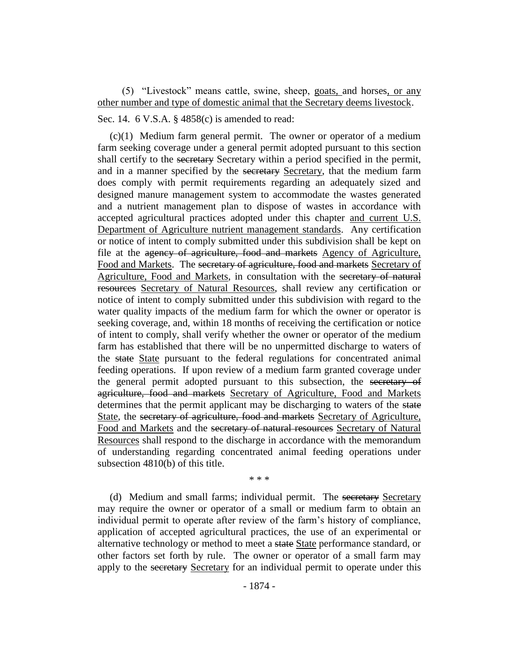(5) "Livestock" means cattle, swine, sheep, goats, and horses, or any other number and type of domestic animal that the Secretary deems livestock.

### Sec. 14. 6 V.S.A. § 4858(c) is amended to read:

(c)(1) Medium farm general permit. The owner or operator of a medium farm seeking coverage under a general permit adopted pursuant to this section shall certify to the secretary Secretary within a period specified in the permit, and in a manner specified by the secretary Secretary, that the medium farm does comply with permit requirements regarding an adequately sized and designed manure management system to accommodate the wastes generated and a nutrient management plan to dispose of wastes in accordance with accepted agricultural practices adopted under this chapter and current U.S. Department of Agriculture nutrient management standards. Any certification or notice of intent to comply submitted under this subdivision shall be kept on file at the agency of agriculture, food and markets Agency of Agriculture, Food and Markets. The secretary of agriculture, food and markets Secretary of Agriculture, Food and Markets, in consultation with the secretary of natural resources Secretary of Natural Resources, shall review any certification or notice of intent to comply submitted under this subdivision with regard to the water quality impacts of the medium farm for which the owner or operator is seeking coverage, and, within 18 months of receiving the certification or notice of intent to comply, shall verify whether the owner or operator of the medium farm has established that there will be no unpermitted discharge to waters of the state State pursuant to the federal regulations for concentrated animal feeding operations. If upon review of a medium farm granted coverage under the general permit adopted pursuant to this subsection, the secretary of agriculture, food and markets Secretary of Agriculture, Food and Markets determines that the permit applicant may be discharging to waters of the state State, the secretary of agriculture, food and markets Secretary of Agriculture, Food and Markets and the secretary of natural resources Secretary of Natural Resources shall respond to the discharge in accordance with the memorandum of understanding regarding concentrated animal feeding operations under subsection 4810(b) of this title.

\* \* \*

(d) Medium and small farms; individual permit. The secretary Secretary may require the owner or operator of a small or medium farm to obtain an individual permit to operate after review of the farm's history of compliance, application of accepted agricultural practices, the use of an experimental or alternative technology or method to meet a state State performance standard, or other factors set forth by rule. The owner or operator of a small farm may apply to the secretary Secretary for an individual permit to operate under this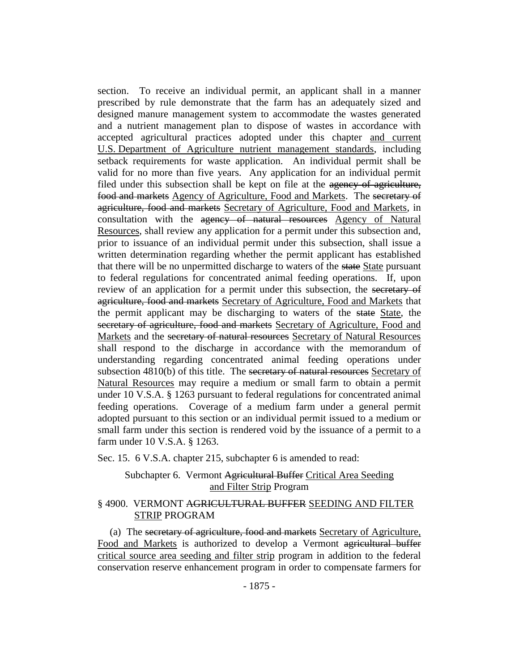section. To receive an individual permit, an applicant shall in a manner prescribed by rule demonstrate that the farm has an adequately sized and designed manure management system to accommodate the wastes generated and a nutrient management plan to dispose of wastes in accordance with accepted agricultural practices adopted under this chapter and current U.S. Department of Agriculture nutrient management standards, including setback requirements for waste application. An individual permit shall be valid for no more than five years. Any application for an individual permit filed under this subsection shall be kept on file at the agency of agriculture, food and markets Agency of Agriculture, Food and Markets. The secretary of agriculture, food and markets Secretary of Agriculture, Food and Markets, in consultation with the agency of natural resources Agency of Natural Resources, shall review any application for a permit under this subsection and, prior to issuance of an individual permit under this subsection, shall issue a written determination regarding whether the permit applicant has established that there will be no unpermitted discharge to waters of the state State pursuant to federal regulations for concentrated animal feeding operations. If, upon review of an application for a permit under this subsection, the secretary of agriculture, food and markets Secretary of Agriculture, Food and Markets that the permit applicant may be discharging to waters of the state State, the secretary of agriculture, food and markets Secretary of Agriculture, Food and Markets and the secretary of natural resources Secretary of Natural Resources shall respond to the discharge in accordance with the memorandum of understanding regarding concentrated animal feeding operations under subsection 4810(b) of this title. The secretary of natural resources Secretary of Natural Resources may require a medium or small farm to obtain a permit under 10 V.S.A. § 1263 pursuant to federal regulations for concentrated animal feeding operations. Coverage of a medium farm under a general permit adopted pursuant to this section or an individual permit issued to a medium or small farm under this section is rendered void by the issuance of a permit to a farm under 10 V.S.A. § 1263.

Sec. 15. 6 V.S.A. chapter 215, subchapter 6 is amended to read:

# Subchapter 6. Vermont Agricultural Buffer Critical Area Seeding and Filter Strip Program

## § 4900. VERMONT AGRICULTURAL BUFFER SEEDING AND FILTER STRIP PROGRAM

(a) The secretary of agriculture, food and markets Secretary of Agriculture, Food and Markets is authorized to develop a Vermont agricultural buffer critical source area seeding and filter strip program in addition to the federal conservation reserve enhancement program in order to compensate farmers for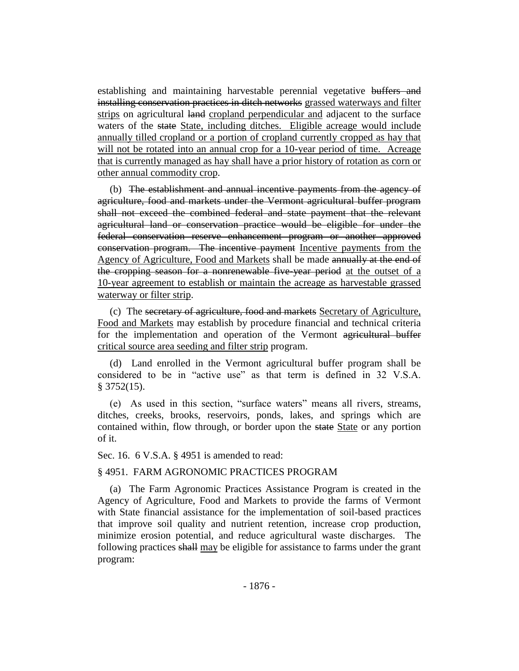establishing and maintaining harvestable perennial vegetative buffers and installing conservation practices in ditch networks grassed waterways and filter strips on agricultural land cropland perpendicular and adjacent to the surface waters of the state State, including ditches. Eligible acreage would include annually tilled cropland or a portion of cropland currently cropped as hay that will not be rotated into an annual crop for a 10-year period of time. Acreage that is currently managed as hay shall have a prior history of rotation as corn or other annual commodity crop.

(b) The establishment and annual incentive payments from the agency of agriculture, food and markets under the Vermont agricultural buffer program shall not exceed the combined federal and state payment that the relevant agricultural land or conservation practice would be eligible for under the federal conservation reserve enhancement program or another approved conservation program. The incentive payment Incentive payments from the Agency of Agriculture, Food and Markets shall be made annually at the end of the cropping season for a nonrenewable five year period at the outset of a 10-year agreement to establish or maintain the acreage as harvestable grassed waterway or filter strip.

(c) The secretary of agriculture, food and markets Secretary of Agriculture, Food and Markets may establish by procedure financial and technical criteria for the implementation and operation of the Vermont agricultural buffer critical source area seeding and filter strip program.

(d) Land enrolled in the Vermont agricultural buffer program shall be considered to be in "active use" as that term is defined in 32 V.S.A. § 3752(15).

(e) As used in this section, "surface waters" means all rivers, streams, ditches, creeks, brooks, reservoirs, ponds, lakes, and springs which are contained within, flow through, or border upon the state State or any portion of it.

Sec. 16. 6 V.S.A. § 4951 is amended to read:

### § 4951. FARM AGRONOMIC PRACTICES PROGRAM

(a) The Farm Agronomic Practices Assistance Program is created in the Agency of Agriculture, Food and Markets to provide the farms of Vermont with State financial assistance for the implementation of soil-based practices that improve soil quality and nutrient retention, increase crop production, minimize erosion potential, and reduce agricultural waste discharges. The following practices shall may be eligible for assistance to farms under the grant program: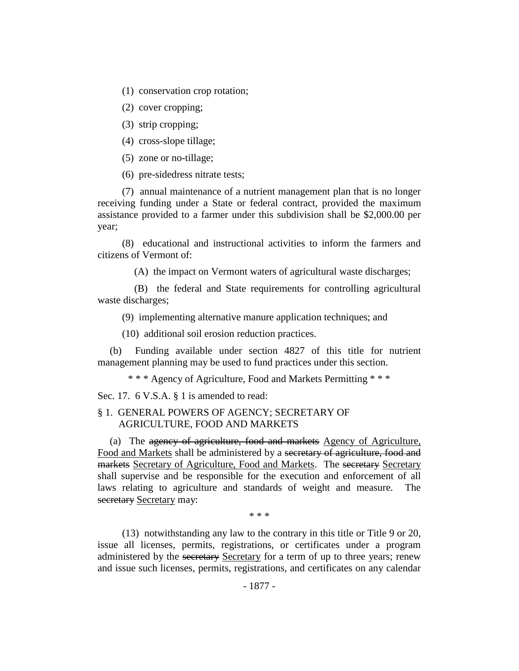(1) conservation crop rotation;

(2) cover cropping;

(3) strip cropping;

(4) cross-slope tillage;

(5) zone or no-tillage;

(6) pre-sidedress nitrate tests;

(7) annual maintenance of a nutrient management plan that is no longer receiving funding under a State or federal contract, provided the maximum assistance provided to a farmer under this subdivision shall be \$2,000.00 per year;

(8) educational and instructional activities to inform the farmers and citizens of Vermont of:

(A) the impact on Vermont waters of agricultural waste discharges;

(B) the federal and State requirements for controlling agricultural waste discharges;

(9) implementing alternative manure application techniques; and

(10) additional soil erosion reduction practices.

(b) Funding available under section 4827 of this title for nutrient management planning may be used to fund practices under this section.

\* \* \* Agency of Agriculture, Food and Markets Permitting \* \* \*

Sec. 17. 6 V.S.A. § 1 is amended to read:

### § 1. GENERAL POWERS OF AGENCY; SECRETARY OF AGRICULTURE, FOOD AND MARKETS

(a) The agency of agriculture, food and markets Agency of Agriculture, Food and Markets shall be administered by a secretary of agriculture, food and markets Secretary of Agriculture, Food and Markets. The secretary Secretary shall supervise and be responsible for the execution and enforcement of all laws relating to agriculture and standards of weight and measure. The secretary Secretary may:

\* \* \*

(13) notwithstanding any law to the contrary in this title or Title 9 or 20, issue all licenses, permits, registrations, or certificates under a program administered by the secretary Secretary for a term of up to three years; renew and issue such licenses, permits, registrations, and certificates on any calendar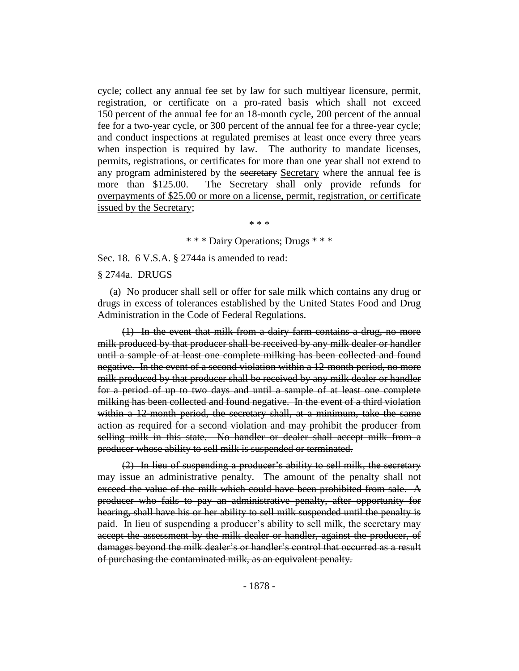cycle; collect any annual fee set by law for such multiyear licensure, permit, registration, or certificate on a pro-rated basis which shall not exceed 150 percent of the annual fee for an 18-month cycle, 200 percent of the annual fee for a two-year cycle, or 300 percent of the annual fee for a three-year cycle; and conduct inspections at regulated premises at least once every three years when inspection is required by law. The authority to mandate licenses, permits, registrations, or certificates for more than one year shall not extend to any program administered by the secretary Secretary where the annual fee is more than \$125.00. The Secretary shall only provide refunds for overpayments of \$25.00 or more on a license, permit, registration, or certificate issued by the Secretary;

\* \* \*

\* \* \* Dairy Operations; Drugs \* \* \*

Sec. 18. 6 V.S.A. § 2744a is amended to read:

#### § 2744a. DRUGS

(a) No producer shall sell or offer for sale milk which contains any drug or drugs in excess of tolerances established by the United States Food and Drug Administration in the Code of Federal Regulations.

(1) In the event that milk from a dairy farm contains a drug, no more milk produced by that producer shall be received by any milk dealer or handler until a sample of at least one complete milking has been collected and found negative. In the event of a second violation within a 12-month period, no more milk produced by that producer shall be received by any milk dealer or handler for a period of up to two days and until a sample of at least one complete milking has been collected and found negative. In the event of a third violation within a 12-month period, the secretary shall, at a minimum, take the same action as required for a second violation and may prohibit the producer from selling milk in this state. No handler or dealer shall accept milk from a producer whose ability to sell milk is suspended or terminated.

(2) In lieu of suspending a producer's ability to sell milk, the secretary may issue an administrative penalty. The amount of the penalty shall not exceed the value of the milk which could have been prohibited from sale. A producer who fails to pay an administrative penalty, after opportunity for hearing, shall have his or her ability to sell milk suspended until the penalty is paid. In lieu of suspending a producer's ability to sell milk, the secretary may accept the assessment by the milk dealer or handler, against the producer, of damages beyond the milk dealer's or handler's control that occurred as a result of purchasing the contaminated milk, as an equivalent penalty.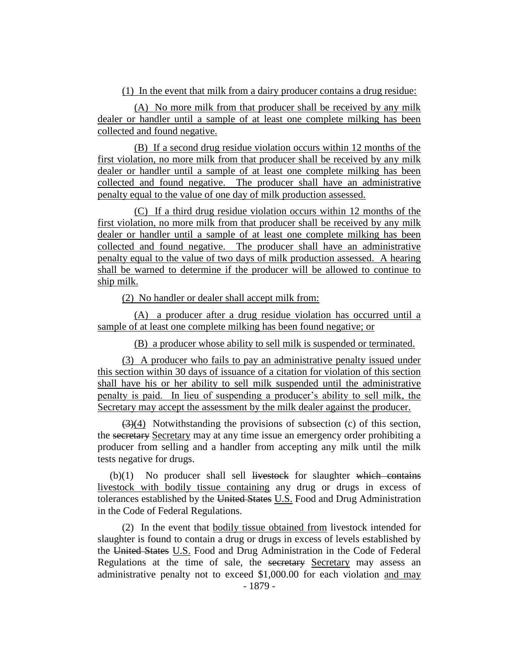(1) In the event that milk from a dairy producer contains a drug residue:

(A) No more milk from that producer shall be received by any milk dealer or handler until a sample of at least one complete milking has been collected and found negative.

(B) If a second drug residue violation occurs within 12 months of the first violation, no more milk from that producer shall be received by any milk dealer or handler until a sample of at least one complete milking has been collected and found negative. The producer shall have an administrative penalty equal to the value of one day of milk production assessed.

(C) If a third drug residue violation occurs within 12 months of the first violation, no more milk from that producer shall be received by any milk dealer or handler until a sample of at least one complete milking has been collected and found negative. The producer shall have an administrative penalty equal to the value of two days of milk production assessed. A hearing shall be warned to determine if the producer will be allowed to continue to ship milk.

(2) No handler or dealer shall accept milk from:

(A) a producer after a drug residue violation has occurred until a sample of at least one complete milking has been found negative; or

(B) a producer whose ability to sell milk is suspended or terminated.

(3) A producer who fails to pay an administrative penalty issued under this section within 30 days of issuance of a citation for violation of this section shall have his or her ability to sell milk suspended until the administrative penalty is paid. In lieu of suspending a producer's ability to sell milk, the Secretary may accept the assessment by the milk dealer against the producer.

(3)(4) Notwithstanding the provisions of subsection (c) of this section, the secretary Secretary may at any time issue an emergency order prohibiting a producer from selling and a handler from accepting any milk until the milk tests negative for drugs.

 $(b)(1)$  No producer shall sell livestock for slaughter which contains livestock with bodily tissue containing any drug or drugs in excess of tolerances established by the United States U.S. Food and Drug Administration in the Code of Federal Regulations.

(2) In the event that bodily tissue obtained from livestock intended for slaughter is found to contain a drug or drugs in excess of levels established by the United States U.S. Food and Drug Administration in the Code of Federal Regulations at the time of sale, the secretary Secretary may assess an administrative penalty not to exceed \$1,000.00 for each violation and may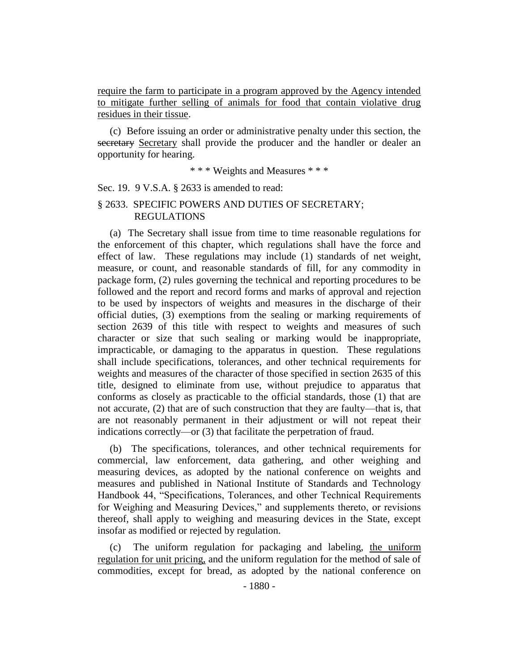require the farm to participate in a program approved by the Agency intended to mitigate further selling of animals for food that contain violative drug residues in their tissue.

(c) Before issuing an order or administrative penalty under this section, the secretary Secretary shall provide the producer and the handler or dealer an opportunity for hearing.

\* \* \* Weights and Measures \* \* \*

Sec. 19. 9 V.S.A. § 2633 is amended to read:

## § 2633. SPECIFIC POWERS AND DUTIES OF SECRETARY; REGULATIONS

(a) The Secretary shall issue from time to time reasonable regulations for the enforcement of this chapter, which regulations shall have the force and effect of law. These regulations may include (1) standards of net weight, measure, or count, and reasonable standards of fill, for any commodity in package form, (2) rules governing the technical and reporting procedures to be followed and the report and record forms and marks of approval and rejection to be used by inspectors of weights and measures in the discharge of their official duties, (3) exemptions from the sealing or marking requirements of section 2639 of this title with respect to weights and measures of such character or size that such sealing or marking would be inappropriate, impracticable, or damaging to the apparatus in question. These regulations shall include specifications, tolerances, and other technical requirements for weights and measures of the character of those specified in section 2635 of this title, designed to eliminate from use, without prejudice to apparatus that conforms as closely as practicable to the official standards, those (1) that are not accurate, (2) that are of such construction that they are faulty—that is, that are not reasonably permanent in their adjustment or will not repeat their indications correctly—or (3) that facilitate the perpetration of fraud.

(b) The specifications, tolerances, and other technical requirements for commercial, law enforcement, data gathering, and other weighing and measuring devices, as adopted by the national conference on weights and measures and published in National Institute of Standards and Technology Handbook 44, "Specifications, Tolerances, and other Technical Requirements for Weighing and Measuring Devices," and supplements thereto, or revisions thereof, shall apply to weighing and measuring devices in the State, except insofar as modified or rejected by regulation.

(c) The uniform regulation for packaging and labeling, the uniform regulation for unit pricing, and the uniform regulation for the method of sale of commodities, except for bread, as adopted by the national conference on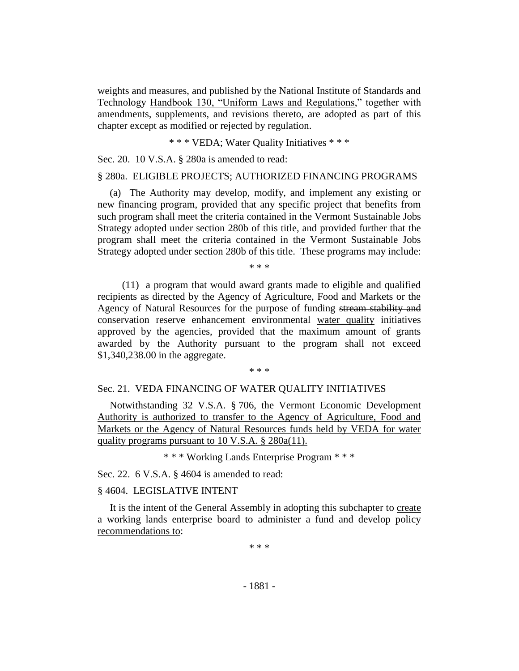weights and measures, and published by the National Institute of Standards and Technology Handbook 130, "Uniform Laws and Regulations," together with amendments, supplements, and revisions thereto, are adopted as part of this chapter except as modified or rejected by regulation.

\* \* \* VEDA; Water Quality Initiatives \* \* \*

Sec. 20. 10 V.S.A. § 280a is amended to read:

### § 280a. ELIGIBLE PROJECTS; AUTHORIZED FINANCING PROGRAMS

(a) The Authority may develop, modify, and implement any existing or new financing program, provided that any specific project that benefits from such program shall meet the criteria contained in the Vermont Sustainable Jobs Strategy adopted under section 280b of this title, and provided further that the program shall meet the criteria contained in the Vermont Sustainable Jobs Strategy adopted under section 280b of this title. These programs may include:

\* \* \*

(11) a program that would award grants made to eligible and qualified recipients as directed by the Agency of Agriculture, Food and Markets or the Agency of Natural Resources for the purpose of funding stream stability and conservation reserve enhancement environmental water quality initiatives approved by the agencies, provided that the maximum amount of grants awarded by the Authority pursuant to the program shall not exceed \$1,340,238.00 in the aggregate.

#### \* \* \*

### Sec. 21. VEDA FINANCING OF WATER QUALITY INITIATIVES

Notwithstanding 32 V.S.A. § 706, the Vermont Economic Development Authority is authorized to transfer to the Agency of Agriculture, Food and Markets or the Agency of Natural Resources funds held by VEDA for water quality programs pursuant to 10 V.S.A. § 280a(11).

\* \* \* Working Lands Enterprise Program \* \* \*

Sec. 22. 6 V.S.A. § 4604 is amended to read:

### § 4604. LEGISLATIVE INTENT

It is the intent of the General Assembly in adopting this subchapter to create a working lands enterprise board to administer a fund and develop policy recommendations to:

\* \* \*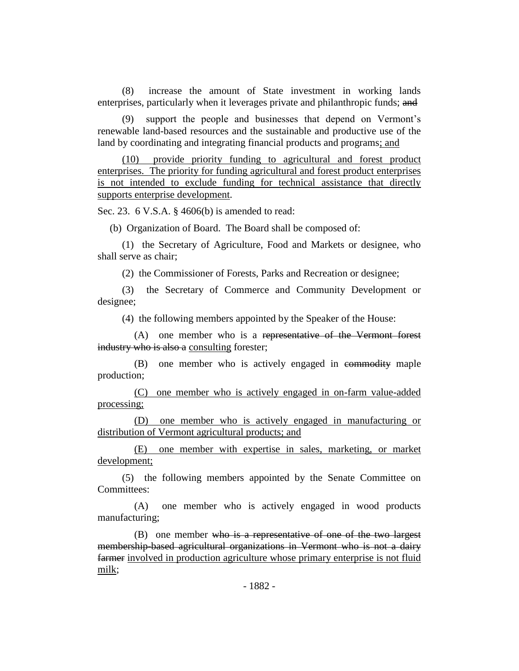(8) increase the amount of State investment in working lands enterprises, particularly when it leverages private and philanthropic funds; and

(9) support the people and businesses that depend on Vermont's renewable land-based resources and the sustainable and productive use of the land by coordinating and integrating financial products and programs; and

(10) provide priority funding to agricultural and forest product enterprises. The priority for funding agricultural and forest product enterprises is not intended to exclude funding for technical assistance that directly supports enterprise development.

Sec. 23. 6 V.S.A. § 4606(b) is amended to read:

(b) Organization of Board. The Board shall be composed of:

(1) the Secretary of Agriculture, Food and Markets or designee, who shall serve as chair;

(2) the Commissioner of Forests, Parks and Recreation or designee;

(3) the Secretary of Commerce and Community Development or designee;

(4) the following members appointed by the Speaker of the House:

(A) one member who is a representative of the Vermont forest industry who is also a consulting forester;

(B) one member who is actively engaged in commodity maple production;

(C) one member who is actively engaged in on-farm value-added processing;

(D) one member who is actively engaged in manufacturing or distribution of Vermont agricultural products; and

(E) one member with expertise in sales, marketing, or market development;

(5) the following members appointed by the Senate Committee on Committees:

(A) one member who is actively engaged in wood products manufacturing;

 $(B)$  one member who is a representative of one of the two largest membership-based agricultural organizations in Vermont who is not a dairy farmer involved in production agriculture whose primary enterprise is not fluid milk;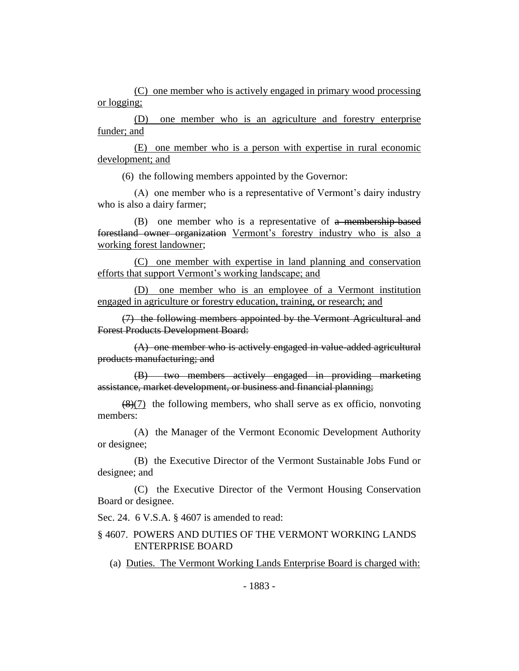(C) one member who is actively engaged in primary wood processing or logging;

(D) one member who is an agriculture and forestry enterprise funder; and

(E) one member who is a person with expertise in rural economic development; and

(6) the following members appointed by the Governor:

(A) one member who is a representative of Vermont's dairy industry who is also a dairy farmer;

(B) one member who is a representative of a membership-based forestland owner organization Vermont's forestry industry who is also a working forest landowner;

(C) one member with expertise in land planning and conservation efforts that support Vermont's working landscape; and

(D) one member who is an employee of a Vermont institution engaged in agriculture or forestry education, training, or research; and

(7) the following members appointed by the Vermont Agricultural and Forest Products Development Board:

(A) one member who is actively engaged in value-added agricultural products manufacturing; and

(B) two members actively engaged in providing marketing assistance, market development, or business and financial planning;

 $\left(\frac{8}{7}\right)$  the following members, who shall serve as ex officio, nonvoting members:

(A) the Manager of the Vermont Economic Development Authority or designee;

(B) the Executive Director of the Vermont Sustainable Jobs Fund or designee; and

(C) the Executive Director of the Vermont Housing Conservation Board or designee.

Sec. 24. 6 V.S.A. § 4607 is amended to read:

### § 4607. POWERS AND DUTIES OF THE VERMONT WORKING LANDS ENTERPRISE BOARD

(a) Duties. The Vermont Working Lands Enterprise Board is charged with: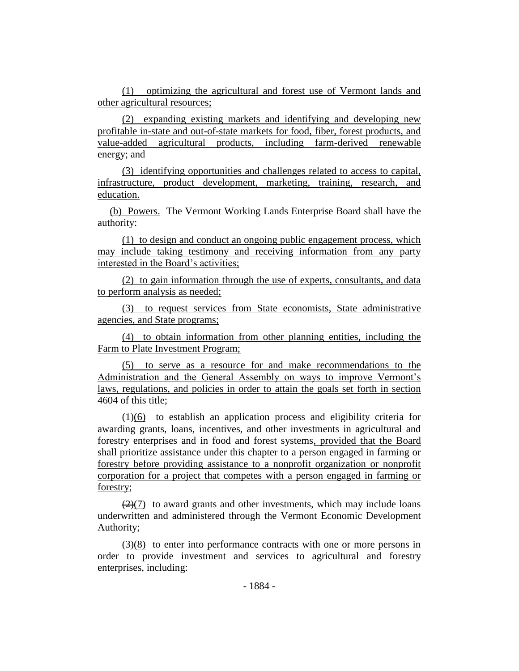(1) optimizing the agricultural and forest use of Vermont lands and other agricultural resources;

(2) expanding existing markets and identifying and developing new profitable in-state and out-of-state markets for food, fiber, forest products, and value-added agricultural products, including farm-derived renewable energy; and

(3) identifying opportunities and challenges related to access to capital, infrastructure, product development, marketing, training, research, and education.

(b) Powers. The Vermont Working Lands Enterprise Board shall have the authority:

(1) to design and conduct an ongoing public engagement process, which may include taking testimony and receiving information from any party interested in the Board's activities;

(2) to gain information through the use of experts, consultants, and data to perform analysis as needed;

(3) to request services from State economists, State administrative agencies, and State programs;

(4) to obtain information from other planning entities, including the Farm to Plate Investment Program;

(5) to serve as a resource for and make recommendations to the Administration and the General Assembly on ways to improve Vermont's laws, regulations, and policies in order to attain the goals set forth in section 4604 of this title;

 $(1)(6)$  to establish an application process and eligibility criteria for awarding grants, loans, incentives, and other investments in agricultural and forestry enterprises and in food and forest systems, provided that the Board shall prioritize assistance under this chapter to a person engaged in farming or forestry before providing assistance to a nonprofit organization or nonprofit corporation for a project that competes with a person engaged in farming or forestry;

 $(2)(7)$  to award grants and other investments, which may include loans underwritten and administered through the Vermont Economic Development Authority;

 $\left(\frac{3}{8}\right)$  to enter into performance contracts with one or more persons in order to provide investment and services to agricultural and forestry enterprises, including: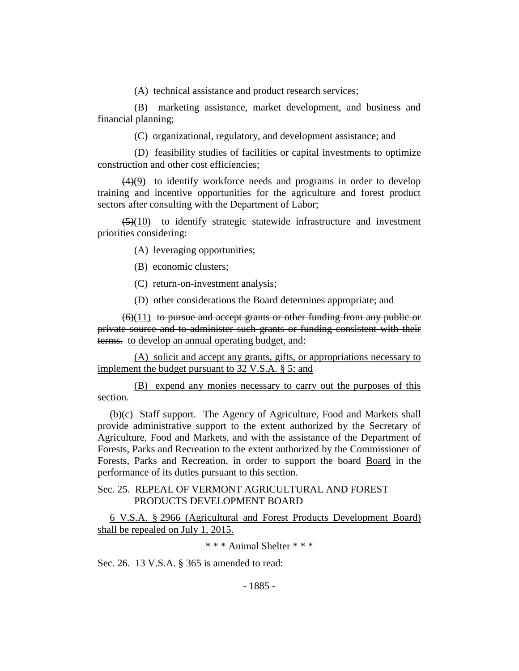(A) technical assistance and product research services;

(B) marketing assistance, market development, and business and financial planning;

(C) organizational, regulatory, and development assistance; and

(D) feasibility studies of facilities or capital investments to optimize construction and other cost efficiencies;

 $(4)(9)$  to identify workforce needs and programs in order to develop training and incentive opportunities for the agriculture and forest product sectors after consulting with the Department of Labor;

 $\left(\frac{5}{10}\right)$  to identify strategic statewide infrastructure and investment priorities considering:

(A) leveraging opportunities;

(B) economic clusters;

(C) return-on-investment analysis;

(D) other considerations the Board determines appropriate; and

 $(6)(11)$  to pursue and accept grants or other funding from any public or private source and to administer such grants or funding consistent with their terms. to develop an annual operating budget, and:

(A) solicit and accept any grants, gifts, or appropriations necessary to implement the budget pursuant to 32 V.S.A. § 5; and

(B) expend any monies necessary to carry out the purposes of this section.

(b)(c) Staff support. The Agency of Agriculture, Food and Markets shall provide administrative support to the extent authorized by the Secretary of Agriculture, Food and Markets, and with the assistance of the Department of Forests, Parks and Recreation to the extent authorized by the Commissioner of Forests, Parks and Recreation, in order to support the board Board in the performance of its duties pursuant to this section.

### Sec. 25. REPEAL OF VERMONT AGRICULTURAL AND FOREST PRODUCTS DEVELOPMENT BOARD

6 V.S.A. § 2966 (Agricultural and Forest Products Development Board) shall be repealed on July 1, 2015.

\* \* \* Animal Shelter \* \* \*

Sec. 26. 13 V.S.A. § 365 is amended to read: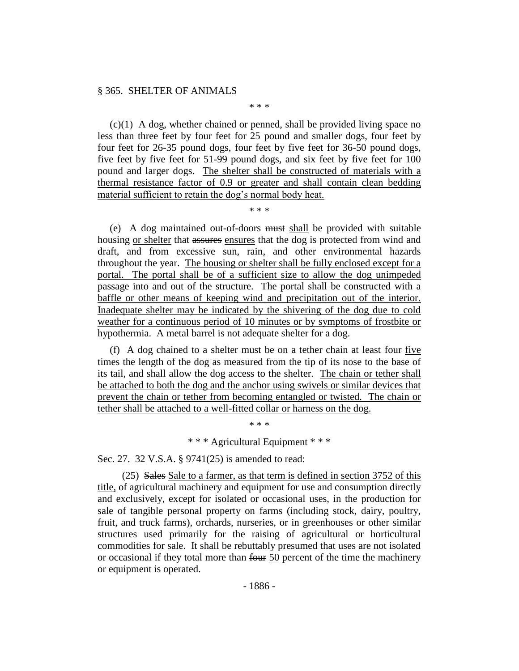#### § 365. SHELTER OF ANIMALS

 $(c)(1)$  A dog, whether chained or penned, shall be provided living space no less than three feet by four feet for 25 pound and smaller dogs, four feet by four feet for 26-35 pound dogs, four feet by five feet for 36-50 pound dogs, five feet by five feet for 51-99 pound dogs, and six feet by five feet for 100 pound and larger dogs. The shelter shall be constructed of materials with a thermal resistance factor of 0.9 or greater and shall contain clean bedding material sufficient to retain the dog's normal body heat.

\* \* \*

\* \* \*

(e) A dog maintained out-of-doors must shall be provided with suitable housing or shelter that assures ensures that the dog is protected from wind and draft, and from excessive sun, rain, and other environmental hazards throughout the year. The housing or shelter shall be fully enclosed except for a portal. The portal shall be of a sufficient size to allow the dog unimpeded passage into and out of the structure. The portal shall be constructed with a baffle or other means of keeping wind and precipitation out of the interior. Inadequate shelter may be indicated by the shivering of the dog due to cold weather for a continuous period of 10 minutes or by symptoms of frostbite or hypothermia. A metal barrel is not adequate shelter for a dog.

(f) A dog chained to a shelter must be on a tether chain at least four five times the length of the dog as measured from the tip of its nose to the base of its tail, and shall allow the dog access to the shelter. The chain or tether shall be attached to both the dog and the anchor using swivels or similar devices that prevent the chain or tether from becoming entangled or twisted. The chain or tether shall be attached to a well-fitted collar or harness on the dog.

\* \* \*

\* \* \* Agricultural Equipment \* \* \*

Sec. 27. 32 V.S.A. § 9741(25) is amended to read:

(25) Sales Sale to a farmer, as that term is defined in section 3752 of this title, of agricultural machinery and equipment for use and consumption directly and exclusively, except for isolated or occasional uses, in the production for sale of tangible personal property on farms (including stock, dairy, poultry, fruit, and truck farms), orchards, nurseries, or in greenhouses or other similar structures used primarily for the raising of agricultural or horticultural commodities for sale. It shall be rebuttably presumed that uses are not isolated or occasional if they total more than  $f_{\theta} = 50$  percent of the time the machinery or equipment is operated.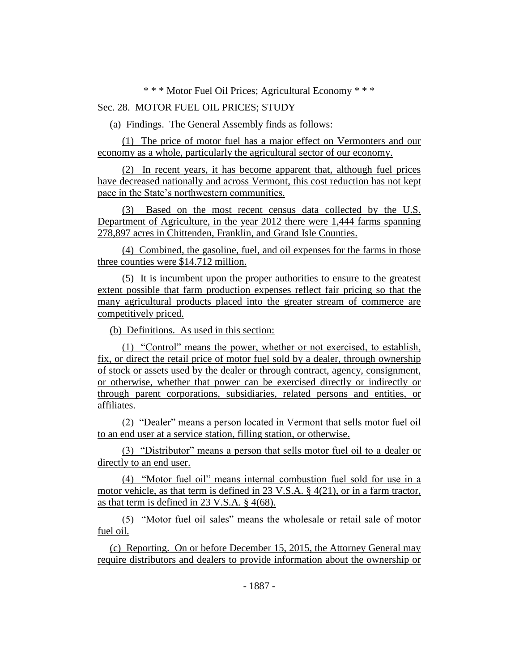\* \* \* Motor Fuel Oil Prices; Agricultural Economy \* \* \*

# Sec. 28. MOTOR FUEL OIL PRICES; STUDY

(a) Findings. The General Assembly finds as follows:

(1) The price of motor fuel has a major effect on Vermonters and our economy as a whole, particularly the agricultural sector of our economy.

(2) In recent years, it has become apparent that, although fuel prices have decreased nationally and across Vermont, this cost reduction has not kept pace in the State's northwestern communities.

(3) Based on the most recent census data collected by the U.S. Department of Agriculture, in the year 2012 there were 1,444 farms spanning 278,897 acres in Chittenden, Franklin, and Grand Isle Counties.

(4) Combined, the gasoline, fuel, and oil expenses for the farms in those three counties were \$14.712 million.

(5) It is incumbent upon the proper authorities to ensure to the greatest extent possible that farm production expenses reflect fair pricing so that the many agricultural products placed into the greater stream of commerce are competitively priced.

(b) Definitions. As used in this section:

(1) "Control" means the power, whether or not exercised, to establish, fix, or direct the retail price of motor fuel sold by a dealer, through ownership of stock or assets used by the dealer or through contract, agency, consignment, or otherwise, whether that power can be exercised directly or indirectly or through parent corporations, subsidiaries, related persons and entities, or affiliates.

(2) "Dealer" means a person located in Vermont that sells motor fuel oil to an end user at a service station, filling station, or otherwise.

(3) "Distributor" means a person that sells motor fuel oil to a dealer or directly to an end user.

(4) "Motor fuel oil" means internal combustion fuel sold for use in a motor vehicle, as that term is defined in 23 V.S.A. § 4(21), or in a farm tractor, as that term is defined in 23 V.S.A. § 4(68).

(5) "Motor fuel oil sales" means the wholesale or retail sale of motor fuel oil.

(c) Reporting. On or before December 15, 2015, the Attorney General may require distributors and dealers to provide information about the ownership or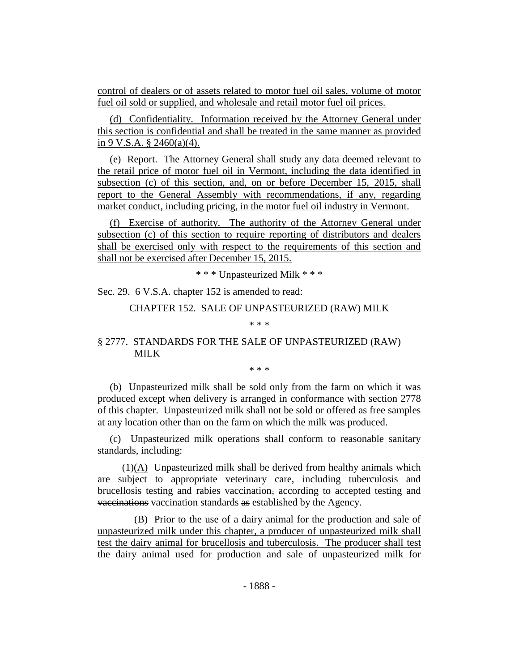control of dealers or of assets related to motor fuel oil sales, volume of motor fuel oil sold or supplied, and wholesale and retail motor fuel oil prices.

(d) Confidentiality. Information received by the Attorney General under this section is confidential and shall be treated in the same manner as provided in 9 V.S.A.  $\S$  2460(a)(4).

(e) Report. The Attorney General shall study any data deemed relevant to the retail price of motor fuel oil in Vermont, including the data identified in subsection (c) of this section, and, on or before December 15, 2015, shall report to the General Assembly with recommendations, if any, regarding market conduct, including pricing, in the motor fuel oil industry in Vermont.

(f) Exercise of authority. The authority of the Attorney General under subsection (c) of this section to require reporting of distributors and dealers shall be exercised only with respect to the requirements of this section and shall not be exercised after December 15, 2015.

\* \* \* Unpasteurized Milk \* \* \*

Sec. 29. 6 V.S.A. chapter 152 is amended to read:

CHAPTER 152. SALE OF UNPASTEURIZED (RAW) MILK

\* \* \*

## § 2777. STANDARDS FOR THE SALE OF UNPASTEURIZED (RAW) MILK

\* \* \*

(b) Unpasteurized milk shall be sold only from the farm on which it was produced except when delivery is arranged in conformance with section 2778 of this chapter. Unpasteurized milk shall not be sold or offered as free samples at any location other than on the farm on which the milk was produced.

(c) Unpasteurized milk operations shall conform to reasonable sanitary standards, including:

(1)(A) Unpasteurized milk shall be derived from healthy animals which are subject to appropriate veterinary care, including tuberculosis and brucellosis testing and rabies vaccination, according to accepted testing and vaccinations vaccination standards as established by the Agency.

(B) Prior to the use of a dairy animal for the production and sale of unpasteurized milk under this chapter, a producer of unpasteurized milk shall test the dairy animal for brucellosis and tuberculosis. The producer shall test the dairy animal used for production and sale of unpasteurized milk for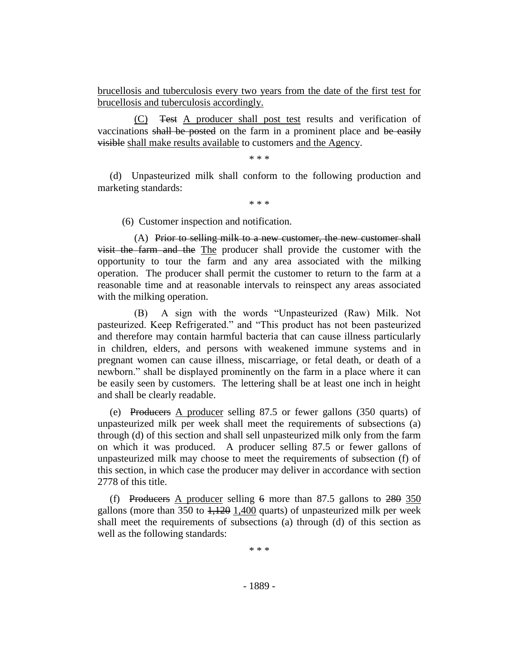brucellosis and tuberculosis every two years from the date of the first test for brucellosis and tuberculosis accordingly.

(C) Test A producer shall post test results and verification of vaccinations shall be posted on the farm in a prominent place and be easily visible shall make results available to customers and the Agency.

\* \* \*

(d) Unpasteurized milk shall conform to the following production and marketing standards:

\* \* \*

(6) Customer inspection and notification.

(A) Prior to selling milk to a new customer, the new customer shall visit the farm and the The producer shall provide the customer with the opportunity to tour the farm and any area associated with the milking operation. The producer shall permit the customer to return to the farm at a reasonable time and at reasonable intervals to reinspect any areas associated with the milking operation.

(B) A sign with the words "Unpasteurized (Raw) Milk. Not pasteurized. Keep Refrigerated." and "This product has not been pasteurized and therefore may contain harmful bacteria that can cause illness particularly in children, elders, and persons with weakened immune systems and in pregnant women can cause illness, miscarriage, or fetal death, or death of a newborn." shall be displayed prominently on the farm in a place where it can be easily seen by customers. The lettering shall be at least one inch in height and shall be clearly readable.

(e) Producers A producer selling 87.5 or fewer gallons (350 quarts) of unpasteurized milk per week shall meet the requirements of subsections (a) through (d) of this section and shall sell unpasteurized milk only from the farm on which it was produced. A producer selling 87.5 or fewer gallons of unpasteurized milk may choose to meet the requirements of subsection (f) of this section, in which case the producer may deliver in accordance with section 2778 of this title.

(f) Producers A producer selling  $6$  more than 87.5 gallons to  $280$  350 gallons (more than  $350$  to  $1,120$  1,400 quarts) of unpasteurized milk per week shall meet the requirements of subsections (a) through (d) of this section as well as the following standards:

\* \* \*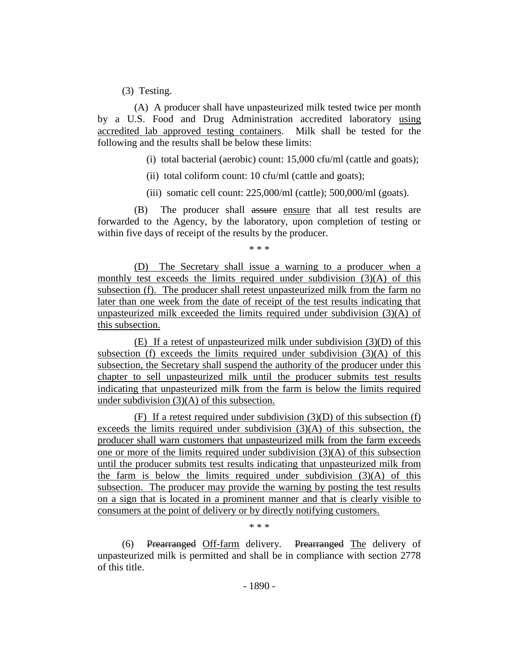(3) Testing.

(A) A producer shall have unpasteurized milk tested twice per month by a U.S. Food and Drug Administration accredited laboratory using accredited lab approved testing containers. Milk shall be tested for the following and the results shall be below these limits:

(i) total bacterial (aerobic) count: 15,000 cfu/ml (cattle and goats);

(ii) total coliform count: 10 cfu/ml (cattle and goats);

(iii) somatic cell count: 225,000/ml (cattle); 500,000/ml (goats).

(B) The producer shall assure ensure that all test results are forwarded to the Agency, by the laboratory, upon completion of testing or within five days of receipt of the results by the producer.

\* \* \*

(D) The Secretary shall issue a warning to a producer when a monthly test exceeds the limits required under subdivision  $(3)(A)$  of this subsection (f). The producer shall retest unpasteurized milk from the farm no later than one week from the date of receipt of the test results indicating that unpasteurized milk exceeded the limits required under subdivision  $(3)(A)$  of this subsection.

(E) If a retest of unpasteurized milk under subdivision (3)(D) of this subsection (f) exceeds the limits required under subdivision  $(3)(A)$  of this subsection, the Secretary shall suspend the authority of the producer under this chapter to sell unpasteurized milk until the producer submits test results indicating that unpasteurized milk from the farm is below the limits required under subdivision (3)(A) of this subsection.

(F) If a retest required under subdivision  $(3)(D)$  of this subsection (f) exceeds the limits required under subdivision (3)(A) of this subsection, the producer shall warn customers that unpasteurized milk from the farm exceeds one or more of the limits required under subdivision (3)(A) of this subsection until the producer submits test results indicating that unpasteurized milk from the farm is below the limits required under subdivision  $(3)(A)$  of this subsection. The producer may provide the warning by posting the test results on a sign that is located in a prominent manner and that is clearly visible to consumers at the point of delivery or by directly notifying customers.

\* \* \*

(6) Prearranged Off-farm delivery. Prearranged The delivery of unpasteurized milk is permitted and shall be in compliance with section 2778 of this title.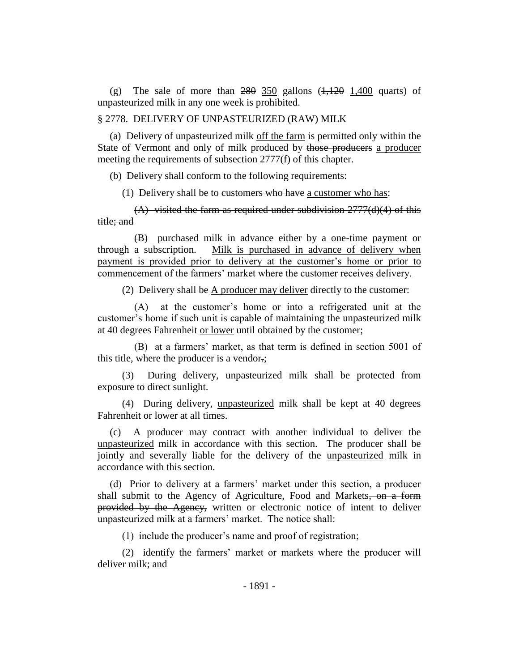(g) The sale of more than  $280$   $350$  gallons  $(1,120$   $1,400$  quarts) of unpasteurized milk in any one week is prohibited.

#### § 2778. DELIVERY OF UNPASTEURIZED (RAW) MILK

(a) Delivery of unpasteurized milk off the farm is permitted only within the State of Vermont and only of milk produced by those producers a producer meeting the requirements of subsection 2777(f) of this chapter.

(b) Delivery shall conform to the following requirements:

(1) Delivery shall be to eustomers who have a customer who has:

 $(A)$  visited the farm as required under subdivision  $2777(d)(4)$  of this title; and

(B) purchased milk in advance either by a one-time payment or through a subscription. Milk is purchased in advance of delivery when payment is provided prior to delivery at the customer's home or prior to commencement of the farmers' market where the customer receives delivery.

(2) Delivery shall be  $\triangle$  producer may deliver directly to the customer:

(A) at the customer's home or into a refrigerated unit at the customer's home if such unit is capable of maintaining the unpasteurized milk at 40 degrees Fahrenheit or lower until obtained by the customer;

(B) at a farmers' market, as that term is defined in section 5001 of this title, where the producer is a vendor.;

(3) During delivery, unpasteurized milk shall be protected from exposure to direct sunlight.

(4) During delivery, unpasteurized milk shall be kept at 40 degrees Fahrenheit or lower at all times.

(c) A producer may contract with another individual to deliver the unpasteurized milk in accordance with this section. The producer shall be jointly and severally liable for the delivery of the unpasteurized milk in accordance with this section.

(d) Prior to delivery at a farmers' market under this section, a producer shall submit to the Agency of Agriculture, Food and Markets, on a form provided by the Agency, written or electronic notice of intent to deliver unpasteurized milk at a farmers' market. The notice shall:

(1) include the producer's name and proof of registration;

(2) identify the farmers' market or markets where the producer will deliver milk; and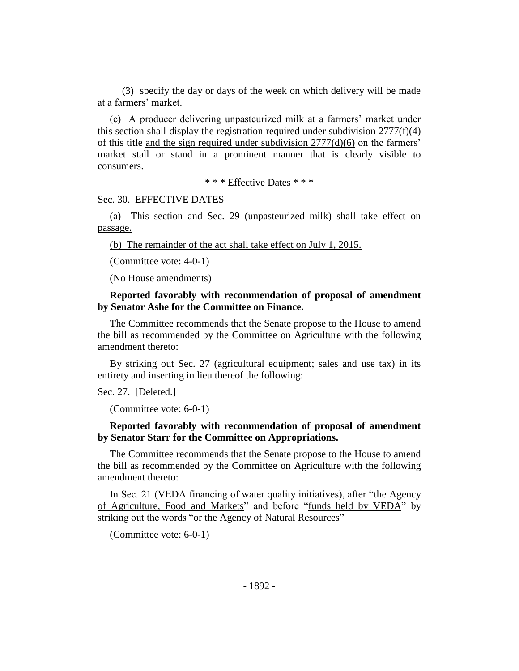(3) specify the day or days of the week on which delivery will be made at a farmers' market.

(e) A producer delivering unpasteurized milk at a farmers' market under this section shall display the registration required under subdivision  $2777(f)(4)$ of this title and the sign required under subdivision  $2777(d)(6)$  on the farmers' market stall or stand in a prominent manner that is clearly visible to consumers.

\* \* \* Effective Dates \* \* \*

#### Sec. 30. EFFECTIVE DATES

(a) This section and Sec. 29 (unpasteurized milk) shall take effect on passage.

(b) The remainder of the act shall take effect on July 1, 2015.

(Committee vote: 4-0-1)

(No House amendments)

#### **Reported favorably with recommendation of proposal of amendment by Senator Ashe for the Committee on Finance.**

The Committee recommends that the Senate propose to the House to amend the bill as recommended by the Committee on Agriculture with the following amendment thereto:

By striking out Sec. 27 (agricultural equipment; sales and use tax) in its entirety and inserting in lieu thereof the following:

Sec. 27. [Deleted.]

```
(Committee vote: 6-0-1)
```
## **Reported favorably with recommendation of proposal of amendment by Senator Starr for the Committee on Appropriations.**

The Committee recommends that the Senate propose to the House to amend the bill as recommended by the Committee on Agriculture with the following amendment thereto:

In Sec. 21 (VEDA financing of water quality initiatives), after "the Agency of Agriculture, Food and Markets" and before "funds held by VEDA" by striking out the words "or the Agency of Natural Resources"

(Committee vote: 6-0-1)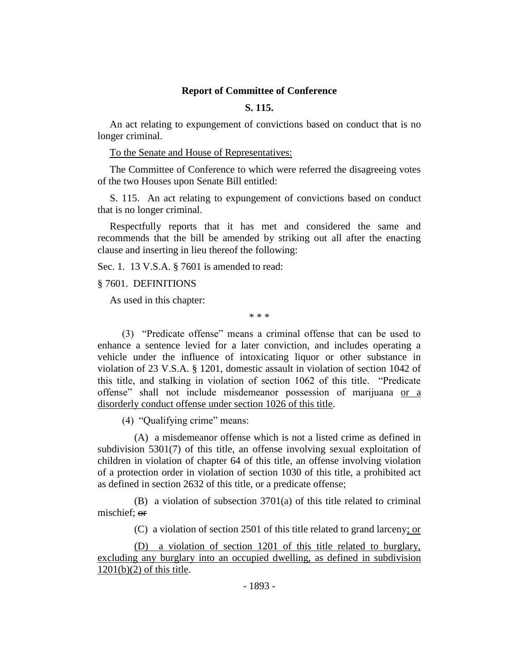#### **Report of Committee of Conference**

# **S. 115.**

An act relating to expungement of convictions based on conduct that is no longer criminal.

To the Senate and House of Representatives:

The Committee of Conference to which were referred the disagreeing votes of the two Houses upon Senate Bill entitled:

S. 115. An act relating to expungement of convictions based on conduct that is no longer criminal.

Respectfully reports that it has met and considered the same and recommends that the bill be amended by striking out all after the enacting clause and inserting in lieu thereof the following:

Sec. 1. 13 V.S.A. § 7601 is amended to read:

#### § 7601. DEFINITIONS

As used in this chapter:

\* \* \*

(3) "Predicate offense" means a criminal offense that can be used to enhance a sentence levied for a later conviction, and includes operating a vehicle under the influence of intoxicating liquor or other substance in violation of 23 V.S.A. § 1201, domestic assault in violation of section 1042 of this title, and stalking in violation of section 1062 of this title. "Predicate offense" shall not include misdemeanor possession of marijuana or a disorderly conduct offense under section 1026 of this title.

(4) "Qualifying crime" means:

(A) a misdemeanor offense which is not a listed crime as defined in subdivision 5301(7) of this title, an offense involving sexual exploitation of children in violation of chapter 64 of this title, an offense involving violation of a protection order in violation of section 1030 of this title, a prohibited act as defined in section 2632 of this title, or a predicate offense;

(B) a violation of subsection 3701(a) of this title related to criminal mischief; or

(C) a violation of section 2501 of this title related to grand larceny; or

(D) a violation of section 1201 of this title related to burglary, excluding any burglary into an occupied dwelling, as defined in subdivision  $1201(b)(2)$  of this title.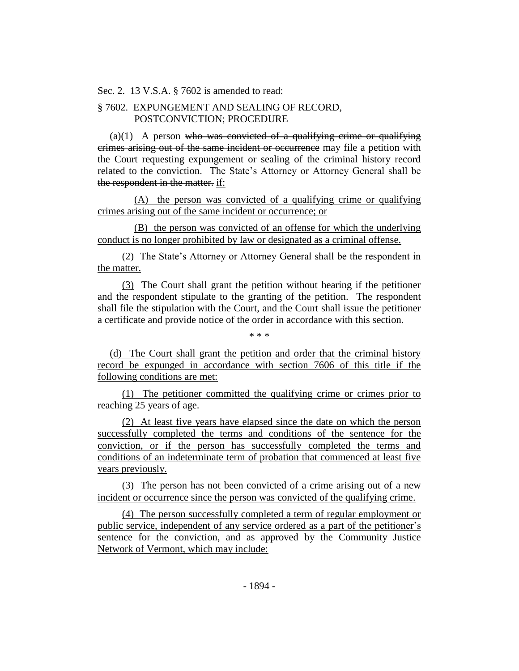Sec. 2. 13 V.S.A. § 7602 is amended to read:

# § 7602. EXPUNGEMENT AND SEALING OF RECORD, POSTCONVICTION; PROCEDURE

 $(a)(1)$  A person who was convicted of a qualifying crime or qualifying crimes arising out of the same incident or occurrence may file a petition with the Court requesting expungement or sealing of the criminal history record related to the conviction. The State's Attorney or Attorney General shall be the respondent in the matter. if:

(A) the person was convicted of a qualifying crime or qualifying crimes arising out of the same incident or occurrence; or

(B) the person was convicted of an offense for which the underlying conduct is no longer prohibited by law or designated as a criminal offense.

(2) The State's Attorney or Attorney General shall be the respondent in the matter.

(3) The Court shall grant the petition without hearing if the petitioner and the respondent stipulate to the granting of the petition. The respondent shall file the stipulation with the Court, and the Court shall issue the petitioner a certificate and provide notice of the order in accordance with this section.

\* \* \*

(d) The Court shall grant the petition and order that the criminal history record be expunged in accordance with section 7606 of this title if the following conditions are met:

(1) The petitioner committed the qualifying crime or crimes prior to reaching 25 years of age.

(2) At least five years have elapsed since the date on which the person successfully completed the terms and conditions of the sentence for the conviction, or if the person has successfully completed the terms and conditions of an indeterminate term of probation that commenced at least five years previously.

(3) The person has not been convicted of a crime arising out of a new incident or occurrence since the person was convicted of the qualifying crime.

(4) The person successfully completed a term of regular employment or public service, independent of any service ordered as a part of the petitioner's sentence for the conviction, and as approved by the Community Justice Network of Vermont, which may include: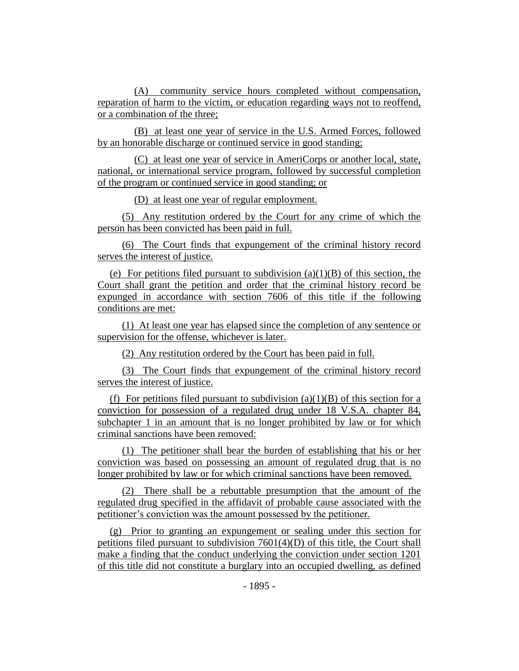(A) community service hours completed without compensation, reparation of harm to the victim, or education regarding ways not to reoffend, or a combination of the three;

(B) at least one year of service in the U.S. Armed Forces, followed by an honorable discharge or continued service in good standing;

(C) at least one year of service in AmeriCorps or another local, state, national, or international service program, followed by successful completion of the program or continued service in good standing; or

(D) at least one year of regular employment.

(5) Any restitution ordered by the Court for any crime of which the person has been convicted has been paid in full.

(6) The Court finds that expungement of the criminal history record serves the interest of justice.

(e) For petitions filed pursuant to subdivision  $(a)(1)(B)$  of this section, the Court shall grant the petition and order that the criminal history record be expunged in accordance with section 7606 of this title if the following conditions are met:

(1) At least one year has elapsed since the completion of any sentence or supervision for the offense, whichever is later.

(2) Any restitution ordered by the Court has been paid in full.

(3) The Court finds that expungement of the criminal history record serves the interest of justice.

(f) For petitions filed pursuant to subdivision (a)(1)(B) of this section for a conviction for possession of a regulated drug under 18 V.S.A. chapter 84, subchapter 1 in an amount that is no longer prohibited by law or for which criminal sanctions have been removed:

(1) The petitioner shall bear the burden of establishing that his or her conviction was based on possessing an amount of regulated drug that is no longer prohibited by law or for which criminal sanctions have been removed.

(2) There shall be a rebuttable presumption that the amount of the regulated drug specified in the affidavit of probable cause associated with the petitioner's conviction was the amount possessed by the petitioner.

(g) Prior to granting an expungement or sealing under this section for petitions filed pursuant to subdivision  $7601(4)(D)$  of this title, the Court shall make a finding that the conduct underlying the conviction under section 1201 of this title did not constitute a burglary into an occupied dwelling, as defined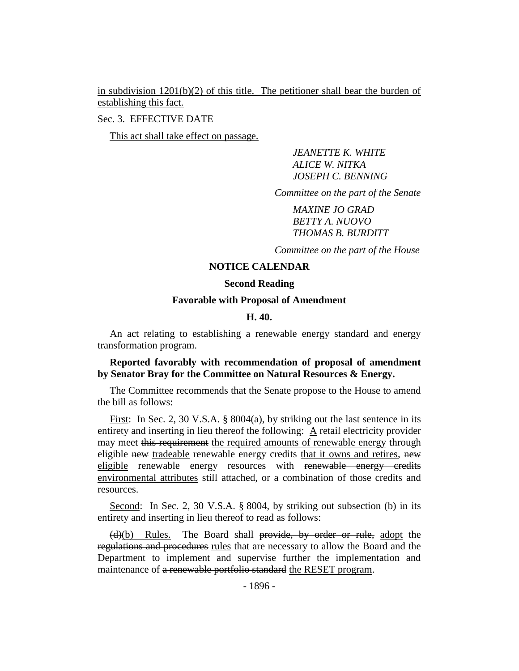in subdivision  $1201(b)(2)$  of this title. The petitioner shall bear the burden of establishing this fact.

Sec. 3. EFFECTIVE DATE

This act shall take effect on passage.

*JEANETTE K. WHITE ALICE W. NITKA JOSEPH C. BENNING*

*Committee on the part of the Senate*

*MAXINE JO GRAD BETTY A. NUOVO THOMAS B. BURDITT*

*Committee on the part of the House*

## **NOTICE CALENDAR**

#### **Second Reading**

#### **Favorable with Proposal of Amendment**

#### **H. 40.**

An act relating to establishing a renewable energy standard and energy transformation program.

### **Reported favorably with recommendation of proposal of amendment by Senator Bray for the Committee on Natural Resources & Energy.**

The Committee recommends that the Senate propose to the House to amend the bill as follows:

First: In Sec. 2, 30 V.S.A. § 8004(a), by striking out the last sentence in its entirety and inserting in lieu thereof the following: A retail electricity provider may meet this requirement the required amounts of renewable energy through eligible new tradeable renewable energy credits that it owns and retires, new eligible renewable energy resources with renewable energy credits environmental attributes still attached, or a combination of those credits and resources.

Second: In Sec. 2, 30 V.S.A. § 8004, by striking out subsection (b) in its entirety and inserting in lieu thereof to read as follows:

(d)(b) Rules. The Board shall provide, by order or rule, adopt the regulations and procedures rules that are necessary to allow the Board and the Department to implement and supervise further the implementation and maintenance of a renewable portfolio standard the RESET program.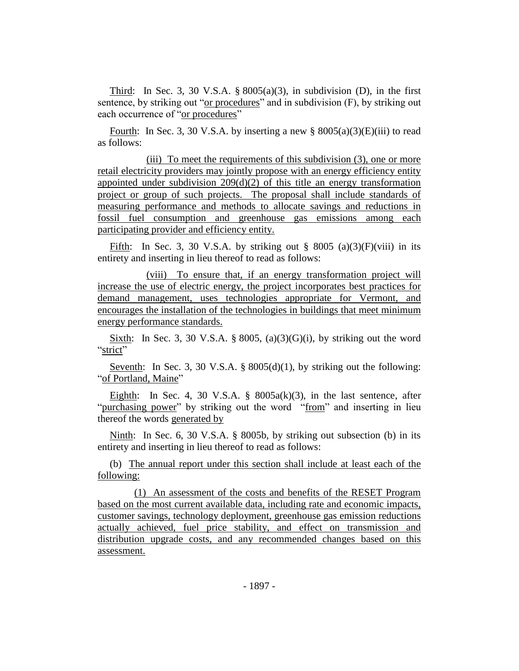Third: In Sec. 3, 30 V.S.A.  $\S 8005(a)(3)$ , in subdivision (D), in the first sentence, by striking out "or procedures" and in subdivision (F), by striking out each occurrence of "or procedures"

Fourth: In Sec. 3, 30 V.S.A. by inserting a new  $\S$  8005(a)(3)(E)(iii) to read as follows:

(iii) To meet the requirements of this subdivision (3), one or more retail electricity providers may jointly propose with an energy efficiency entity appointed under subdivision  $209(d)(2)$  of this title an energy transformation project or group of such projects. The proposal shall include standards of measuring performance and methods to allocate savings and reductions in fossil fuel consumption and greenhouse gas emissions among each participating provider and efficiency entity.

Fifth: In Sec. 3, 30 V.S.A. by striking out  $\S$  8005 (a)(3)(F)(viii) in its entirety and inserting in lieu thereof to read as follows:

(viii) To ensure that, if an energy transformation project will increase the use of electric energy, the project incorporates best practices for demand management, uses technologies appropriate for Vermont, and encourages the installation of the technologies in buildings that meet minimum energy performance standards.

Sixth: In Sec. 3, 30 V.S.A. § 8005, (a)(3)(G)(i), by striking out the word "strict"

Seventh: In Sec. 3, 30 V.S.A. §  $8005(d)(1)$ , by striking out the following: "of Portland, Maine"

Eighth: In Sec. 4, 30 V.S.A.  $\S$  8005a(k)(3), in the last sentence, after "purchasing power" by striking out the word "from" and inserting in lieu thereof the words generated by

Ninth: In Sec. 6, 30 V.S.A. § 8005b, by striking out subsection (b) in its entirety and inserting in lieu thereof to read as follows:

(b) The annual report under this section shall include at least each of the following:

(1) An assessment of the costs and benefits of the RESET Program based on the most current available data, including rate and economic impacts, customer savings, technology deployment, greenhouse gas emission reductions actually achieved, fuel price stability, and effect on transmission and distribution upgrade costs, and any recommended changes based on this assessment.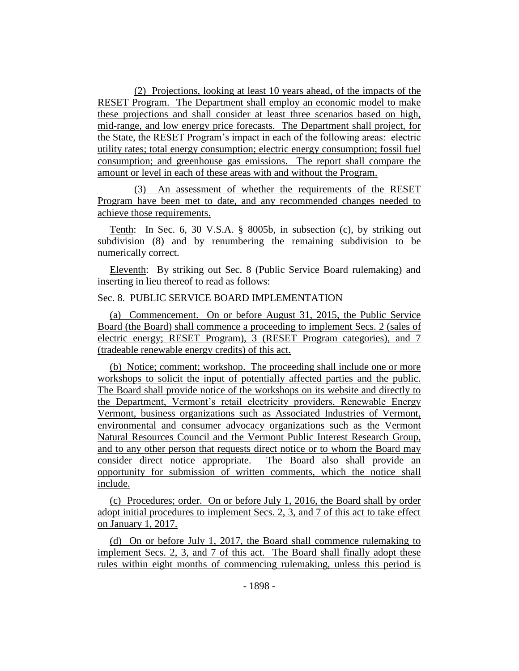(2) Projections, looking at least 10 years ahead, of the impacts of the RESET Program. The Department shall employ an economic model to make these projections and shall consider at least three scenarios based on high, mid-range, and low energy price forecasts. The Department shall project, for the State, the RESET Program's impact in each of the following areas: electric utility rates; total energy consumption; electric energy consumption; fossil fuel consumption; and greenhouse gas emissions. The report shall compare the amount or level in each of these areas with and without the Program.

(3) An assessment of whether the requirements of the RESET Program have been met to date, and any recommended changes needed to achieve those requirements.

Tenth: In Sec. 6, 30 V.S.A. § 8005b, in subsection (c), by striking out subdivision (8) and by renumbering the remaining subdivision to be numerically correct.

Eleventh: By striking out Sec. 8 (Public Service Board rulemaking) and inserting in lieu thereof to read as follows:

### Sec. 8. PUBLIC SERVICE BOARD IMPLEMENTATION

(a) Commencement. On or before August 31, 2015, the Public Service Board (the Board) shall commence a proceeding to implement Secs. 2 (sales of electric energy; RESET Program), 3 (RESET Program categories), and 7 (tradeable renewable energy credits) of this act.

(b) Notice; comment; workshop. The proceeding shall include one or more workshops to solicit the input of potentially affected parties and the public. The Board shall provide notice of the workshops on its website and directly to the Department, Vermont's retail electricity providers, Renewable Energy Vermont, business organizations such as Associated Industries of Vermont, environmental and consumer advocacy organizations such as the Vermont Natural Resources Council and the Vermont Public Interest Research Group, and to any other person that requests direct notice or to whom the Board may consider direct notice appropriate. The Board also shall provide an opportunity for submission of written comments, which the notice shall include.

(c) Procedures; order. On or before July 1, 2016, the Board shall by order adopt initial procedures to implement Secs. 2, 3, and 7 of this act to take effect on January 1, 2017.

(d) On or before July 1, 2017, the Board shall commence rulemaking to implement Secs. 2, 3, and 7 of this act. The Board shall finally adopt these rules within eight months of commencing rulemaking, unless this period is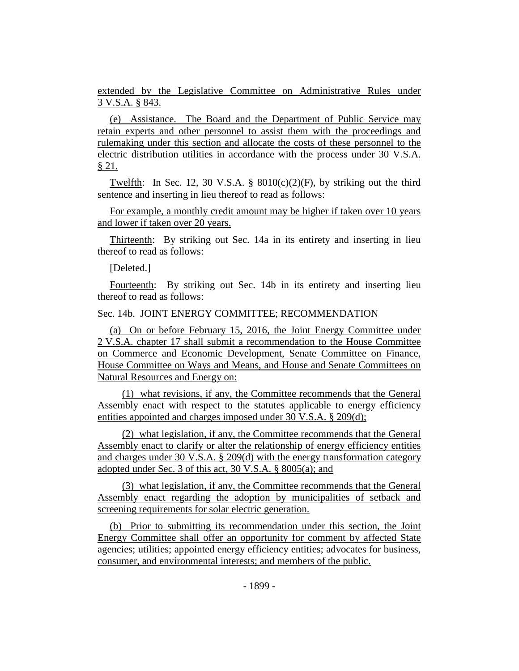extended by the Legislative Committee on Administrative Rules under 3 V.S.A. § 843.

(e) Assistance. The Board and the Department of Public Service may retain experts and other personnel to assist them with the proceedings and rulemaking under this section and allocate the costs of these personnel to the electric distribution utilities in accordance with the process under 30 V.S.A. § 21.

Twelfth: In Sec. 12, 30 V.S.A. §  $8010(c)(2)(F)$ , by striking out the third sentence and inserting in lieu thereof to read as follows:

For example, a monthly credit amount may be higher if taken over 10 years and lower if taken over 20 years.

Thirteenth: By striking out Sec. 14a in its entirety and inserting in lieu thereof to read as follows:

[Deleted.]

Fourteenth: By striking out Sec. 14b in its entirety and inserting lieu thereof to read as follows:

## Sec. 14b. JOINT ENERGY COMMITTEE; RECOMMENDATION

(a) On or before February 15, 2016, the Joint Energy Committee under 2 V.S.A. chapter 17 shall submit a recommendation to the House Committee on Commerce and Economic Development, Senate Committee on Finance, House Committee on Ways and Means, and House and Senate Committees on Natural Resources and Energy on:

(1) what revisions, if any, the Committee recommends that the General Assembly enact with respect to the statutes applicable to energy efficiency entities appointed and charges imposed under 30 V.S.A. § 209(d);

(2) what legislation, if any, the Committee recommends that the General Assembly enact to clarify or alter the relationship of energy efficiency entities and charges under 30 V.S.A. § 209(d) with the energy transformation category adopted under Sec. 3 of this act, 30 V.S.A. § 8005(a); and

(3) what legislation, if any, the Committee recommends that the General Assembly enact regarding the adoption by municipalities of setback and screening requirements for solar electric generation.

(b) Prior to submitting its recommendation under this section, the Joint Energy Committee shall offer an opportunity for comment by affected State agencies; utilities; appointed energy efficiency entities; advocates for business, consumer, and environmental interests; and members of the public.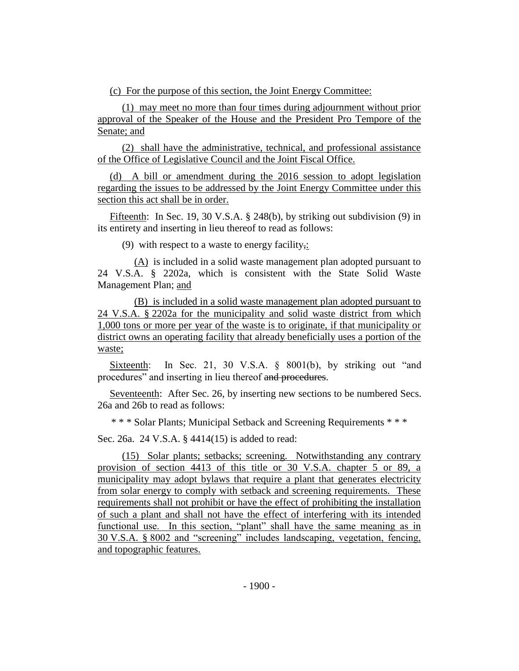(c) For the purpose of this section, the Joint Energy Committee:

(1) may meet no more than four times during adjournment without prior approval of the Speaker of the House and the President Pro Tempore of the Senate; and

(2) shall have the administrative, technical, and professional assistance of the Office of Legislative Council and the Joint Fiscal Office.

(d) A bill or amendment during the 2016 session to adopt legislation regarding the issues to be addressed by the Joint Energy Committee under this section this act shall be in order.

Fifteenth: In Sec. 19, 30 V.S.A. § 248(b), by striking out subdivision (9) in its entirety and inserting in lieu thereof to read as follows:

(9) with respect to a waste to energy facility,:

(A) is included in a solid waste management plan adopted pursuant to 24 V.S.A. § 2202a, which is consistent with the State Solid Waste Management Plan; and

(B) is included in a solid waste management plan adopted pursuant to 24 V.S.A. § 2202a for the municipality and solid waste district from which 1,000 tons or more per year of the waste is to originate, if that municipality or district owns an operating facility that already beneficially uses a portion of the waste;

Sixteenth: In Sec. 21, 30 V.S.A. § 8001(b), by striking out "and procedures" and inserting in lieu thereof and procedures.

Seventeenth: After Sec. 26, by inserting new sections to be numbered Secs. 26a and 26b to read as follows:

\* \* \* Solar Plants; Municipal Setback and Screening Requirements \* \* \*

Sec. 26a. 24 V.S.A. § 4414(15) is added to read:

(15) Solar plants; setbacks; screening. Notwithstanding any contrary provision of section 4413 of this title or 30 V.S.A. chapter 5 or 89, a municipality may adopt bylaws that require a plant that generates electricity from solar energy to comply with setback and screening requirements. These requirements shall not prohibit or have the effect of prohibiting the installation of such a plant and shall not have the effect of interfering with its intended functional use. In this section, "plant" shall have the same meaning as in 30 V.S.A. § 8002 and "screening" includes landscaping, vegetation, fencing, and topographic features.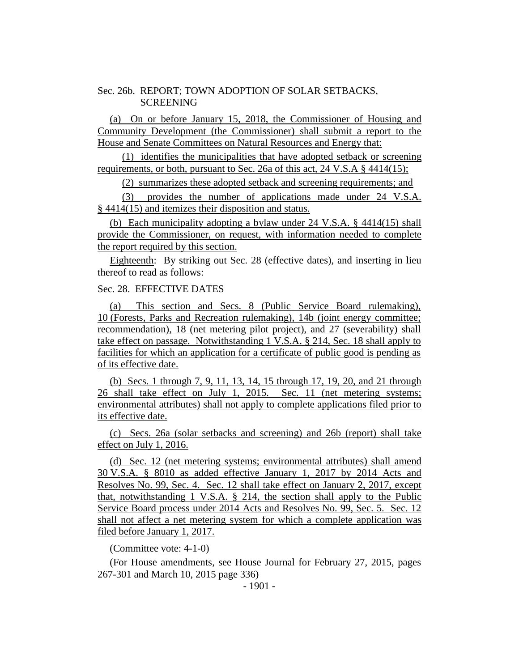### Sec. 26b. REPORT; TOWN ADOPTION OF SOLAR SETBACKS, SCREENING

(a) On or before January 15, 2018, the Commissioner of Housing and Community Development (the Commissioner) shall submit a report to the House and Senate Committees on Natural Resources and Energy that:

(1) identifies the municipalities that have adopted setback or screening requirements, or both, pursuant to Sec. 26a of this act, 24 V.S.A § 4414(15);

(2) summarizes these adopted setback and screening requirements; and

(3) provides the number of applications made under 24 V.S.A. § 4414(15) and itemizes their disposition and status.

(b) Each municipality adopting a bylaw under 24 V.S.A. § 4414(15) shall provide the Commissioner, on request, with information needed to complete the report required by this section.

Eighteenth: By striking out Sec. 28 (effective dates), and inserting in lieu thereof to read as follows:

#### Sec. 28. EFFECTIVE DATES

(a) This section and Secs. 8 (Public Service Board rulemaking), 10 (Forests, Parks and Recreation rulemaking), 14b (joint energy committee; recommendation), 18 (net metering pilot project), and 27 (severability) shall take effect on passage. Notwithstanding 1 V.S.A. § 214, Sec. 18 shall apply to facilities for which an application for a certificate of public good is pending as of its effective date.

(b) Secs. 1 through 7, 9, 11, 13, 14, 15 through 17, 19, 20, and 21 through 26 shall take effect on July 1, 2015. Sec. 11 (net metering systems; environmental attributes) shall not apply to complete applications filed prior to its effective date.

(c) Secs. 26a (solar setbacks and screening) and 26b (report) shall take effect on July 1, 2016.

(d) Sec. 12 (net metering systems; environmental attributes) shall amend 30 V.S.A. § 8010 as added effective January 1, 2017 by 2014 Acts and Resolves No. 99, Sec. 4. Sec. 12 shall take effect on January 2, 2017, except that, notwithstanding 1 V.S.A. § 214, the section shall apply to the Public Service Board process under 2014 Acts and Resolves No. 99, Sec. 5. Sec. 12 shall not affect a net metering system for which a complete application was filed before January 1, 2017.

(Committee vote: 4-1-0)

(For House amendments, see House Journal for February 27, 2015, pages 267-301 and March 10, 2015 page 336)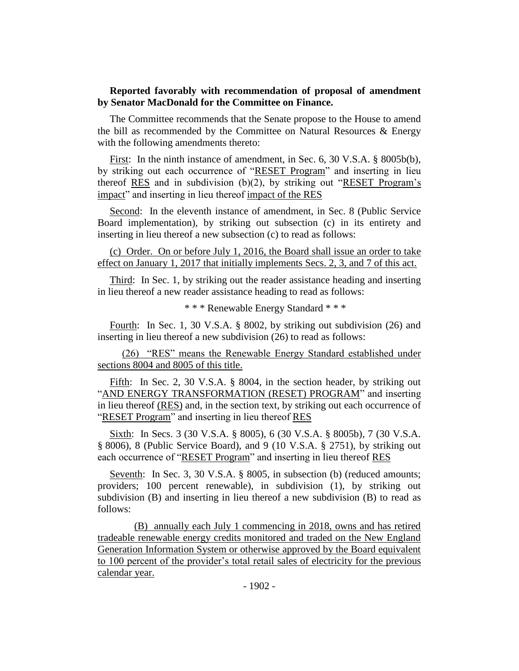### **Reported favorably with recommendation of proposal of amendment by Senator MacDonald for the Committee on Finance.**

The Committee recommends that the Senate propose to the House to amend the bill as recommended by the Committee on Natural Resources & Energy with the following amendments thereto:

First: In the ninth instance of amendment, in Sec. 6, 30 V.S.A. § 8005b(b), by striking out each occurrence of "RESET Program" and inserting in lieu thereof RES and in subdivision (b)(2), by striking out "RESET Program's impact" and inserting in lieu thereof impact of the RES

Second: In the eleventh instance of amendment, in Sec. 8 (Public Service Board implementation), by striking out subsection (c) in its entirety and inserting in lieu thereof a new subsection (c) to read as follows:

(c) Order. On or before July 1, 2016, the Board shall issue an order to take effect on January 1, 2017 that initially implements Secs. 2, 3, and 7 of this act.

Third: In Sec. 1, by striking out the reader assistance heading and inserting in lieu thereof a new reader assistance heading to read as follows:

\* \* \* Renewable Energy Standard \* \* \*

Fourth: In Sec. 1, 30 V.S.A. § 8002, by striking out subdivision (26) and inserting in lieu thereof a new subdivision (26) to read as follows:

(26) "RES" means the Renewable Energy Standard established under sections 8004 and 8005 of this title.

Fifth: In Sec. 2, 30 V.S.A. § 8004, in the section header, by striking out "AND ENERGY TRANSFORMATION (RESET) PROGRAM" and inserting in lieu thereof (RES) and, in the section text, by striking out each occurrence of "RESET Program" and inserting in lieu thereof RES

Sixth: In Secs. 3 (30 V.S.A. § 8005), 6 (30 V.S.A. § 8005b), 7 (30 V.S.A. § 8006), 8 (Public Service Board), and 9 (10 V.S.A. § 2751), by striking out each occurrence of "RESET Program" and inserting in lieu thereof RES

Seventh: In Sec. 3, 30 V.S.A. § 8005, in subsection (b) (reduced amounts; providers; 100 percent renewable), in subdivision (1), by striking out subdivision (B) and inserting in lieu thereof a new subdivision (B) to read as follows:

(B) annually each July 1 commencing in 2018, owns and has retired tradeable renewable energy credits monitored and traded on the New England Generation Information System or otherwise approved by the Board equivalent to 100 percent of the provider's total retail sales of electricity for the previous calendar year.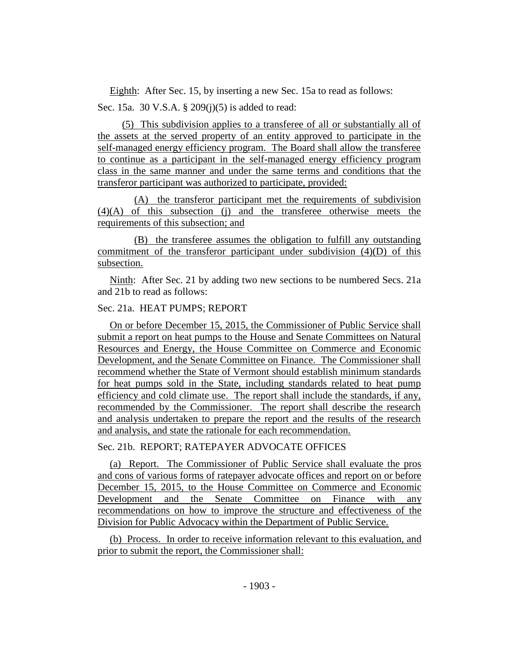Eighth: After Sec. 15, by inserting a new Sec. 15a to read as follows: Sec. 15a. 30 V.S.A. § 209(j)(5) is added to read:

(5) This subdivision applies to a transferee of all or substantially all of the assets at the served property of an entity approved to participate in the self-managed energy efficiency program. The Board shall allow the transferee to continue as a participant in the self-managed energy efficiency program class in the same manner and under the same terms and conditions that the transferor participant was authorized to participate, provided:

(A) the transferor participant met the requirements of subdivision (4)(A) of this subsection (j) and the transferee otherwise meets the requirements of this subsection; and

(B) the transferee assumes the obligation to fulfill any outstanding commitment of the transferor participant under subdivision (4)(D) of this subsection.

Ninth: After Sec. 21 by adding two new sections to be numbered Secs. 21a and 21b to read as follows:

# Sec. 21a. HEAT PUMPS; REPORT

On or before December 15, 2015, the Commissioner of Public Service shall submit a report on heat pumps to the House and Senate Committees on Natural Resources and Energy, the House Committee on Commerce and Economic Development, and the Senate Committee on Finance. The Commissioner shall recommend whether the State of Vermont should establish minimum standards for heat pumps sold in the State, including standards related to heat pump efficiency and cold climate use. The report shall include the standards, if any, recommended by the Commissioner. The report shall describe the research and analysis undertaken to prepare the report and the results of the research and analysis, and state the rationale for each recommendation.

## Sec. 21b. REPORT; RATEPAYER ADVOCATE OFFICES

(a) Report. The Commissioner of Public Service shall evaluate the pros and cons of various forms of ratepayer advocate offices and report on or before December 15, 2015, to the House Committee on Commerce and Economic Development and the Senate Committee on Finance with any recommendations on how to improve the structure and effectiveness of the Division for Public Advocacy within the Department of Public Service.

(b) Process. In order to receive information relevant to this evaluation, and prior to submit the report, the Commissioner shall: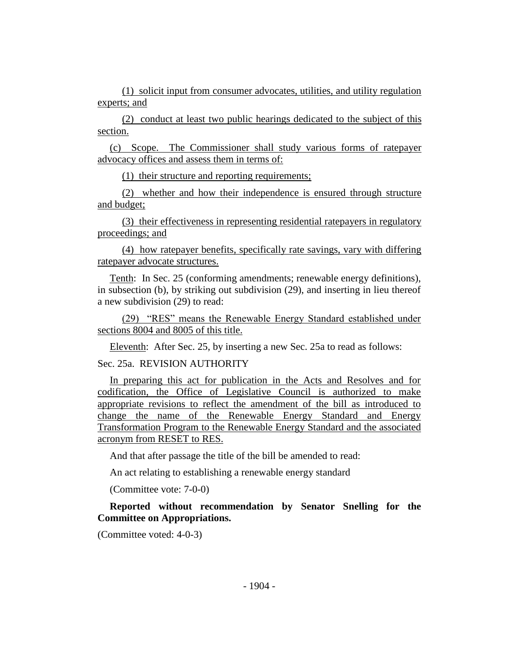(1) solicit input from consumer advocates, utilities, and utility regulation experts; and

(2) conduct at least two public hearings dedicated to the subject of this section.

(c) Scope. The Commissioner shall study various forms of ratepayer advocacy offices and assess them in terms of:

(1) their structure and reporting requirements;

(2) whether and how their independence is ensured through structure and budget;

(3) their effectiveness in representing residential ratepayers in regulatory proceedings; and

(4) how ratepayer benefits, specifically rate savings, vary with differing ratepayer advocate structures.

Tenth: In Sec. 25 (conforming amendments; renewable energy definitions), in subsection (b), by striking out subdivision (29), and inserting in lieu thereof a new subdivision (29) to read:

(29) "RES" means the Renewable Energy Standard established under sections 8004 and 8005 of this title.

Eleventh: After Sec. 25, by inserting a new Sec. 25a to read as follows:

## Sec. 25a. REVISION AUTHORITY

In preparing this act for publication in the Acts and Resolves and for codification, the Office of Legislative Council is authorized to make appropriate revisions to reflect the amendment of the bill as introduced to change the name of the Renewable Energy Standard and Energy Transformation Program to the Renewable Energy Standard and the associated acronym from RESET to RES.

And that after passage the title of the bill be amended to read:

An act relating to establishing a renewable energy standard

(Committee vote: 7-0-0)

**Reported without recommendation by Senator Snelling for the Committee on Appropriations.**

(Committee voted: 4-0-3)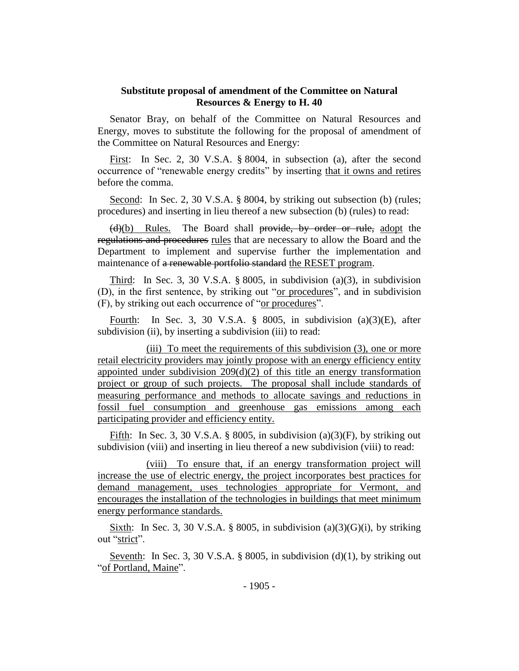## **Substitute proposal of amendment of the Committee on Natural Resources & Energy to H. 40**

Senator Bray, on behalf of the Committee on Natural Resources and Energy, moves to substitute the following for the proposal of amendment of the Committee on Natural Resources and Energy:

First: In Sec. 2, 30 V.S.A. § 8004, in subsection (a), after the second occurrence of "renewable energy credits" by inserting that it owns and retires before the comma.

Second: In Sec. 2, 30 V.S.A. § 8004, by striking out subsection (b) (rules; procedures) and inserting in lieu thereof a new subsection (b) (rules) to read:

(d)(b) Rules. The Board shall provide, by order or rule, adopt the regulations and procedures rules that are necessary to allow the Board and the Department to implement and supervise further the implementation and maintenance of a renewable portfolio standard the RESET program.

Third: In Sec. 3, 30 V.S.A.  $\S 8005$ , in subdivision (a)(3), in subdivision (D), in the first sentence, by striking out "or procedures", and in subdivision (F), by striking out each occurrence of "or procedures".

Fourth: In Sec. 3, 30 V.S.A.  $\S$  8005, in subdivision (a)(3)(E), after subdivision (ii), by inserting a subdivision (iii) to read:

(iii) To meet the requirements of this subdivision (3), one or more retail electricity providers may jointly propose with an energy efficiency entity appointed under subdivision  $209(d)(2)$  of this title an energy transformation project or group of such projects. The proposal shall include standards of measuring performance and methods to allocate savings and reductions in fossil fuel consumption and greenhouse gas emissions among each participating provider and efficiency entity.

Fifth: In Sec. 3, 30 V.S.A. § 8005, in subdivision (a)(3)(F), by striking out subdivision (viii) and inserting in lieu thereof a new subdivision (viii) to read:

(viii) To ensure that, if an energy transformation project will increase the use of electric energy, the project incorporates best practices for demand management, uses technologies appropriate for Vermont, and encourages the installation of the technologies in buildings that meet minimum energy performance standards.

Sixth: In Sec. 3, 30 V.S.A. § 8005, in subdivision (a)(3)(G)(i), by striking out "strict".

Seventh: In Sec. 3, 30 V.S.A. § 8005, in subdivision  $(d)(1)$ , by striking out "of Portland, Maine".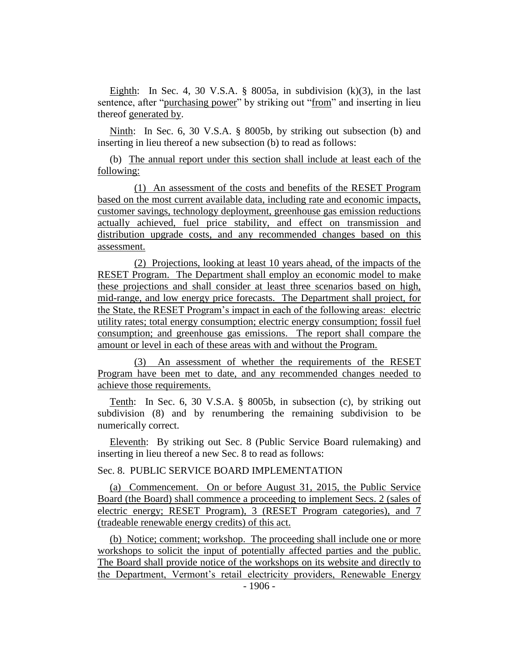Eighth: In Sec. 4, 30 V.S.A.  $\S$  8005a, in subdivision  $(k)(3)$ , in the last sentence, after "purchasing power" by striking out "from" and inserting in lieu thereof generated by.

Ninth: In Sec. 6, 30 V.S.A. § 8005b, by striking out subsection (b) and inserting in lieu thereof a new subsection (b) to read as follows:

(b) The annual report under this section shall include at least each of the following:

(1) An assessment of the costs and benefits of the RESET Program based on the most current available data, including rate and economic impacts, customer savings, technology deployment, greenhouse gas emission reductions actually achieved, fuel price stability, and effect on transmission and distribution upgrade costs, and any recommended changes based on this assessment.

(2) Projections, looking at least 10 years ahead, of the impacts of the RESET Program. The Department shall employ an economic model to make these projections and shall consider at least three scenarios based on high, mid-range, and low energy price forecasts. The Department shall project, for the State, the RESET Program's impact in each of the following areas: electric utility rates; total energy consumption; electric energy consumption; fossil fuel consumption; and greenhouse gas emissions. The report shall compare the amount or level in each of these areas with and without the Program.

(3) An assessment of whether the requirements of the RESET Program have been met to date, and any recommended changes needed to achieve those requirements.

Tenth: In Sec. 6, 30 V.S.A. § 8005b, in subsection (c), by striking out subdivision (8) and by renumbering the remaining subdivision to be numerically correct.

Eleventh: By striking out Sec. 8 (Public Service Board rulemaking) and inserting in lieu thereof a new Sec. 8 to read as follows:

Sec. 8. PUBLIC SERVICE BOARD IMPLEMENTATION

(a) Commencement. On or before August 31, 2015, the Public Service Board (the Board) shall commence a proceeding to implement Secs. 2 (sales of electric energy; RESET Program), 3 (RESET Program categories), and 7 (tradeable renewable energy credits) of this act.

(b) Notice; comment; workshop. The proceeding shall include one or more workshops to solicit the input of potentially affected parties and the public. The Board shall provide notice of the workshops on its website and directly to the Department, Vermont's retail electricity providers, Renewable Energy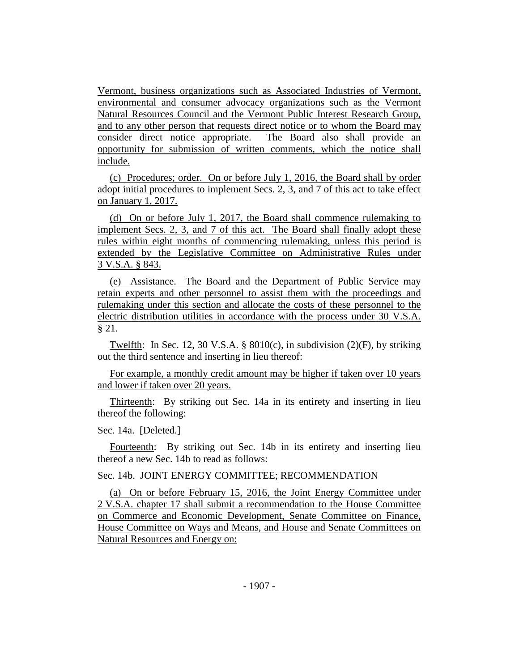Vermont, business organizations such as Associated Industries of Vermont, environmental and consumer advocacy organizations such as the Vermont Natural Resources Council and the Vermont Public Interest Research Group, and to any other person that requests direct notice or to whom the Board may consider direct notice appropriate. The Board also shall provide an opportunity for submission of written comments, which the notice shall include.

(c) Procedures; order. On or before July 1, 2016, the Board shall by order adopt initial procedures to implement Secs. 2, 3, and 7 of this act to take effect on January 1, 2017.

(d) On or before July 1, 2017, the Board shall commence rulemaking to implement Secs. 2, 3, and 7 of this act. The Board shall finally adopt these rules within eight months of commencing rulemaking, unless this period is extended by the Legislative Committee on Administrative Rules under 3 V.S.A. § 843.

(e) Assistance. The Board and the Department of Public Service may retain experts and other personnel to assist them with the proceedings and rulemaking under this section and allocate the costs of these personnel to the electric distribution utilities in accordance with the process under 30 V.S.A. § 21.

Twelfth: In Sec. 12, 30 V.S.A. § 8010(c), in subdivision (2)(F), by striking out the third sentence and inserting in lieu thereof:

For example, a monthly credit amount may be higher if taken over 10 years and lower if taken over 20 years.

Thirteenth: By striking out Sec. 14a in its entirety and inserting in lieu thereof the following:

#### Sec. 14a. [Deleted.]

Fourteenth: By striking out Sec. 14b in its entirety and inserting lieu thereof a new Sec. 14b to read as follows:

# Sec. 14b. JOINT ENERGY COMMITTEE; RECOMMENDATION

(a) On or before February 15, 2016, the Joint Energy Committee under 2 V.S.A. chapter 17 shall submit a recommendation to the House Committee on Commerce and Economic Development, Senate Committee on Finance, House Committee on Ways and Means, and House and Senate Committees on Natural Resources and Energy on: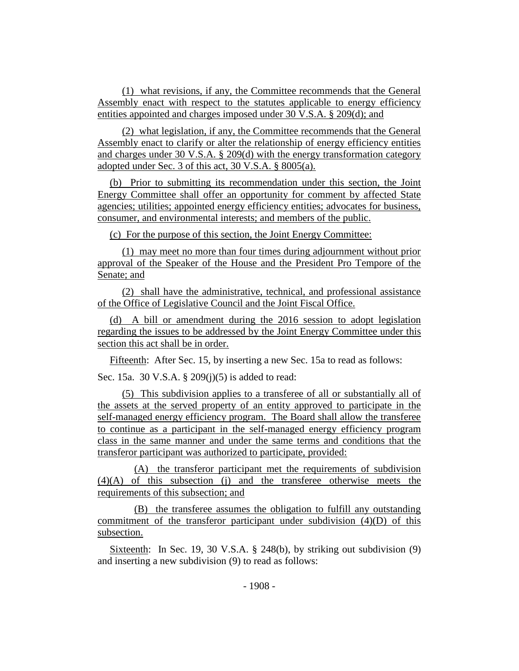(1) what revisions, if any, the Committee recommends that the General Assembly enact with respect to the statutes applicable to energy efficiency entities appointed and charges imposed under 30 V.S.A. § 209(d); and

(2) what legislation, if any, the Committee recommends that the General Assembly enact to clarify or alter the relationship of energy efficiency entities and charges under 30 V.S.A. § 209(d) with the energy transformation category adopted under Sec. 3 of this act, 30 V.S.A. § 8005(a).

(b) Prior to submitting its recommendation under this section, the Joint Energy Committee shall offer an opportunity for comment by affected State agencies; utilities; appointed energy efficiency entities; advocates for business, consumer, and environmental interests; and members of the public.

(c) For the purpose of this section, the Joint Energy Committee:

(1) may meet no more than four times during adjournment without prior approval of the Speaker of the House and the President Pro Tempore of the Senate; and

(2) shall have the administrative, technical, and professional assistance of the Office of Legislative Council and the Joint Fiscal Office.

(d) A bill or amendment during the 2016 session to adopt legislation regarding the issues to be addressed by the Joint Energy Committee under this section this act shall be in order.

Fifteenth: After Sec. 15, by inserting a new Sec. 15a to read as follows:

Sec. 15a. 30 V.S.A. § 209(j)(5) is added to read:

(5) This subdivision applies to a transferee of all or substantially all of the assets at the served property of an entity approved to participate in the self-managed energy efficiency program. The Board shall allow the transferee to continue as a participant in the self-managed energy efficiency program class in the same manner and under the same terms and conditions that the transferor participant was authorized to participate, provided:

(A) the transferor participant met the requirements of subdivision (4)(A) of this subsection (j) and the transferee otherwise meets the requirements of this subsection; and

(B) the transferee assumes the obligation to fulfill any outstanding commitment of the transferor participant under subdivision (4)(D) of this subsection.

Sixteenth: In Sec. 19, 30 V.S.A. § 248(b), by striking out subdivision (9) and inserting a new subdivision (9) to read as follows: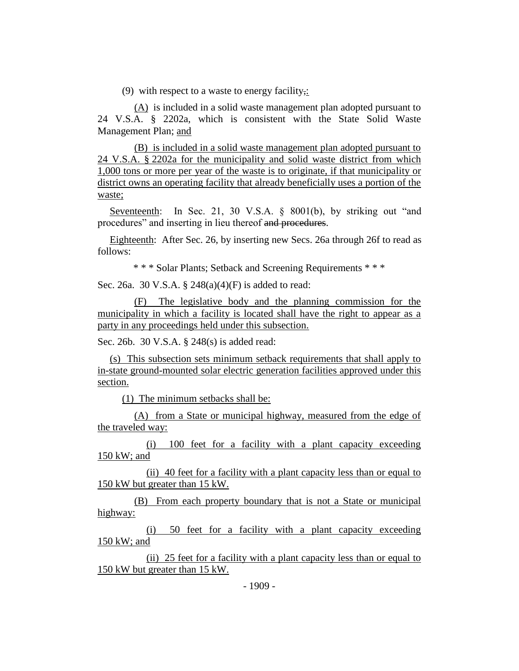(9) with respect to a waste to energy facility,:

(A) is included in a solid waste management plan adopted pursuant to 24 V.S.A. § 2202a, which is consistent with the State Solid Waste Management Plan; and

(B) is included in a solid waste management plan adopted pursuant to 24 V.S.A. § 2202a for the municipality and solid waste district from which 1,000 tons or more per year of the waste is to originate, if that municipality or district owns an operating facility that already beneficially uses a portion of the waste;

Seventeenth: In Sec. 21, 30 V.S.A. § 8001(b), by striking out "and procedures" and inserting in lieu thereof and procedures.

Eighteenth: After Sec. 26, by inserting new Secs. 26a through 26f to read as follows:

\* \* \* Solar Plants; Setback and Screening Requirements \* \* \*

Sec. 26a. 30 V.S.A. § 248(a)(4)(F) is added to read:

(F) The legislative body and the planning commission for the municipality in which a facility is located shall have the right to appear as a party in any proceedings held under this subsection.

Sec. 26b. 30 V.S.A. § 248(s) is added read:

(s) This subsection sets minimum setback requirements that shall apply to in-state ground-mounted solar electric generation facilities approved under this section.

(1) The minimum setbacks shall be:

(A) from a State or municipal highway, measured from the edge of the traveled way:

(i) 100 feet for a facility with a plant capacity exceeding 150 kW; and

(ii) 40 feet for a facility with a plant capacity less than or equal to 150 kW but greater than 15 kW.

(B) From each property boundary that is not a State or municipal highway:

(i) 50 feet for a facility with a plant capacity exceeding 150 kW; and

(ii) 25 feet for a facility with a plant capacity less than or equal to 150 kW but greater than 15 kW.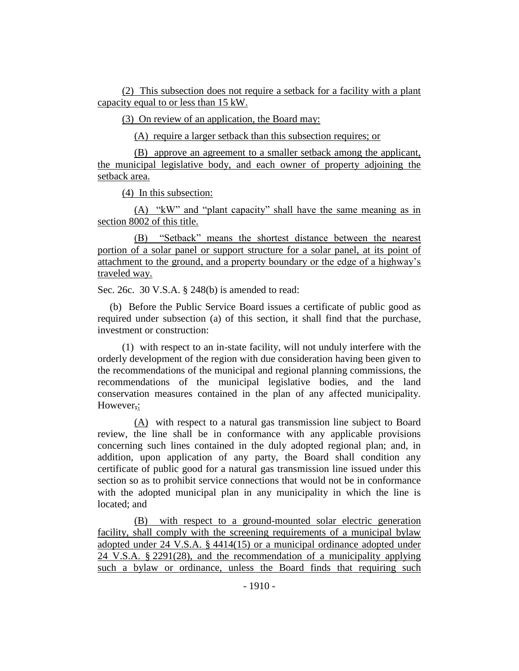(2) This subsection does not require a setback for a facility with a plant capacity equal to or less than 15 kW.

(3) On review of an application, the Board may:

(A) require a larger setback than this subsection requires; or

(B) approve an agreement to a smaller setback among the applicant, the municipal legislative body, and each owner of property adjoining the setback area.

(4) In this subsection:

(A) "kW" and "plant capacity" shall have the same meaning as in section 8002 of this title.

(B) "Setback" means the shortest distance between the nearest portion of a solar panel or support structure for a solar panel, at its point of attachment to the ground, and a property boundary or the edge of a highway's traveled way.

Sec. 26c. 30 V.S.A. § 248(b) is amended to read:

(b) Before the Public Service Board issues a certificate of public good as required under subsection (a) of this section, it shall find that the purchase, investment or construction:

(1) with respect to an in-state facility, will not unduly interfere with the orderly development of the region with due consideration having been given to the recommendations of the municipal and regional planning commissions, the recommendations of the municipal legislative bodies, and the land conservation measures contained in the plan of any affected municipality. However,:

(A) with respect to a natural gas transmission line subject to Board review, the line shall be in conformance with any applicable provisions concerning such lines contained in the duly adopted regional plan; and, in addition, upon application of any party, the Board shall condition any certificate of public good for a natural gas transmission line issued under this section so as to prohibit service connections that would not be in conformance with the adopted municipal plan in any municipality in which the line is located; and

(B) with respect to a ground-mounted solar electric generation facility, shall comply with the screening requirements of a municipal bylaw adopted under 24 V.S.A. § 4414(15) or a municipal ordinance adopted under 24 V.S.A. § 2291(28), and the recommendation of a municipality applying such a bylaw or ordinance, unless the Board finds that requiring such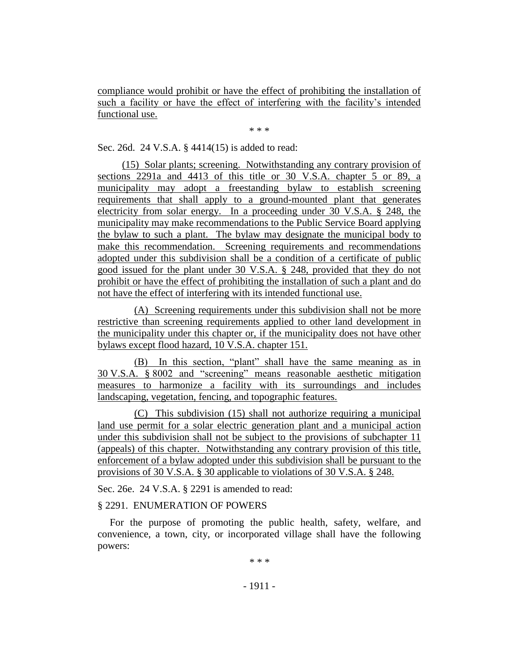compliance would prohibit or have the effect of prohibiting the installation of such a facility or have the effect of interfering with the facility's intended functional use.

\* \* \*

Sec. 26d. 24 V.S.A. § 4414(15) is added to read:

(15) Solar plants; screening. Notwithstanding any contrary provision of sections 2291a and 4413 of this title or 30 V.S.A. chapter 5 or 89, a municipality may adopt a freestanding bylaw to establish screening requirements that shall apply to a ground-mounted plant that generates electricity from solar energy. In a proceeding under 30 V.S.A. § 248, the municipality may make recommendations to the Public Service Board applying the bylaw to such a plant. The bylaw may designate the municipal body to make this recommendation. Screening requirements and recommendations adopted under this subdivision shall be a condition of a certificate of public good issued for the plant under 30 V.S.A. § 248, provided that they do not prohibit or have the effect of prohibiting the installation of such a plant and do not have the effect of interfering with its intended functional use.

(A) Screening requirements under this subdivision shall not be more restrictive than screening requirements applied to other land development in the municipality under this chapter or, if the municipality does not have other bylaws except flood hazard, 10 V.S.A. chapter 151.

(B) In this section, "plant" shall have the same meaning as in 30 V.S.A. § 8002 and "screening" means reasonable aesthetic mitigation measures to harmonize a facility with its surroundings and includes landscaping, vegetation, fencing, and topographic features.

(C) This subdivision (15) shall not authorize requiring a municipal land use permit for a solar electric generation plant and a municipal action under this subdivision shall not be subject to the provisions of subchapter 11 (appeals) of this chapter. Notwithstanding any contrary provision of this title, enforcement of a bylaw adopted under this subdivision shall be pursuant to the provisions of 30 V.S.A. § 30 applicable to violations of 30 V.S.A. § 248.

Sec. 26e. 24 V.S.A. § 2291 is amended to read:

### § 2291. ENUMERATION OF POWERS

For the purpose of promoting the public health, safety, welfare, and convenience, a town, city, or incorporated village shall have the following powers:

\* \* \*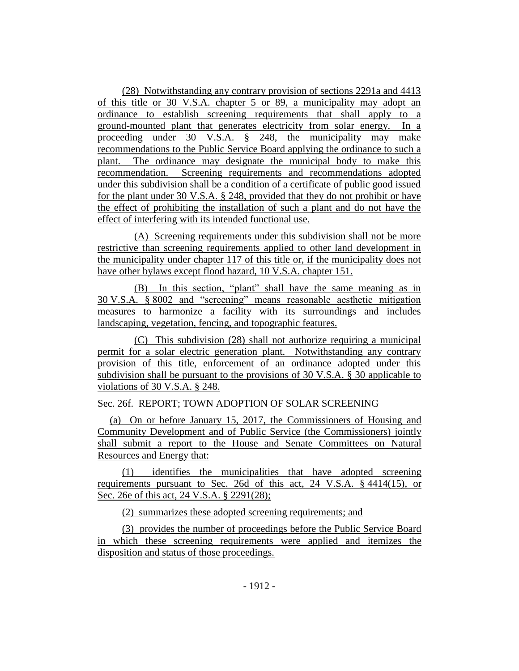(28) Notwithstanding any contrary provision of sections 2291a and 4413 of this title or 30 V.S.A. chapter 5 or 89, a municipality may adopt an ordinance to establish screening requirements that shall apply to a ground-mounted plant that generates electricity from solar energy. In a proceeding under 30 V.S.A. § 248, the municipality may make recommendations to the Public Service Board applying the ordinance to such a plant. The ordinance may designate the municipal body to make this recommendation. Screening requirements and recommendations adopted under this subdivision shall be a condition of a certificate of public good issued for the plant under 30 V.S.A. § 248, provided that they do not prohibit or have the effect of prohibiting the installation of such a plant and do not have the effect of interfering with its intended functional use.

(A) Screening requirements under this subdivision shall not be more restrictive than screening requirements applied to other land development in the municipality under chapter 117 of this title or, if the municipality does not have other bylaws except flood hazard, 10 V.S.A. chapter 151.

(B) In this section, "plant" shall have the same meaning as in 30 V.S.A. § 8002 and "screening" means reasonable aesthetic mitigation measures to harmonize a facility with its surroundings and includes landscaping, vegetation, fencing, and topographic features.

(C) This subdivision (28) shall not authorize requiring a municipal permit for a solar electric generation plant. Notwithstanding any contrary provision of this title, enforcement of an ordinance adopted under this subdivision shall be pursuant to the provisions of 30 V.S.A. § 30 applicable to violations of 30 V.S.A. § 248.

Sec. 26f. REPORT; TOWN ADOPTION OF SOLAR SCREENING

(a) On or before January 15, 2017, the Commissioners of Housing and Community Development and of Public Service (the Commissioners) jointly shall submit a report to the House and Senate Committees on Natural Resources and Energy that:

(1) identifies the municipalities that have adopted screening requirements pursuant to Sec. 26d of this act, 24 V.S.A. § 4414(15), or Sec. 26e of this act, 24 V.S.A. § 2291(28);

(2) summarizes these adopted screening requirements; and

(3) provides the number of proceedings before the Public Service Board in which these screening requirements were applied and itemizes the disposition and status of those proceedings.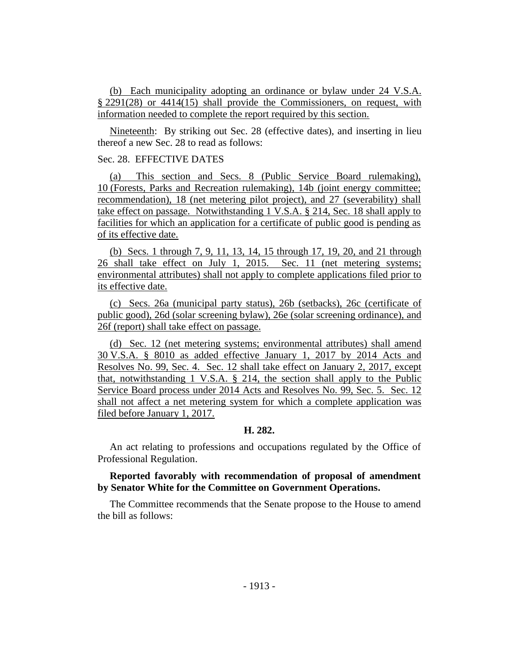(b) Each municipality adopting an ordinance or bylaw under 24 V.S.A. § 2291(28) or 4414(15) shall provide the Commissioners, on request, with information needed to complete the report required by this section.

Nineteenth: By striking out Sec. 28 (effective dates), and inserting in lieu thereof a new Sec. 28 to read as follows:

## Sec. 28. EFFECTIVE DATES

(a) This section and Secs. 8 (Public Service Board rulemaking), 10 (Forests, Parks and Recreation rulemaking), 14b (joint energy committee; recommendation), 18 (net metering pilot project), and 27 (severability) shall take effect on passage. Notwithstanding 1 V.S.A. § 214, Sec. 18 shall apply to facilities for which an application for a certificate of public good is pending as of its effective date.

(b) Secs. 1 through 7, 9, 11, 13, 14, 15 through 17, 19, 20, and 21 through 26 shall take effect on July 1, 2015. Sec. 11 (net metering systems; environmental attributes) shall not apply to complete applications filed prior to its effective date.

(c) Secs. 26a (municipal party status), 26b (setbacks), 26c (certificate of public good), 26d (solar screening bylaw), 26e (solar screening ordinance), and 26f (report) shall take effect on passage.

(d) Sec. 12 (net metering systems; environmental attributes) shall amend 30 V.S.A. § 8010 as added effective January 1, 2017 by 2014 Acts and Resolves No. 99, Sec. 4. Sec. 12 shall take effect on January 2, 2017, except that, notwithstanding 1 V.S.A. § 214, the section shall apply to the Public Service Board process under 2014 Acts and Resolves No. 99, Sec. 5. Sec. 12 shall not affect a net metering system for which a complete application was filed before January 1, 2017.

### **H. 282.**

An act relating to professions and occupations regulated by the Office of Professional Regulation.

### **Reported favorably with recommendation of proposal of amendment by Senator White for the Committee on Government Operations.**

The Committee recommends that the Senate propose to the House to amend the bill as follows: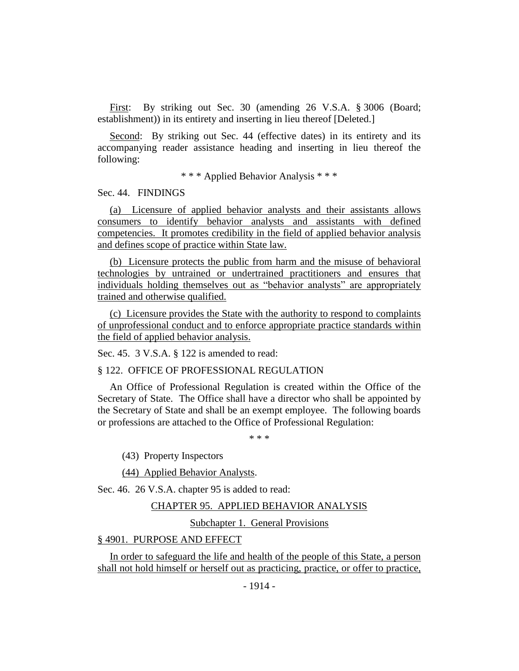First: By striking out Sec. 30 (amending 26 V.S.A. § 3006 (Board; establishment)) in its entirety and inserting in lieu thereof [Deleted.]

Second: By striking out Sec. 44 (effective dates) in its entirety and its accompanying reader assistance heading and inserting in lieu thereof the following:

\* \* \* Applied Behavior Analysis \* \* \*

Sec. 44. FINDINGS

(a) Licensure of applied behavior analysts and their assistants allows consumers to identify behavior analysts and assistants with defined competencies. It promotes credibility in the field of applied behavior analysis and defines scope of practice within State law.

(b) Licensure protects the public from harm and the misuse of behavioral technologies by untrained or undertrained practitioners and ensures that individuals holding themselves out as "behavior analysts" are appropriately trained and otherwise qualified.

(c) Licensure provides the State with the authority to respond to complaints of unprofessional conduct and to enforce appropriate practice standards within the field of applied behavior analysis.

Sec. 45. 3 V.S.A. § 122 is amended to read:

§ 122. OFFICE OF PROFESSIONAL REGULATION

An Office of Professional Regulation is created within the Office of the Secretary of State. The Office shall have a director who shall be appointed by the Secretary of State and shall be an exempt employee. The following boards or professions are attached to the Office of Professional Regulation:

\* \* \*

(43) Property Inspectors

(44) Applied Behavior Analysts.

Sec. 46. 26 V.S.A. chapter 95 is added to read:

#### CHAPTER 95. APPLIED BEHAVIOR ANALYSIS

Subchapter 1. General Provisions

### § 4901. PURPOSE AND EFFECT

In order to safeguard the life and health of the people of this State, a person shall not hold himself or herself out as practicing, practice, or offer to practice,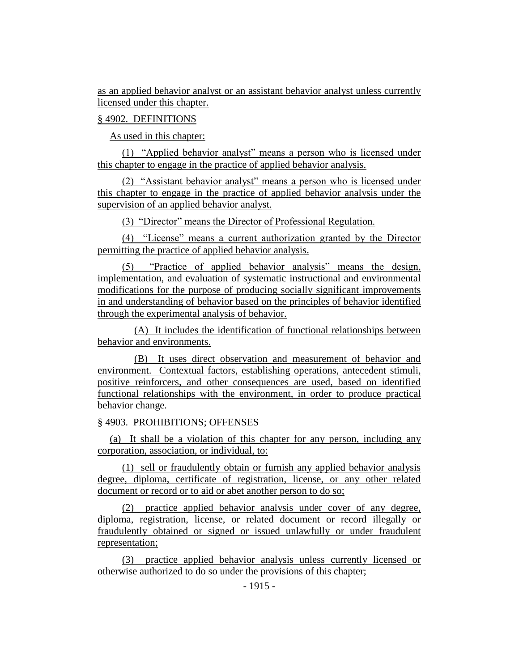as an applied behavior analyst or an assistant behavior analyst unless currently licensed under this chapter.

### § 4902. DEFINITIONS

As used in this chapter:

(1) "Applied behavior analyst" means a person who is licensed under this chapter to engage in the practice of applied behavior analysis.

(2) "Assistant behavior analyst" means a person who is licensed under this chapter to engage in the practice of applied behavior analysis under the supervision of an applied behavior analyst.

(3) "Director" means the Director of Professional Regulation.

(4) "License" means a current authorization granted by the Director permitting the practice of applied behavior analysis.

(5) "Practice of applied behavior analysis" means the design, implementation, and evaluation of systematic instructional and environmental modifications for the purpose of producing socially significant improvements in and understanding of behavior based on the principles of behavior identified through the experimental analysis of behavior.

(A) It includes the identification of functional relationships between behavior and environments.

(B) It uses direct observation and measurement of behavior and environment. Contextual factors, establishing operations, antecedent stimuli, positive reinforcers, and other consequences are used, based on identified functional relationships with the environment, in order to produce practical behavior change.

#### § 4903. PROHIBITIONS; OFFENSES

(a) It shall be a violation of this chapter for any person, including any corporation, association, or individual, to:

(1) sell or fraudulently obtain or furnish any applied behavior analysis degree, diploma, certificate of registration, license, or any other related document or record or to aid or abet another person to do so;

(2) practice applied behavior analysis under cover of any degree, diploma, registration, license, or related document or record illegally or fraudulently obtained or signed or issued unlawfully or under fraudulent representation;

(3) practice applied behavior analysis unless currently licensed or otherwise authorized to do so under the provisions of this chapter;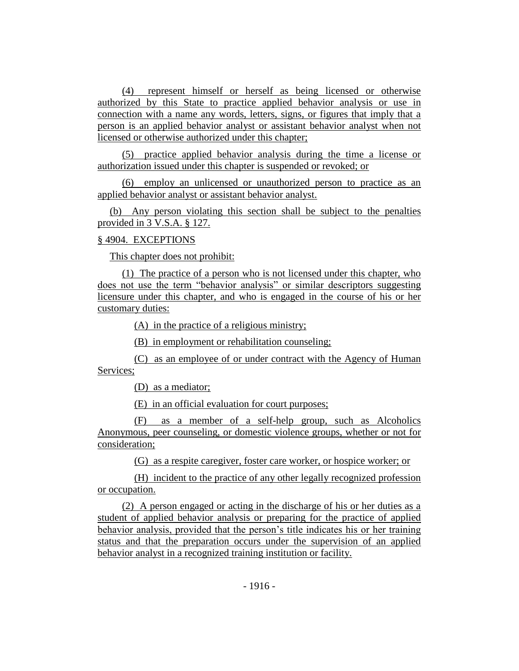(4) represent himself or herself as being licensed or otherwise authorized by this State to practice applied behavior analysis or use in connection with a name any words, letters, signs, or figures that imply that a person is an applied behavior analyst or assistant behavior analyst when not licensed or otherwise authorized under this chapter;

(5) practice applied behavior analysis during the time a license or authorization issued under this chapter is suspended or revoked; or

(6) employ an unlicensed or unauthorized person to practice as an applied behavior analyst or assistant behavior analyst.

(b) Any person violating this section shall be subject to the penalties provided in 3 V.S.A. § 127.

## § 4904. EXCEPTIONS

This chapter does not prohibit:

(1) The practice of a person who is not licensed under this chapter, who does not use the term "behavior analysis" or similar descriptors suggesting licensure under this chapter, and who is engaged in the course of his or her customary duties:

(A) in the practice of a religious ministry;

(B) in employment or rehabilitation counseling;

(C) as an employee of or under contract with the Agency of Human Services;

(D) as a mediator;

(E) in an official evaluation for court purposes;

(F) as a member of a self-help group, such as Alcoholics Anonymous, peer counseling, or domestic violence groups, whether or not for consideration;

(G) as a respite caregiver, foster care worker, or hospice worker; or

(H) incident to the practice of any other legally recognized profession or occupation.

(2) A person engaged or acting in the discharge of his or her duties as a student of applied behavior analysis or preparing for the practice of applied behavior analysis, provided that the person's title indicates his or her training status and that the preparation occurs under the supervision of an applied behavior analyst in a recognized training institution or facility.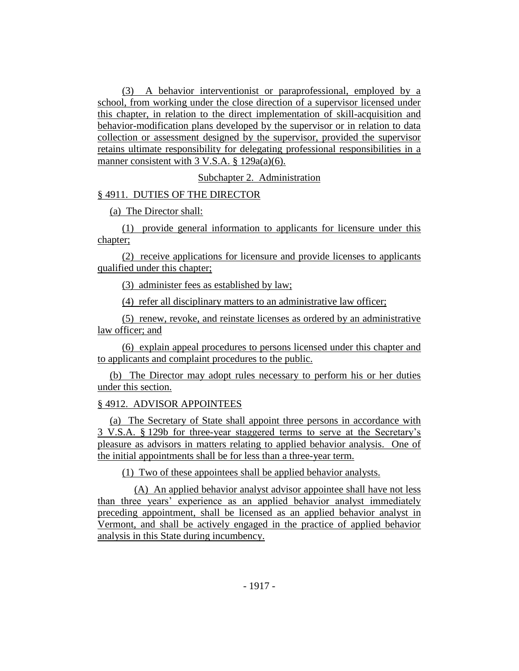(3) A behavior interventionist or paraprofessional, employed by a school, from working under the close direction of a supervisor licensed under this chapter, in relation to the direct implementation of skill-acquisition and behavior-modification plans developed by the supervisor or in relation to data collection or assessment designed by the supervisor, provided the supervisor retains ultimate responsibility for delegating professional responsibilities in a manner consistent with 3 V.S.A. § 129a(a)(6).

Subchapter 2. Administration

### § 4911. DUTIES OF THE DIRECTOR

(a) The Director shall:

(1) provide general information to applicants for licensure under this chapter;

(2) receive applications for licensure and provide licenses to applicants qualified under this chapter;

(3) administer fees as established by law;

(4) refer all disciplinary matters to an administrative law officer;

(5) renew, revoke, and reinstate licenses as ordered by an administrative law officer; and

(6) explain appeal procedures to persons licensed under this chapter and to applicants and complaint procedures to the public.

(b) The Director may adopt rules necessary to perform his or her duties under this section.

#### § 4912. ADVISOR APPOINTEES

(a) The Secretary of State shall appoint three persons in accordance with 3 V.S.A. § 129b for three-year staggered terms to serve at the Secretary's pleasure as advisors in matters relating to applied behavior analysis. One of the initial appointments shall be for less than a three-year term.

(1) Two of these appointees shall be applied behavior analysts.

(A) An applied behavior analyst advisor appointee shall have not less than three years' experience as an applied behavior analyst immediately preceding appointment, shall be licensed as an applied behavior analyst in Vermont, and shall be actively engaged in the practice of applied behavior analysis in this State during incumbency.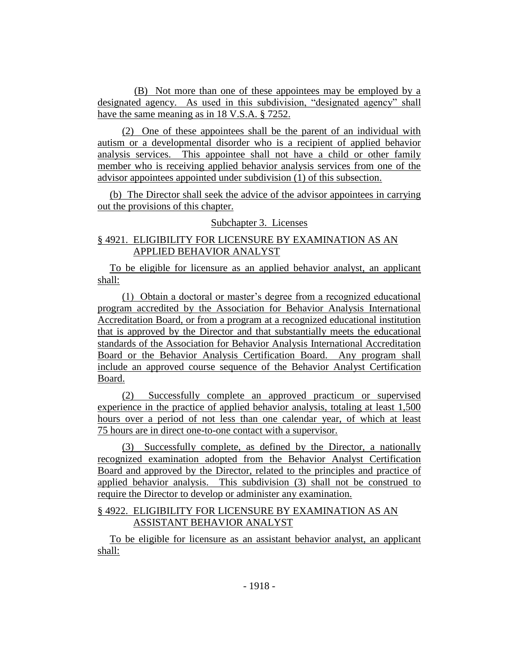(B) Not more than one of these appointees may be employed by a designated agency. As used in this subdivision, "designated agency" shall have the same meaning as in 18 V.S.A. § 7252.

(2) One of these appointees shall be the parent of an individual with autism or a developmental disorder who is a recipient of applied behavior analysis services. This appointee shall not have a child or other family member who is receiving applied behavior analysis services from one of the advisor appointees appointed under subdivision (1) of this subsection.

(b) The Director shall seek the advice of the advisor appointees in carrying out the provisions of this chapter.

# Subchapter 3. Licenses

# § 4921. ELIGIBILITY FOR LICENSURE BY EXAMINATION AS AN APPLIED BEHAVIOR ANALYST

To be eligible for licensure as an applied behavior analyst, an applicant shall:

(1) Obtain a doctoral or master's degree from a recognized educational program accredited by the Association for Behavior Analysis International Accreditation Board, or from a program at a recognized educational institution that is approved by the Director and that substantially meets the educational standards of the Association for Behavior Analysis International Accreditation Board or the Behavior Analysis Certification Board. Any program shall include an approved course sequence of the Behavior Analyst Certification Board.

(2) Successfully complete an approved practicum or supervised experience in the practice of applied behavior analysis, totaling at least 1,500 hours over a period of not less than one calendar year, of which at least 75 hours are in direct one-to-one contact with a supervisor.

(3) Successfully complete, as defined by the Director, a nationally recognized examination adopted from the Behavior Analyst Certification Board and approved by the Director, related to the principles and practice of applied behavior analysis. This subdivision (3) shall not be construed to require the Director to develop or administer any examination.

## § 4922. ELIGIBILITY FOR LICENSURE BY EXAMINATION AS AN ASSISTANT BEHAVIOR ANALYST

To be eligible for licensure as an assistant behavior analyst, an applicant shall: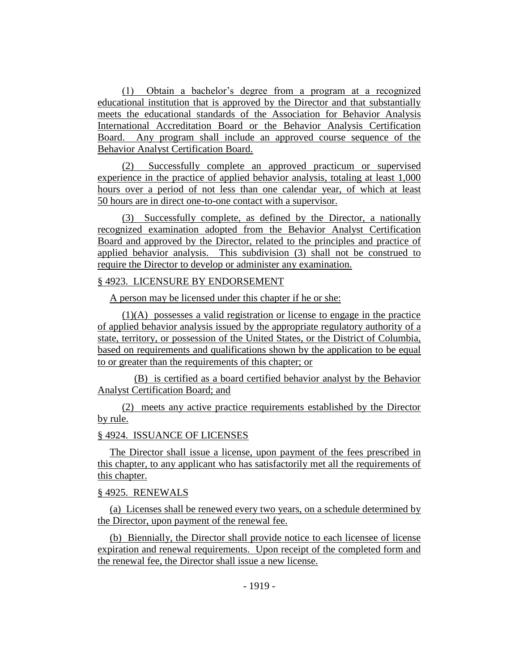(1) Obtain a bachelor's degree from a program at a recognized educational institution that is approved by the Director and that substantially meets the educational standards of the Association for Behavior Analysis International Accreditation Board or the Behavior Analysis Certification Board. Any program shall include an approved course sequence of the Behavior Analyst Certification Board.

(2) Successfully complete an approved practicum or supervised experience in the practice of applied behavior analysis, totaling at least 1,000 hours over a period of not less than one calendar year, of which at least 50 hours are in direct one-to-one contact with a supervisor.

(3) Successfully complete, as defined by the Director, a nationally recognized examination adopted from the Behavior Analyst Certification Board and approved by the Director, related to the principles and practice of applied behavior analysis. This subdivision (3) shall not be construed to require the Director to develop or administer any examination.

## § 4923. LICENSURE BY ENDORSEMENT

A person may be licensed under this chapter if he or she:

(1)(A) possesses a valid registration or license to engage in the practice of applied behavior analysis issued by the appropriate regulatory authority of a state, territory, or possession of the United States, or the District of Columbia, based on requirements and qualifications shown by the application to be equal to or greater than the requirements of this chapter; or

(B) is certified as a board certified behavior analyst by the Behavior Analyst Certification Board; and

(2) meets any active practice requirements established by the Director by rule.

#### § 4924. ISSUANCE OF LICENSES

The Director shall issue a license, upon payment of the fees prescribed in this chapter, to any applicant who has satisfactorily met all the requirements of this chapter.

### § 4925. RENEWALS

(a) Licenses shall be renewed every two years, on a schedule determined by the Director, upon payment of the renewal fee.

(b) Biennially, the Director shall provide notice to each licensee of license expiration and renewal requirements. Upon receipt of the completed form and the renewal fee, the Director shall issue a new license.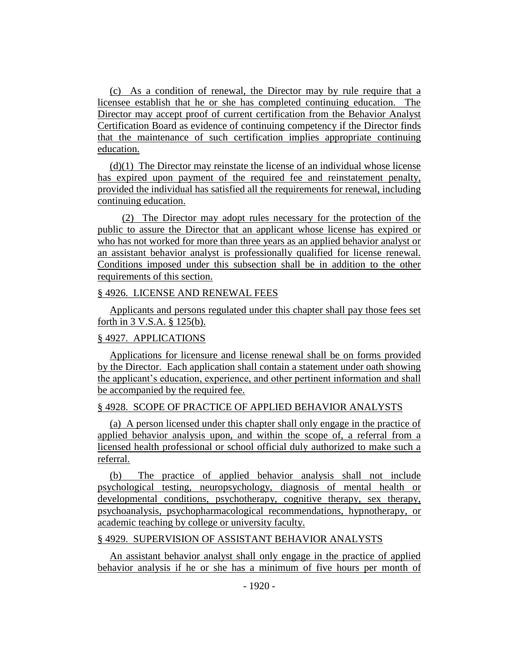(c) As a condition of renewal, the Director may by rule require that a licensee establish that he or she has completed continuing education. The Director may accept proof of current certification from the Behavior Analyst Certification Board as evidence of continuing competency if the Director finds that the maintenance of such certification implies appropriate continuing education.

(d)(1) The Director may reinstate the license of an individual whose license has expired upon payment of the required fee and reinstatement penalty, provided the individual has satisfied all the requirements for renewal, including continuing education.

(2) The Director may adopt rules necessary for the protection of the public to assure the Director that an applicant whose license has expired or who has not worked for more than three years as an applied behavior analyst or an assistant behavior analyst is professionally qualified for license renewal. Conditions imposed under this subsection shall be in addition to the other requirements of this section.

### § 4926. LICENSE AND RENEWAL FEES

Applicants and persons regulated under this chapter shall pay those fees set forth in 3 V.S.A. § 125(b).

#### § 4927. APPLICATIONS

Applications for licensure and license renewal shall be on forms provided by the Director. Each application shall contain a statement under oath showing the applicant's education, experience, and other pertinent information and shall be accompanied by the required fee.

### § 4928. SCOPE OF PRACTICE OF APPLIED BEHAVIOR ANALYSTS

(a) A person licensed under this chapter shall only engage in the practice of applied behavior analysis upon, and within the scope of, a referral from a licensed health professional or school official duly authorized to make such a referral.

(b) The practice of applied behavior analysis shall not include psychological testing, neuropsychology, diagnosis of mental health or developmental conditions, psychotherapy, cognitive therapy, sex therapy, psychoanalysis, psychopharmacological recommendations, hypnotherapy, or academic teaching by college or university faculty.

#### § 4929. SUPERVISION OF ASSISTANT BEHAVIOR ANALYSTS

An assistant behavior analyst shall only engage in the practice of applied behavior analysis if he or she has a minimum of five hours per month of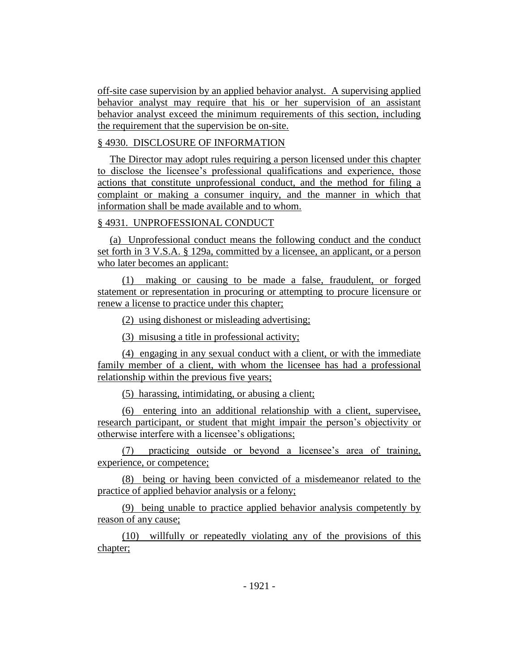off-site case supervision by an applied behavior analyst. A supervising applied behavior analyst may require that his or her supervision of an assistant behavior analyst exceed the minimum requirements of this section, including the requirement that the supervision be on-site.

# § 4930. DISCLOSURE OF INFORMATION

The Director may adopt rules requiring a person licensed under this chapter to disclose the licensee's professional qualifications and experience, those actions that constitute unprofessional conduct, and the method for filing a complaint or making a consumer inquiry, and the manner in which that information shall be made available and to whom.

# § 4931. UNPROFESSIONAL CONDUCT

(a) Unprofessional conduct means the following conduct and the conduct set forth in 3 V.S.A. § 129a, committed by a licensee, an applicant, or a person who later becomes an applicant:

(1) making or causing to be made a false, fraudulent, or forged statement or representation in procuring or attempting to procure licensure or renew a license to practice under this chapter;

(2) using dishonest or misleading advertising;

(3) misusing a title in professional activity;

(4) engaging in any sexual conduct with a client, or with the immediate family member of a client, with whom the licensee has had a professional relationship within the previous five years;

(5) harassing, intimidating, or abusing a client;

(6) entering into an additional relationship with a client, supervisee, research participant, or student that might impair the person's objectivity or otherwise interfere with a licensee's obligations;

(7) practicing outside or beyond a licensee's area of training, experience, or competence;

(8) being or having been convicted of a misdemeanor related to the practice of applied behavior analysis or a felony;

(9) being unable to practice applied behavior analysis competently by reason of any cause;

(10) willfully or repeatedly violating any of the provisions of this chapter;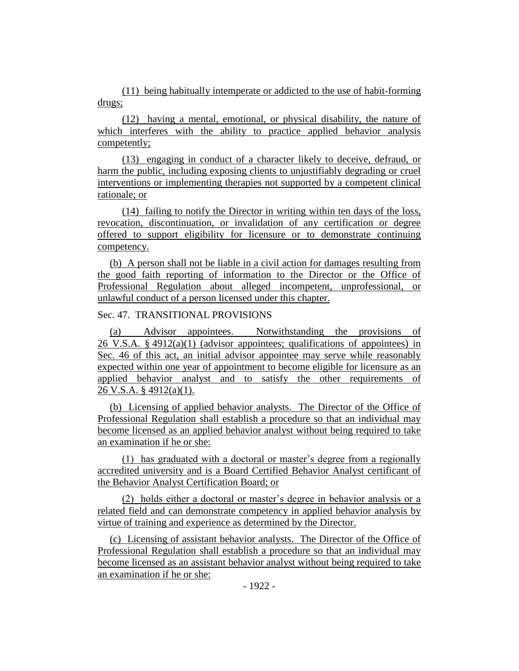(11) being habitually intemperate or addicted to the use of habit-forming drugs;

(12) having a mental, emotional, or physical disability, the nature of which interferes with the ability to practice applied behavior analysis competently;

(13) engaging in conduct of a character likely to deceive, defraud, or harm the public, including exposing clients to unjustifiably degrading or cruel interventions or implementing therapies not supported by a competent clinical rationale; or

(14) failing to notify the Director in writing within ten days of the loss, revocation, discontinuation, or invalidation of any certification or degree offered to support eligibility for licensure or to demonstrate continuing competency.

(b) A person shall not be liable in a civil action for damages resulting from the good faith reporting of information to the Director or the Office of Professional Regulation about alleged incompetent, unprofessional, or unlawful conduct of a person licensed under this chapter.

# Sec. 47. TRANSITIONAL PROVISIONS

(a) Advisor appointees. Notwithstanding the provisions of 26 V.S.A.  $\S 4912(a)(1)$  (advisor appointees; qualifications of appointees) in Sec. 46 of this act, an initial advisor appointee may serve while reasonably expected within one year of appointment to become eligible for licensure as an applied behavior analyst and to satisfy the other requirements of 26 V.S.A. § 4912(a)(1).

(b) Licensing of applied behavior analysts. The Director of the Office of Professional Regulation shall establish a procedure so that an individual may become licensed as an applied behavior analyst without being required to take an examination if he or she:

(1) has graduated with a doctoral or master's degree from a regionally accredited university and is a Board Certified Behavior Analyst certificant of the Behavior Analyst Certification Board; or

(2) holds either a doctoral or master's degree in behavior analysis or a related field and can demonstrate competency in applied behavior analysis by virtue of training and experience as determined by the Director.

(c) Licensing of assistant behavior analysts. The Director of the Office of Professional Regulation shall establish a procedure so that an individual may become licensed as an assistant behavior analyst without being required to take an examination if he or she: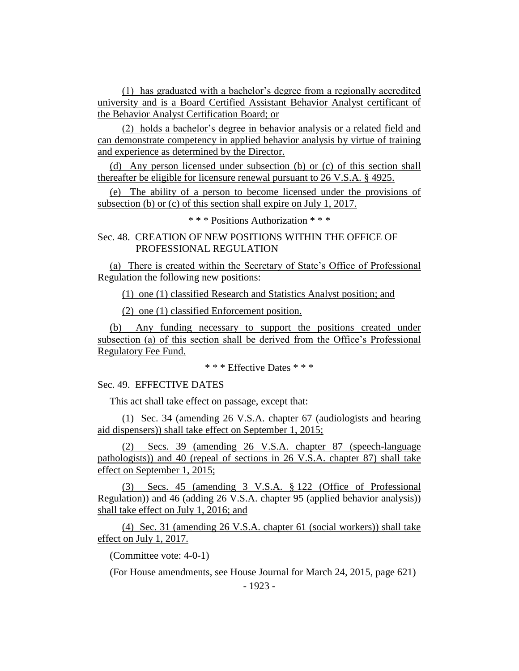(1) has graduated with a bachelor's degree from a regionally accredited university and is a Board Certified Assistant Behavior Analyst certificant of the Behavior Analyst Certification Board; or

(2) holds a bachelor's degree in behavior analysis or a related field and can demonstrate competency in applied behavior analysis by virtue of training and experience as determined by the Director.

(d) Any person licensed under subsection (b) or (c) of this section shall thereafter be eligible for licensure renewal pursuant to 26 V.S.A. § 4925.

(e) The ability of a person to become licensed under the provisions of subsection (b) or (c) of this section shall expire on July 1, 2017.

\* \* \* Positions Authorization \* \* \*

Sec. 48. CREATION OF NEW POSITIONS WITHIN THE OFFICE OF PROFESSIONAL REGULATION

(a) There is created within the Secretary of State's Office of Professional Regulation the following new positions:

(1) one (1) classified Research and Statistics Analyst position; and

(2) one (1) classified Enforcement position.

(b) Any funding necessary to support the positions created under subsection (a) of this section shall be derived from the Office's Professional Regulatory Fee Fund.

\* \* \* Effective Dates \* \* \*

Sec. 49. EFFECTIVE DATES

This act shall take effect on passage, except that:

(1) Sec. 34 (amending 26 V.S.A. chapter 67 (audiologists and hearing aid dispensers)) shall take effect on September 1, 2015;

(2) Secs. 39 (amending 26 V.S.A. chapter 87 (speech-language pathologists)) and 40 (repeal of sections in 26 V.S.A. chapter 87) shall take effect on September 1, 2015;

(3) Secs. 45 (amending 3 V.S.A. § 122 (Office of Professional Regulation)) and 46 (adding 26 V.S.A. chapter 95 (applied behavior analysis)) shall take effect on July 1, 2016; and

(4) Sec. 31 (amending 26 V.S.A. chapter 61 (social workers)) shall take effect on July 1, 2017.

(Committee vote: 4-0-1)

(For House amendments, see House Journal for March 24, 2015, page 621)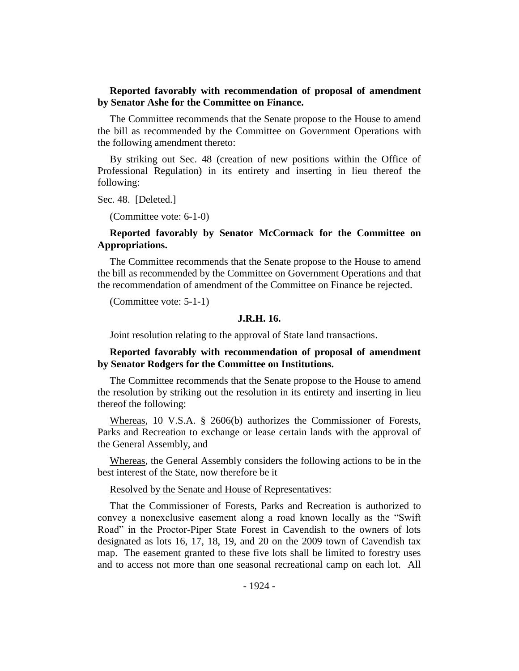# **Reported favorably with recommendation of proposal of amendment by Senator Ashe for the Committee on Finance.**

The Committee recommends that the Senate propose to the House to amend the bill as recommended by the Committee on Government Operations with the following amendment thereto:

By striking out Sec. 48 (creation of new positions within the Office of Professional Regulation) in its entirety and inserting in lieu thereof the following:

Sec. 48. [Deleted.]

(Committee vote: 6-1-0)

# **Reported favorably by Senator McCormack for the Committee on Appropriations.**

The Committee recommends that the Senate propose to the House to amend the bill as recommended by the Committee on Government Operations and that the recommendation of amendment of the Committee on Finance be rejected.

(Committee vote: 5-1-1)

### **J.R.H. 16.**

Joint resolution relating to the approval of State land transactions.

### **Reported favorably with recommendation of proposal of amendment by Senator Rodgers for the Committee on Institutions.**

The Committee recommends that the Senate propose to the House to amend the resolution by striking out the resolution in its entirety and inserting in lieu thereof the following:

Whereas, 10 V.S.A. § 2606(b) authorizes the Commissioner of Forests, Parks and Recreation to exchange or lease certain lands with the approval of the General Assembly, and

Whereas, the General Assembly considers the following actions to be in the best interest of the State, now therefore be it

#### Resolved by the Senate and House of Representatives:

That the Commissioner of Forests, Parks and Recreation is authorized to convey a nonexclusive easement along a road known locally as the "Swift Road" in the Proctor-Piper State Forest in Cavendish to the owners of lots designated as lots 16, 17, 18, 19, and 20 on the 2009 town of Cavendish tax map. The easement granted to these five lots shall be limited to forestry uses and to access not more than one seasonal recreational camp on each lot. All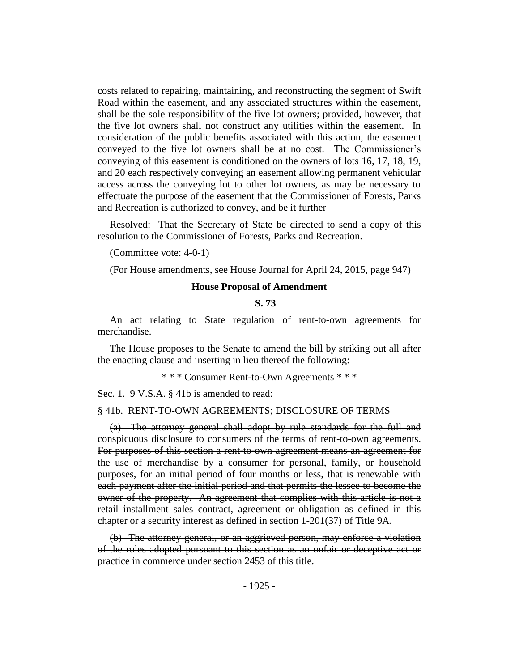costs related to repairing, maintaining, and reconstructing the segment of Swift Road within the easement, and any associated structures within the easement, shall be the sole responsibility of the five lot owners; provided, however, that the five lot owners shall not construct any utilities within the easement. In consideration of the public benefits associated with this action, the easement conveyed to the five lot owners shall be at no cost. The Commissioner's conveying of this easement is conditioned on the owners of lots 16, 17, 18, 19, and 20 each respectively conveying an easement allowing permanent vehicular access across the conveying lot to other lot owners, as may be necessary to effectuate the purpose of the easement that the Commissioner of Forests, Parks and Recreation is authorized to convey, and be it further

Resolved: That the Secretary of State be directed to send a copy of this resolution to the Commissioner of Forests, Parks and Recreation.

(Committee vote: 4-0-1)

(For House amendments, see House Journal for April 24, 2015, page 947)

#### **House Proposal of Amendment**

**S. 73**

An act relating to State regulation of rent-to-own agreements for merchandise.

The House proposes to the Senate to amend the bill by striking out all after the enacting clause and inserting in lieu thereof the following:

\* \* \* Consumer Rent-to-Own Agreements \* \* \*

Sec. 1. 9 V.S.A. § 41b is amended to read:

#### § 41b. RENT-TO-OWN AGREEMENTS; DISCLOSURE OF TERMS

(a) The attorney general shall adopt by rule standards for the full and conspicuous disclosure to consumers of the terms of rent-to-own agreements. For purposes of this section a rent-to-own agreement means an agreement for the use of merchandise by a consumer for personal, family, or household purposes, for an initial period of four months or less, that is renewable with each payment after the initial period and that permits the lessee to become the owner of the property. An agreement that complies with this article is not a retail installment sales contract, agreement or obligation as defined in this chapter or a security interest as defined in section 1-201(37) of Title 9A.

(b) The attorney general, or an aggrieved person, may enforce a violation of the rules adopted pursuant to this section as an unfair or deceptive act or practice in commerce under section 2453 of this title.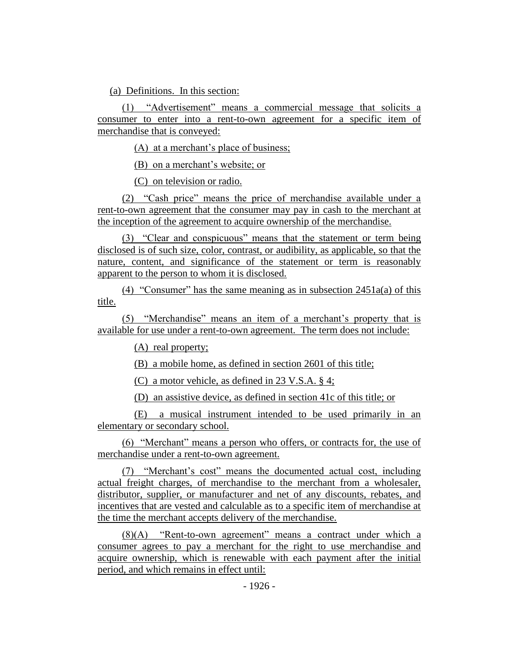(a) Definitions. In this section:

(1) "Advertisement" means a commercial message that solicits a consumer to enter into a rent-to-own agreement for a specific item of merchandise that is conveyed:

(A) at a merchant's place of business;

(B) on a merchant's website; or

(C) on television or radio.

(2) "Cash price" means the price of merchandise available under a rent-to-own agreement that the consumer may pay in cash to the merchant at the inception of the agreement to acquire ownership of the merchandise.

(3) "Clear and conspicuous" means that the statement or term being disclosed is of such size, color, contrast, or audibility, as applicable, so that the nature, content, and significance of the statement or term is reasonably apparent to the person to whom it is disclosed.

(4) "Consumer" has the same meaning as in subsection  $2451a(a)$  of this title.

(5) "Merchandise" means an item of a merchant's property that is available for use under a rent-to-own agreement. The term does not include:

(A) real property;

(B) a mobile home, as defined in section 2601 of this title;

(C) a motor vehicle, as defined in 23 V.S.A. § 4;

(D) an assistive device, as defined in section 41c of this title; or

(E) a musical instrument intended to be used primarily in an elementary or secondary school.

(6) "Merchant" means a person who offers, or contracts for, the use of merchandise under a rent-to-own agreement.

(7) "Merchant's cost" means the documented actual cost, including actual freight charges, of merchandise to the merchant from a wholesaler, distributor, supplier, or manufacturer and net of any discounts, rebates, and incentives that are vested and calculable as to a specific item of merchandise at the time the merchant accepts delivery of the merchandise.

(8)(A) "Rent-to-own agreement" means a contract under which a consumer agrees to pay a merchant for the right to use merchandise and acquire ownership, which is renewable with each payment after the initial period, and which remains in effect until: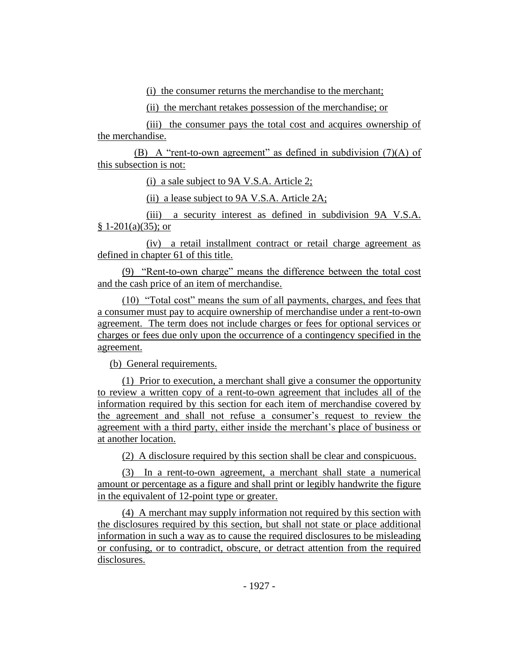(i) the consumer returns the merchandise to the merchant;

(ii) the merchant retakes possession of the merchandise; or

(iii) the consumer pays the total cost and acquires ownership of the merchandise.

(B) A "rent-to-own agreement" as defined in subdivision  $(7)(A)$  of this subsection is not:

(i) a sale subject to 9A V.S.A. Article 2;

(ii) a lease subject to 9A V.S.A. Article 2A;

(iii) a security interest as defined in subdivision 9A V.S.A.  $§ 1-201(a)(35);$  or

(iv) a retail installment contract or retail charge agreement as defined in chapter 61 of this title.

(9) "Rent-to-own charge" means the difference between the total cost and the cash price of an item of merchandise.

(10) "Total cost" means the sum of all payments, charges, and fees that a consumer must pay to acquire ownership of merchandise under a rent-to-own agreement. The term does not include charges or fees for optional services or charges or fees due only upon the occurrence of a contingency specified in the agreement.

(b) General requirements.

(1) Prior to execution, a merchant shall give a consumer the opportunity to review a written copy of a rent-to-own agreement that includes all of the information required by this section for each item of merchandise covered by the agreement and shall not refuse a consumer's request to review the agreement with a third party, either inside the merchant's place of business or at another location.

(2) A disclosure required by this section shall be clear and conspicuous.

(3) In a rent-to-own agreement, a merchant shall state a numerical amount or percentage as a figure and shall print or legibly handwrite the figure in the equivalent of 12-point type or greater.

(4) A merchant may supply information not required by this section with the disclosures required by this section, but shall not state or place additional information in such a way as to cause the required disclosures to be misleading or confusing, or to contradict, obscure, or detract attention from the required disclosures.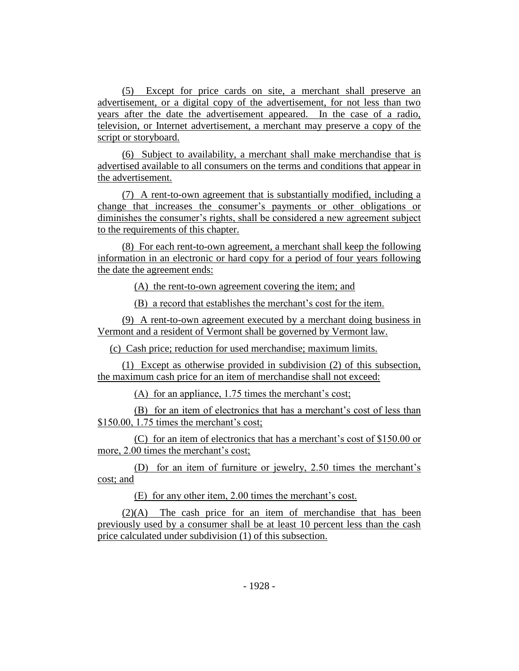(5) Except for price cards on site, a merchant shall preserve an advertisement, or a digital copy of the advertisement, for not less than two years after the date the advertisement appeared. In the case of a radio, television, or Internet advertisement, a merchant may preserve a copy of the script or storyboard.

(6) Subject to availability, a merchant shall make merchandise that is advertised available to all consumers on the terms and conditions that appear in the advertisement.

(7) A rent-to-own agreement that is substantially modified, including a change that increases the consumer's payments or other obligations or diminishes the consumer's rights, shall be considered a new agreement subject to the requirements of this chapter.

(8) For each rent-to-own agreement, a merchant shall keep the following information in an electronic or hard copy for a period of four years following the date the agreement ends:

(A) the rent-to-own agreement covering the item; and

(B) a record that establishes the merchant's cost for the item.

(9) A rent-to-own agreement executed by a merchant doing business in Vermont and a resident of Vermont shall be governed by Vermont law.

(c) Cash price; reduction for used merchandise; maximum limits.

(1) Except as otherwise provided in subdivision (2) of this subsection, the maximum cash price for an item of merchandise shall not exceed:

(A) for an appliance, 1.75 times the merchant's cost;

(B) for an item of electronics that has a merchant's cost of less than \$150.00, 1.75 times the merchant's cost;

(C) for an item of electronics that has a merchant's cost of \$150.00 or more, 2.00 times the merchant's cost;

(D) for an item of furniture or jewelry, 2.50 times the merchant's cost; and

(E) for any other item, 2.00 times the merchant's cost.

(2)(A) The cash price for an item of merchandise that has been previously used by a consumer shall be at least 10 percent less than the cash price calculated under subdivision (1) of this subsection.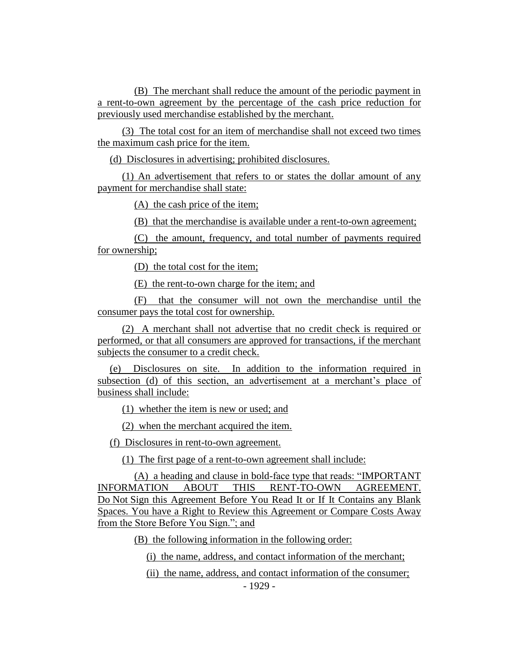(B) The merchant shall reduce the amount of the periodic payment in a rent-to-own agreement by the percentage of the cash price reduction for previously used merchandise established by the merchant.

(3) The total cost for an item of merchandise shall not exceed two times the maximum cash price for the item.

(d) Disclosures in advertising; prohibited disclosures.

(1) An advertisement that refers to or states the dollar amount of any payment for merchandise shall state:

(A) the cash price of the item;

(B) that the merchandise is available under a rent-to-own agreement;

(C) the amount, frequency, and total number of payments required for ownership;

(D) the total cost for the item;

(E) the rent-to-own charge for the item; and

(F) that the consumer will not own the merchandise until the consumer pays the total cost for ownership.

(2) A merchant shall not advertise that no credit check is required or performed, or that all consumers are approved for transactions, if the merchant subjects the consumer to a credit check.

(e) Disclosures on site. In addition to the information required in subsection (d) of this section, an advertisement at a merchant's place of business shall include:

(1) whether the item is new or used; and

(2) when the merchant acquired the item.

(f) Disclosures in rent-to-own agreement.

(1) The first page of a rent-to-own agreement shall include:

(A) a heading and clause in bold-face type that reads: "IMPORTANT INFORMATION ABOUT THIS RENT-TO-OWN AGREEMENT. Do Not Sign this Agreement Before You Read It or If It Contains any Blank Spaces. You have a Right to Review this Agreement or Compare Costs Away from the Store Before You Sign."; and

(B) the following information in the following order:

(i) the name, address, and contact information of the merchant;

(ii) the name, address, and contact information of the consumer;

- 1929 -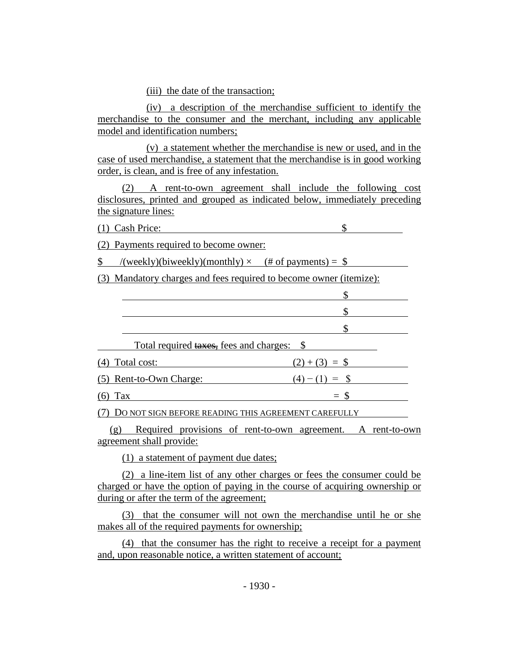(iii) the date of the transaction;

(iv) a description of the merchandise sufficient to identify the merchandise to the consumer and the merchant, including any applicable model and identification numbers;

(v) a statement whether the merchandise is new or used, and in the case of used merchandise, a statement that the merchandise is in good working order, is clean, and is free of any infestation.

(2) A rent-to-own agreement shall include the following cost disclosures, printed and grouped as indicated below, immediately preceding the signature lines:

(1) Cash Price: \$

(2) Payments required to become owner:

 $\text{\$}$  /(weekly)(biweekly)(monthly)  $\times$  (# of payments) =  $\text{\$}$ 

(3) Mandatory charges and fees required to become owner (itemize):

| Total required taxes, fees and charges: \$ |                         |                 |  |
|--------------------------------------------|-------------------------|-----------------|--|
|                                            | Total cost:             | $(2)+(3) =$ \$  |  |
|                                            | (5) Rent-to-Own Charge: | $=$ \$<br>(4) - |  |
|                                            | Tax                     |                 |  |

(7) DO NOT SIGN BEFORE READING THIS AGREEMENT CAREFULLY

(g) Required provisions of rent-to-own agreement. A rent-to-own agreement shall provide:

(1) a statement of payment due dates;

(2) a line-item list of any other charges or fees the consumer could be charged or have the option of paying in the course of acquiring ownership or during or after the term of the agreement;

(3) that the consumer will not own the merchandise until he or she makes all of the required payments for ownership;

(4) that the consumer has the right to receive a receipt for a payment and, upon reasonable notice, a written statement of account;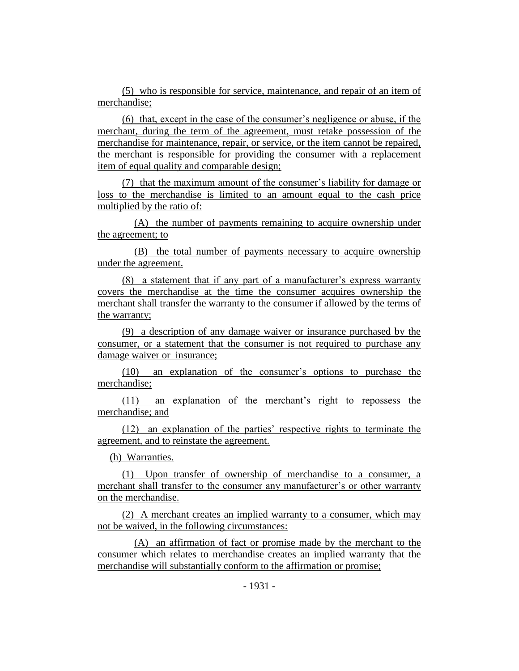(5) who is responsible for service, maintenance, and repair of an item of merchandise;

(6) that, except in the case of the consumer's negligence or abuse, if the merchant, during the term of the agreement, must retake possession of the merchandise for maintenance, repair, or service, or the item cannot be repaired, the merchant is responsible for providing the consumer with a replacement item of equal quality and comparable design;

(7) that the maximum amount of the consumer's liability for damage or loss to the merchandise is limited to an amount equal to the cash price multiplied by the ratio of:

(A) the number of payments remaining to acquire ownership under the agreement; to

(B) the total number of payments necessary to acquire ownership under the agreement.

(8) a statement that if any part of a manufacturer's express warranty covers the merchandise at the time the consumer acquires ownership the merchant shall transfer the warranty to the consumer if allowed by the terms of the warranty;

(9) a description of any damage waiver or insurance purchased by the consumer, or a statement that the consumer is not required to purchase any damage waiver or insurance;

(10) an explanation of the consumer's options to purchase the merchandise;

(11) an explanation of the merchant's right to repossess the merchandise; and

(12) an explanation of the parties' respective rights to terminate the agreement, and to reinstate the agreement.

(h) Warranties.

(1) Upon transfer of ownership of merchandise to a consumer, a merchant shall transfer to the consumer any manufacturer's or other warranty on the merchandise.

(2) A merchant creates an implied warranty to a consumer, which may not be waived, in the following circumstances:

(A) an affirmation of fact or promise made by the merchant to the consumer which relates to merchandise creates an implied warranty that the merchandise will substantially conform to the affirmation or promise;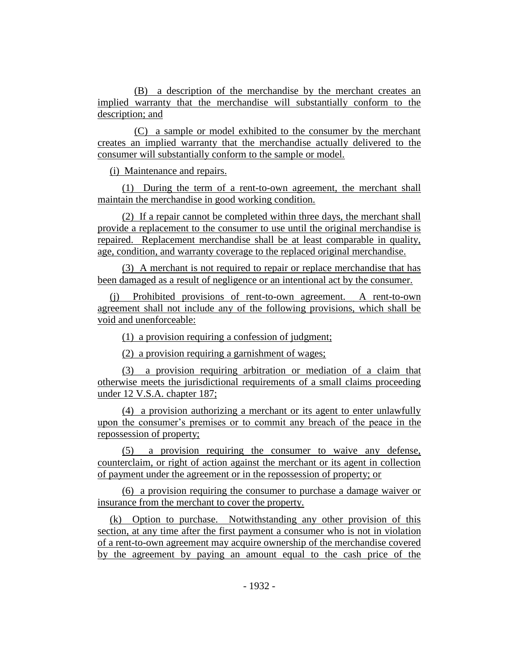(B) a description of the merchandise by the merchant creates an implied warranty that the merchandise will substantially conform to the description; and

(C) a sample or model exhibited to the consumer by the merchant creates an implied warranty that the merchandise actually delivered to the consumer will substantially conform to the sample or model.

(i) Maintenance and repairs.

(1) During the term of a rent-to-own agreement, the merchant shall maintain the merchandise in good working condition.

(2) If a repair cannot be completed within three days, the merchant shall provide a replacement to the consumer to use until the original merchandise is repaired. Replacement merchandise shall be at least comparable in quality, age, condition, and warranty coverage to the replaced original merchandise.

(3) A merchant is not required to repair or replace merchandise that has been damaged as a result of negligence or an intentional act by the consumer.

(j) Prohibited provisions of rent-to-own agreement. A rent-to-own agreement shall not include any of the following provisions, which shall be void and unenforceable:

(1) a provision requiring a confession of judgment;

(2) a provision requiring a garnishment of wages;

(3) a provision requiring arbitration or mediation of a claim that otherwise meets the jurisdictional requirements of a small claims proceeding under 12 V.S.A. chapter 187;

(4) a provision authorizing a merchant or its agent to enter unlawfully upon the consumer's premises or to commit any breach of the peace in the repossession of property;

(5) a provision requiring the consumer to waive any defense, counterclaim, or right of action against the merchant or its agent in collection of payment under the agreement or in the repossession of property; or

(6) a provision requiring the consumer to purchase a damage waiver or insurance from the merchant to cover the property.

(k) Option to purchase. Notwithstanding any other provision of this section, at any time after the first payment a consumer who is not in violation of a rent-to-own agreement may acquire ownership of the merchandise covered by the agreement by paying an amount equal to the cash price of the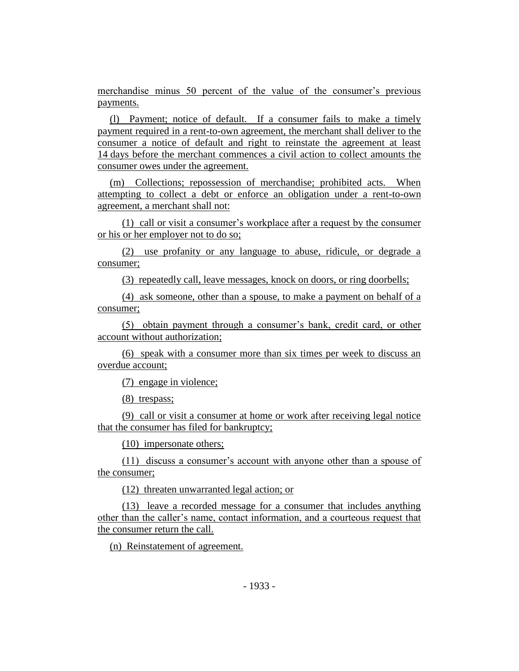merchandise minus 50 percent of the value of the consumer's previous payments.

(l) Payment; notice of default. If a consumer fails to make a timely payment required in a rent-to-own agreement, the merchant shall deliver to the consumer a notice of default and right to reinstate the agreement at least 14 days before the merchant commences a civil action to collect amounts the consumer owes under the agreement.

(m) Collections; repossession of merchandise; prohibited acts. When attempting to collect a debt or enforce an obligation under a rent-to-own agreement, a merchant shall not:

(1) call or visit a consumer's workplace after a request by the consumer or his or her employer not to do so;

(2) use profanity or any language to abuse, ridicule, or degrade a consumer;

(3) repeatedly call, leave messages, knock on doors, or ring doorbells;

(4) ask someone, other than a spouse, to make a payment on behalf of a consumer;

(5) obtain payment through a consumer's bank, credit card, or other account without authorization;

(6) speak with a consumer more than six times per week to discuss an overdue account;

(7) engage in violence;

(8) trespass;

(9) call or visit a consumer at home or work after receiving legal notice that the consumer has filed for bankruptcy;

(10) impersonate others;

(11) discuss a consumer's account with anyone other than a spouse of the consumer;

(12) threaten unwarranted legal action; or

(13) leave a recorded message for a consumer that includes anything other than the caller's name, contact information, and a courteous request that the consumer return the call.

(n) Reinstatement of agreement.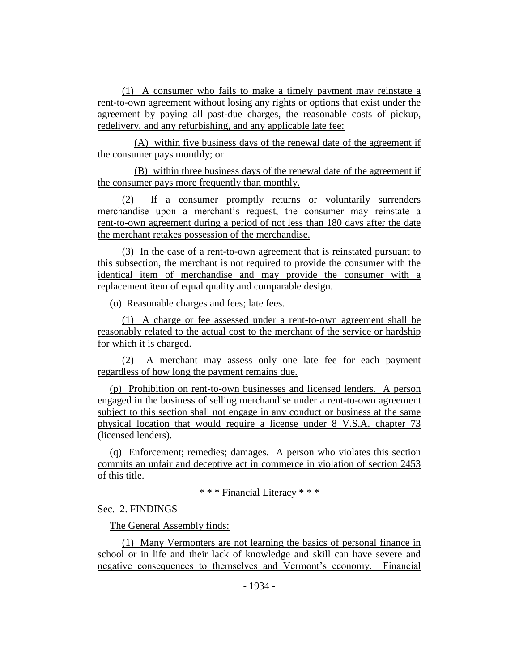(1) A consumer who fails to make a timely payment may reinstate a rent-to-own agreement without losing any rights or options that exist under the agreement by paying all past-due charges, the reasonable costs of pickup, redelivery, and any refurbishing, and any applicable late fee:

(A) within five business days of the renewal date of the agreement if the consumer pays monthly; or

(B) within three business days of the renewal date of the agreement if the consumer pays more frequently than monthly.

(2) If a consumer promptly returns or voluntarily surrenders merchandise upon a merchant's request, the consumer may reinstate a rent-to-own agreement during a period of not less than 180 days after the date the merchant retakes possession of the merchandise.

(3) In the case of a rent-to-own agreement that is reinstated pursuant to this subsection, the merchant is not required to provide the consumer with the identical item of merchandise and may provide the consumer with a replacement item of equal quality and comparable design.

(o) Reasonable charges and fees; late fees.

(1) A charge or fee assessed under a rent-to-own agreement shall be reasonably related to the actual cost to the merchant of the service or hardship for which it is charged.

(2) A merchant may assess only one late fee for each payment regardless of how long the payment remains due.

(p) Prohibition on rent-to-own businesses and licensed lenders. A person engaged in the business of selling merchandise under a rent-to-own agreement subject to this section shall not engage in any conduct or business at the same physical location that would require a license under 8 V.S.A. chapter 73 (licensed lenders).

(q) Enforcement; remedies; damages. A person who violates this section commits an unfair and deceptive act in commerce in violation of section 2453 of this title.

\* \* \* Financial Literacy \* \* \*

Sec. 2. FINDINGS

The General Assembly finds:

(1) Many Vermonters are not learning the basics of personal finance in school or in life and their lack of knowledge and skill can have severe and negative consequences to themselves and Vermont's economy. Financial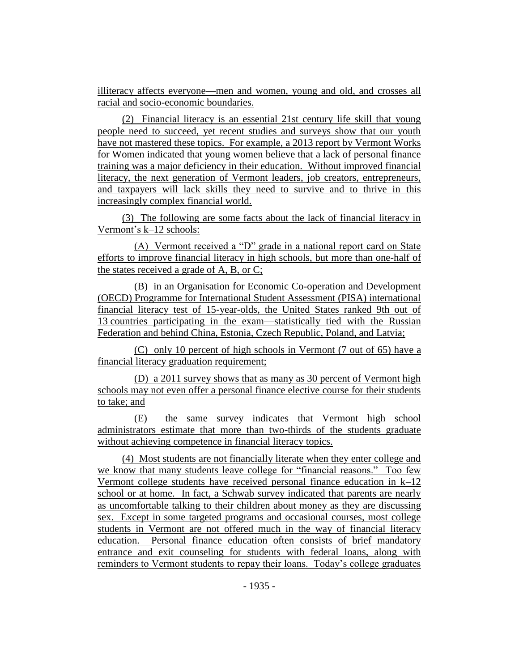illiteracy affects everyone—men and women, young and old, and crosses all racial and socio-economic boundaries.

(2) Financial literacy is an essential 21st century life skill that young people need to succeed, yet recent studies and surveys show that our youth have not mastered these topics. For example, a 2013 report by Vermont Works for Women indicated that young women believe that a lack of personal finance training was a major deficiency in their education. Without improved financial literacy, the next generation of Vermont leaders, job creators, entrepreneurs, and taxpayers will lack skills they need to survive and to thrive in this increasingly complex financial world.

(3) The following are some facts about the lack of financial literacy in Vermont's k–12 schools:

(A) Vermont received a "D" grade in a national report card on State efforts to improve financial literacy in high schools, but more than one-half of the states received a grade of A, B, or C;

(B) in an Organisation for Economic Co-operation and Development (OECD) Programme for International Student Assessment (PISA) international financial literacy test of 15-year-olds, the United States ranked 9th out of 13 countries participating in the exam—statistically tied with the Russian Federation and behind China, Estonia, Czech Republic, Poland, and Latvia;

(C) only 10 percent of high schools in Vermont (7 out of 65) have a financial literacy graduation requirement;

(D) a 2011 survey shows that as many as 30 percent of Vermont high schools may not even offer a personal finance elective course for their students to take; and

(E) the same survey indicates that Vermont high school administrators estimate that more than two-thirds of the students graduate without achieving competence in financial literacy topics.

(4) Most students are not financially literate when they enter college and we know that many students leave college for "financial reasons." Too few Vermont college students have received personal finance education in k–12 school or at home. In fact, a Schwab survey indicated that parents are nearly as uncomfortable talking to their children about money as they are discussing sex. Except in some targeted programs and occasional courses, most college students in Vermont are not offered much in the way of financial literacy education. Personal finance education often consists of brief mandatory entrance and exit counseling for students with federal loans, along with reminders to Vermont students to repay their loans. Today's college graduates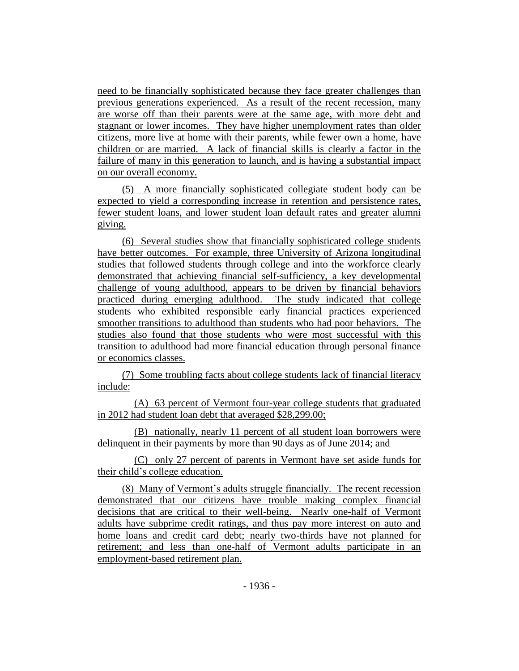need to be financially sophisticated because they face greater challenges than previous generations experienced. As a result of the recent recession, many are worse off than their parents were at the same age, with more debt and stagnant or lower incomes. They have higher unemployment rates than older citizens, more live at home with their parents, while fewer own a home, have children or are married. A lack of financial skills is clearly a factor in the failure of many in this generation to launch, and is having a substantial impact on our overall economy.

(5) A more financially sophisticated collegiate student body can be expected to yield a corresponding increase in retention and persistence rates, fewer student loans, and lower student loan default rates and greater alumni giving.

(6) Several studies show that financially sophisticated college students have better outcomes. For example, three University of Arizona longitudinal studies that followed students through college and into the workforce clearly demonstrated that achieving financial self-sufficiency, a key developmental challenge of young adulthood, appears to be driven by financial behaviors practiced during emerging adulthood. The study indicated that college students who exhibited responsible early financial practices experienced smoother transitions to adulthood than students who had poor behaviors. The studies also found that those students who were most successful with this transition to adulthood had more financial education through personal finance or economics classes.

(7) Some troubling facts about college students lack of financial literacy include:

(A) 63 percent of Vermont four-year college students that graduated in 2012 had student loan debt that averaged \$28,299.00;

(B) nationally, nearly 11 percent of all student loan borrowers were delinquent in their payments by more than 90 days as of June 2014; and

(C) only 27 percent of parents in Vermont have set aside funds for their child's college education.

(8) Many of Vermont's adults struggle financially. The recent recession demonstrated that our citizens have trouble making complex financial decisions that are critical to their well-being. Nearly one-half of Vermont adults have subprime credit ratings, and thus pay more interest on auto and home loans and credit card debt; nearly two-thirds have not planned for retirement; and less than one-half of Vermont adults participate in an employment-based retirement plan.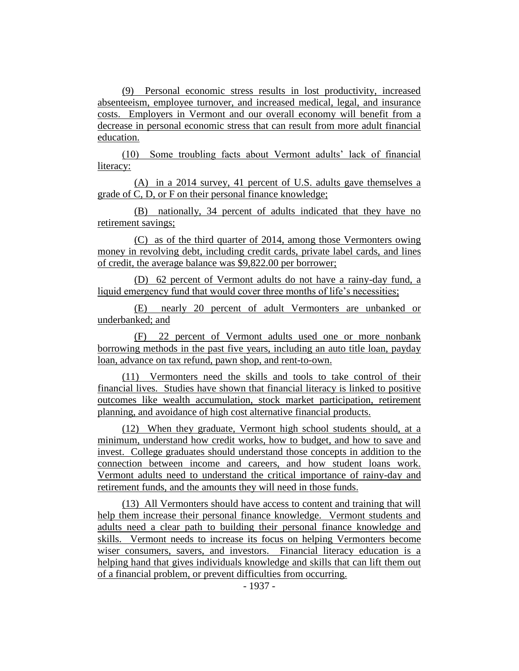(9) Personal economic stress results in lost productivity, increased absenteeism, employee turnover, and increased medical, legal, and insurance costs. Employers in Vermont and our overall economy will benefit from a decrease in personal economic stress that can result from more adult financial education.

(10) Some troubling facts about Vermont adults' lack of financial literacy:

(A) in a 2014 survey, 41 percent of U.S. adults gave themselves a grade of C, D, or F on their personal finance knowledge;

(B) nationally, 34 percent of adults indicated that they have no retirement savings;

(C) as of the third quarter of 2014, among those Vermonters owing money in revolving debt, including credit cards, private label cards, and lines of credit, the average balance was \$9,822.00 per borrower;

(D) 62 percent of Vermont adults do not have a rainy-day fund, a liquid emergency fund that would cover three months of life's necessities;

(E) nearly 20 percent of adult Vermonters are unbanked or underbanked; and

(F) 22 percent of Vermont adults used one or more nonbank borrowing methods in the past five years, including an auto title loan, payday loan, advance on tax refund, pawn shop, and rent-to-own.

(11) Vermonters need the skills and tools to take control of their financial lives. Studies have shown that financial literacy is linked to positive outcomes like wealth accumulation, stock market participation, retirement planning, and avoidance of high cost alternative financial products.

(12) When they graduate, Vermont high school students should, at a minimum, understand how credit works, how to budget, and how to save and invest. College graduates should understand those concepts in addition to the connection between income and careers, and how student loans work. Vermont adults need to understand the critical importance of rainy-day and retirement funds, and the amounts they will need in those funds.

(13) All Vermonters should have access to content and training that will help them increase their personal finance knowledge. Vermont students and adults need a clear path to building their personal finance knowledge and skills. Vermont needs to increase its focus on helping Vermonters become wiser consumers, savers, and investors. Financial literacy education is a helping hand that gives individuals knowledge and skills that can lift them out of a financial problem, or prevent difficulties from occurring.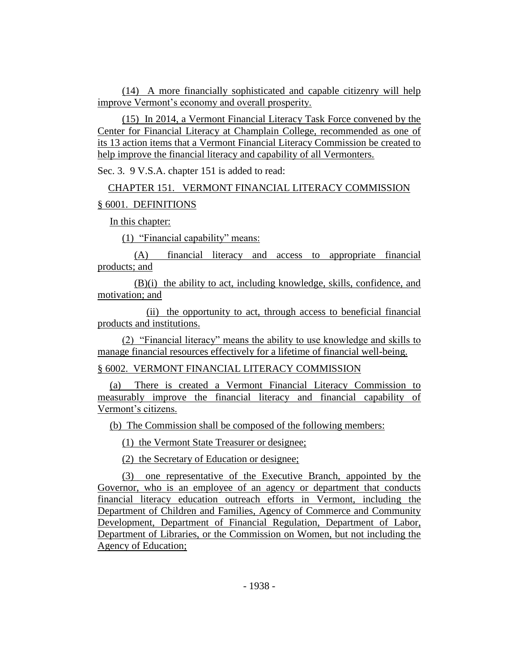(14) A more financially sophisticated and capable citizenry will help improve Vermont's economy and overall prosperity.

(15) In 2014, a Vermont Financial Literacy Task Force convened by the Center for Financial Literacy at Champlain College, recommended as one of its 13 action items that a Vermont Financial Literacy Commission be created to help improve the financial literacy and capability of all Vermonters.

Sec. 3. 9 V.S.A. chapter 151 is added to read:

CHAPTER 151. VERMONT FINANCIAL LITERACY COMMISSION § 6001. DEFINITIONS

In this chapter:

(1) "Financial capability" means:

(A) financial literacy and access to appropriate financial products; and

(B)(i) the ability to act, including knowledge, skills, confidence, and motivation; and

(ii) the opportunity to act, through access to beneficial financial products and institutions.

(2) "Financial literacy" means the ability to use knowledge and skills to manage financial resources effectively for a lifetime of financial well-being.

§ 6002. VERMONT FINANCIAL LITERACY COMMISSION

(a) There is created a Vermont Financial Literacy Commission to measurably improve the financial literacy and financial capability of Vermont's citizens.

(b) The Commission shall be composed of the following members:

(1) the Vermont State Treasurer or designee;

(2) the Secretary of Education or designee;

(3) one representative of the Executive Branch, appointed by the Governor, who is an employee of an agency or department that conducts financial literacy education outreach efforts in Vermont, including the Department of Children and Families, Agency of Commerce and Community Development, Department of Financial Regulation, Department of Labor, Department of Libraries, or the Commission on Women, but not including the Agency of Education;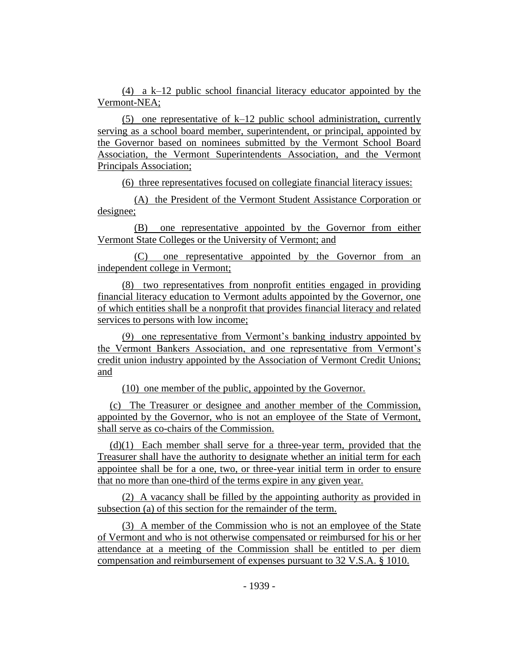(4) a k–12 public school financial literacy educator appointed by the Vermont-NEA;

(5) one representative of k–12 public school administration, currently serving as a school board member, superintendent, or principal, appointed by the Governor based on nominees submitted by the Vermont School Board Association, the Vermont Superintendents Association, and the Vermont Principals Association;

(6) three representatives focused on collegiate financial literacy issues:

(A) the President of the Vermont Student Assistance Corporation or designee;

(B) one representative appointed by the Governor from either Vermont State Colleges or the University of Vermont; and

(C) one representative appointed by the Governor from an independent college in Vermont;

(8) two representatives from nonprofit entities engaged in providing financial literacy education to Vermont adults appointed by the Governor, one of which entities shall be a nonprofit that provides financial literacy and related services to persons with low income;

(9) one representative from Vermont's banking industry appointed by the Vermont Bankers Association, and one representative from Vermont's credit union industry appointed by the Association of Vermont Credit Unions; and

(10) one member of the public, appointed by the Governor.

(c) The Treasurer or designee and another member of the Commission, appointed by the Governor, who is not an employee of the State of Vermont, shall serve as co-chairs of the Commission.

(d)(1) Each member shall serve for a three-year term, provided that the Treasurer shall have the authority to designate whether an initial term for each appointee shall be for a one, two, or three-year initial term in order to ensure that no more than one-third of the terms expire in any given year.

(2) A vacancy shall be filled by the appointing authority as provided in subsection (a) of this section for the remainder of the term.

(3) A member of the Commission who is not an employee of the State of Vermont and who is not otherwise compensated or reimbursed for his or her attendance at a meeting of the Commission shall be entitled to per diem compensation and reimbursement of expenses pursuant to 32 V.S.A. § 1010.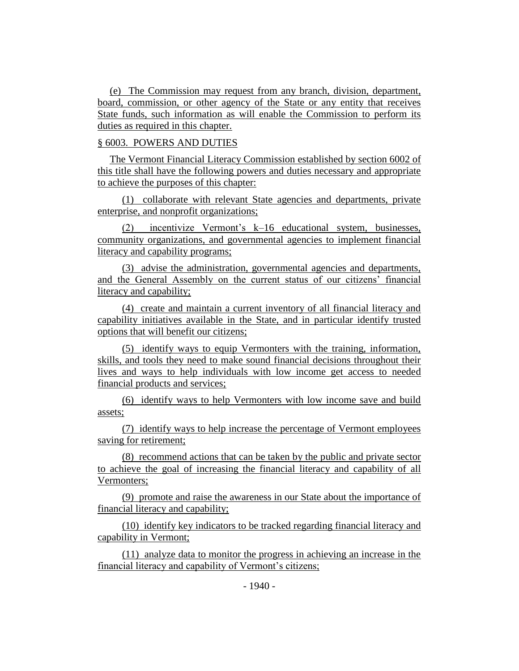(e) The Commission may request from any branch, division, department, board, commission, or other agency of the State or any entity that receives State funds, such information as will enable the Commission to perform its duties as required in this chapter.

## § 6003. POWERS AND DUTIES

The Vermont Financial Literacy Commission established by section 6002 of this title shall have the following powers and duties necessary and appropriate to achieve the purposes of this chapter:

(1) collaborate with relevant State agencies and departments, private enterprise, and nonprofit organizations;

(2) incentivize Vermont's k–16 educational system, businesses, community organizations, and governmental agencies to implement financial literacy and capability programs;

(3) advise the administration, governmental agencies and departments, and the General Assembly on the current status of our citizens' financial literacy and capability;

(4) create and maintain a current inventory of all financial literacy and capability initiatives available in the State, and in particular identify trusted options that will benefit our citizens;

(5) identify ways to equip Vermonters with the training, information, skills, and tools they need to make sound financial decisions throughout their lives and ways to help individuals with low income get access to needed financial products and services;

(6) identify ways to help Vermonters with low income save and build assets;

(7) identify ways to help increase the percentage of Vermont employees saving for retirement;

(8) recommend actions that can be taken by the public and private sector to achieve the goal of increasing the financial literacy and capability of all Vermonters;

(9) promote and raise the awareness in our State about the importance of financial literacy and capability;

(10) identify key indicators to be tracked regarding financial literacy and capability in Vermont;

(11) analyze data to monitor the progress in achieving an increase in the financial literacy and capability of Vermont's citizens;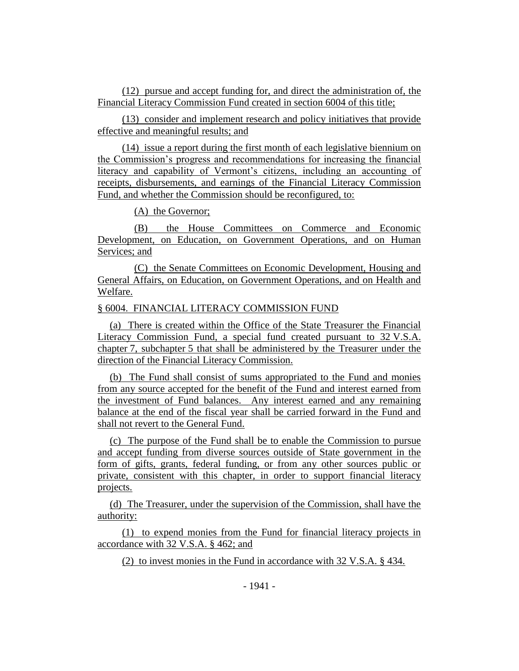(12) pursue and accept funding for, and direct the administration of, the Financial Literacy Commission Fund created in section 6004 of this title;

(13) consider and implement research and policy initiatives that provide effective and meaningful results; and

(14) issue a report during the first month of each legislative biennium on the Commission's progress and recommendations for increasing the financial literacy and capability of Vermont's citizens, including an accounting of receipts, disbursements, and earnings of the Financial Literacy Commission Fund, and whether the Commission should be reconfigured, to:

(A) the Governor;

(B) the House Committees on Commerce and Economic Development, on Education, on Government Operations, and on Human Services; and

(C) the Senate Committees on Economic Development, Housing and General Affairs, on Education, on Government Operations, and on Health and Welfare.

## § 6004. FINANCIAL LITERACY COMMISSION FUND

(a) There is created within the Office of the State Treasurer the Financial Literacy Commission Fund, a special fund created pursuant to 32 V.S.A. chapter 7, subchapter 5 that shall be administered by the Treasurer under the direction of the Financial Literacy Commission.

(b) The Fund shall consist of sums appropriated to the Fund and monies from any source accepted for the benefit of the Fund and interest earned from the investment of Fund balances. Any interest earned and any remaining balance at the end of the fiscal year shall be carried forward in the Fund and shall not revert to the General Fund.

(c) The purpose of the Fund shall be to enable the Commission to pursue and accept funding from diverse sources outside of State government in the form of gifts, grants, federal funding, or from any other sources public or private, consistent with this chapter, in order to support financial literacy projects.

(d) The Treasurer, under the supervision of the Commission, shall have the authority:

(1) to expend monies from the Fund for financial literacy projects in accordance with 32 V.S.A. § 462; and

(2) to invest monies in the Fund in accordance with 32 V.S.A. § 434.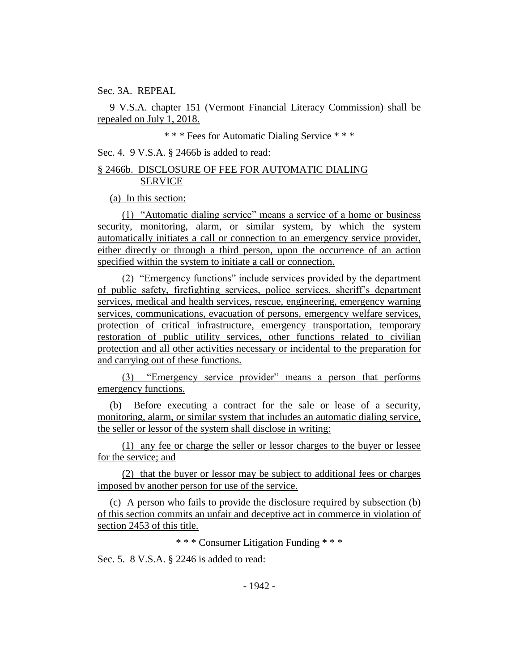Sec. 3A. REPEAL

9 V.S.A. chapter 151 (Vermont Financial Literacy Commission) shall be repealed on July 1, 2018.

\* \* \* Fees for Automatic Dialing Service \* \* \*

Sec. 4. 9 V.S.A. § 2466b is added to read:

# § 2466b. DISCLOSURE OF FEE FOR AUTOMATIC DIALING SERVICE

(a) In this section:

(1) "Automatic dialing service" means a service of a home or business security, monitoring, alarm, or similar system, by which the system automatically initiates a call or connection to an emergency service provider, either directly or through a third person, upon the occurrence of an action specified within the system to initiate a call or connection.

(2) "Emergency functions" include services provided by the department of public safety, firefighting services, police services, sheriff's department services, medical and health services, rescue, engineering, emergency warning services, communications, evacuation of persons, emergency welfare services, protection of critical infrastructure, emergency transportation, temporary restoration of public utility services, other functions related to civilian protection and all other activities necessary or incidental to the preparation for and carrying out of these functions.

(3) "Emergency service provider" means a person that performs emergency functions.

(b) Before executing a contract for the sale or lease of a security, monitoring, alarm, or similar system that includes an automatic dialing service, the seller or lessor of the system shall disclose in writing:

(1) any fee or charge the seller or lessor charges to the buyer or lessee for the service; and

(2) that the buyer or lessor may be subject to additional fees or charges imposed by another person for use of the service.

(c) A person who fails to provide the disclosure required by subsection (b) of this section commits an unfair and deceptive act in commerce in violation of section 2453 of this title.

\* \* \* Consumer Litigation Funding \* \* \*

Sec. 5. 8 V.S.A. § 2246 is added to read: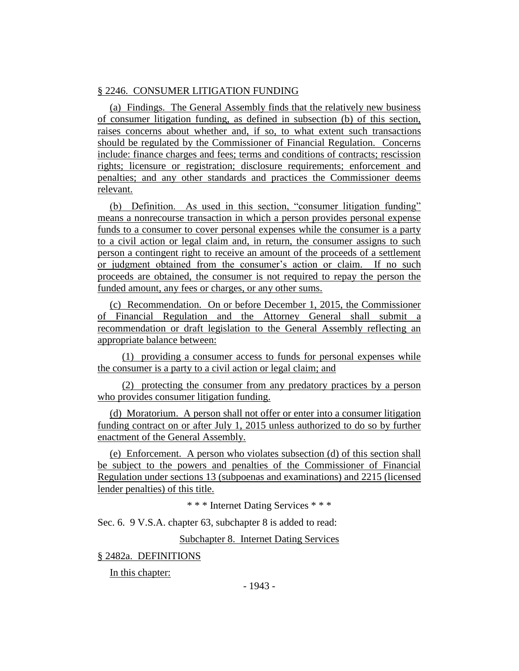# § 2246. CONSUMER LITIGATION FUNDING

(a) Findings. The General Assembly finds that the relatively new business of consumer litigation funding, as defined in subsection (b) of this section, raises concerns about whether and, if so, to what extent such transactions should be regulated by the Commissioner of Financial Regulation. Concerns include: finance charges and fees; terms and conditions of contracts; rescission rights; licensure or registration; disclosure requirements; enforcement and penalties; and any other standards and practices the Commissioner deems relevant.

(b) Definition. As used in this section, "consumer litigation funding" means a nonrecourse transaction in which a person provides personal expense funds to a consumer to cover personal expenses while the consumer is a party to a civil action or legal claim and, in return, the consumer assigns to such person a contingent right to receive an amount of the proceeds of a settlement or judgment obtained from the consumer's action or claim. If no such proceeds are obtained, the consumer is not required to repay the person the funded amount, any fees or charges, or any other sums.

(c) Recommendation. On or before December 1, 2015, the Commissioner of Financial Regulation and the Attorney General shall submit a recommendation or draft legislation to the General Assembly reflecting an appropriate balance between:

(1) providing a consumer access to funds for personal expenses while the consumer is a party to a civil action or legal claim; and

(2) protecting the consumer from any predatory practices by a person who provides consumer litigation funding.

(d) Moratorium. A person shall not offer or enter into a consumer litigation funding contract on or after July 1, 2015 unless authorized to do so by further enactment of the General Assembly.

(e) Enforcement. A person who violates subsection (d) of this section shall be subject to the powers and penalties of the Commissioner of Financial Regulation under sections 13 (subpoenas and examinations) and 2215 (licensed lender penalties) of this title.

\* \* \* Internet Dating Services \* \* \*

Sec. 6. 9 V.S.A. chapter 63, subchapter 8 is added to read:

Subchapter 8. Internet Dating Services

§ 2482a. DEFINITIONS

In this chapter: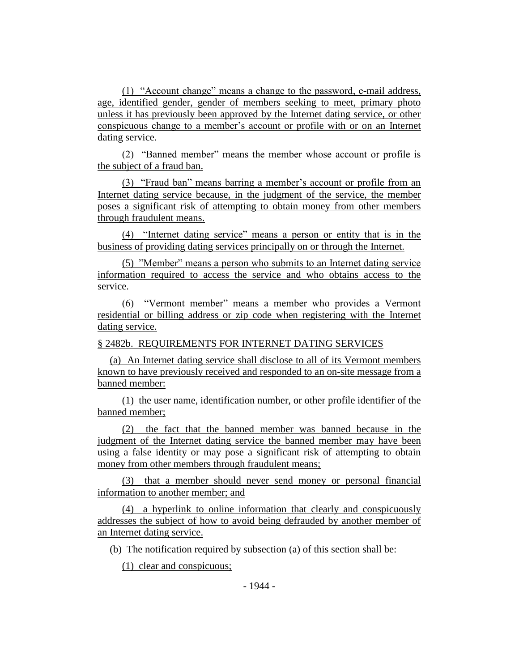(1) "Account change" means a change to the password, e-mail address, age, identified gender, gender of members seeking to meet, primary photo unless it has previously been approved by the Internet dating service, or other conspicuous change to a member's account or profile with or on an Internet dating service.

(2) "Banned member" means the member whose account or profile is the subject of a fraud ban.

(3) "Fraud ban" means barring a member's account or profile from an Internet dating service because, in the judgment of the service, the member poses a significant risk of attempting to obtain money from other members through fraudulent means.

(4) "Internet dating service" means a person or entity that is in the business of providing dating services principally on or through the Internet.

(5) "Member" means a person who submits to an Internet dating service information required to access the service and who obtains access to the service.

(6) "Vermont member" means a member who provides a Vermont residential or billing address or zip code when registering with the Internet dating service.

§ 2482b. REQUIREMENTS FOR INTERNET DATING SERVICES

(a) An Internet dating service shall disclose to all of its Vermont members known to have previously received and responded to an on-site message from a banned member:

(1) the user name, identification number, or other profile identifier of the banned member;

(2) the fact that the banned member was banned because in the judgment of the Internet dating service the banned member may have been using a false identity or may pose a significant risk of attempting to obtain money from other members through fraudulent means;

(3) that a member should never send money or personal financial information to another member; and

(4) a hyperlink to online information that clearly and conspicuously addresses the subject of how to avoid being defrauded by another member of an Internet dating service.

(b) The notification required by subsection (a) of this section shall be:

(1) clear and conspicuous;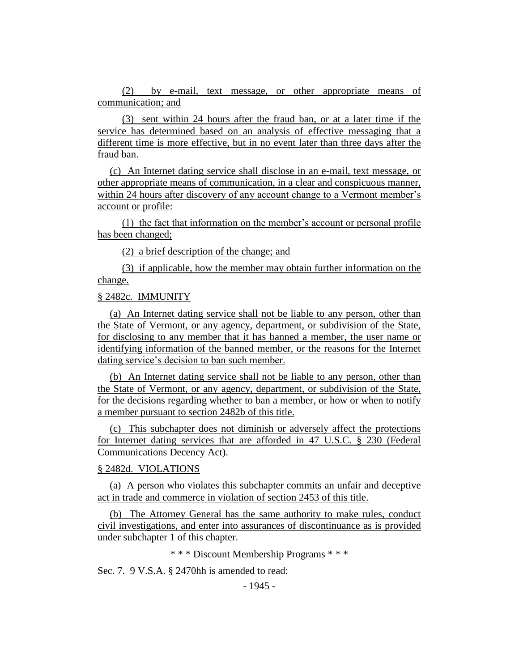(2) by e-mail, text message, or other appropriate means of communication; and

(3) sent within 24 hours after the fraud ban, or at a later time if the service has determined based on an analysis of effective messaging that a different time is more effective, but in no event later than three days after the fraud ban.

(c) An Internet dating service shall disclose in an e-mail, text message, or other appropriate means of communication, in a clear and conspicuous manner, within 24 hours after discovery of any account change to a Vermont member's account or profile:

(1) the fact that information on the member's account or personal profile has been changed;

(2) a brief description of the change; and

(3) if applicable, how the member may obtain further information on the change.

## § 2482c. IMMUNITY

(a) An Internet dating service shall not be liable to any person, other than the State of Vermont, or any agency, department, or subdivision of the State, for disclosing to any member that it has banned a member, the user name or identifying information of the banned member, or the reasons for the Internet dating service's decision to ban such member.

(b) An Internet dating service shall not be liable to any person, other than the State of Vermont, or any agency, department, or subdivision of the State, for the decisions regarding whether to ban a member, or how or when to notify a member pursuant to section 2482b of this title.

(c) This subchapter does not diminish or adversely affect the protections for Internet dating services that are afforded in 47 U.S.C. § 230 (Federal Communications Decency Act).

#### § 2482d. VIOLATIONS

(a) A person who violates this subchapter commits an unfair and deceptive act in trade and commerce in violation of section 2453 of this title.

(b) The Attorney General has the same authority to make rules, conduct civil investigations, and enter into assurances of discontinuance as is provided under subchapter 1 of this chapter.

\* \* \* Discount Membership Programs \* \* \*

Sec. 7. 9 V.S.A. § 2470hh is amended to read: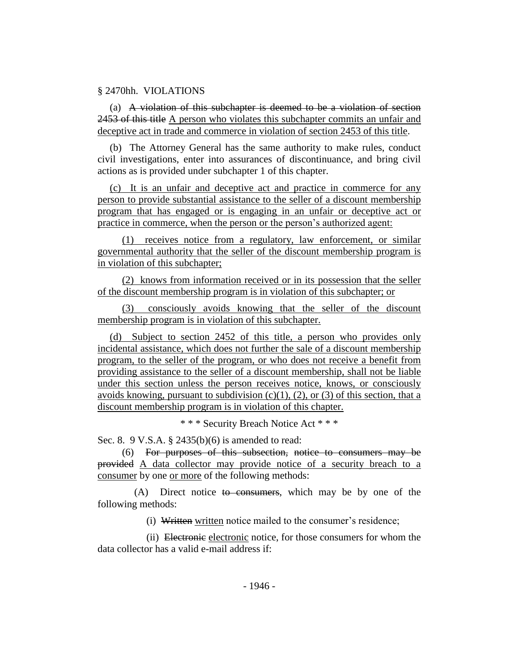### § 2470hh. VIOLATIONS

(a) A violation of this subchapter is deemed to be a violation of section 2453 of this title A person who violates this subchapter commits an unfair and deceptive act in trade and commerce in violation of section 2453 of this title.

(b) The Attorney General has the same authority to make rules, conduct civil investigations, enter into assurances of discontinuance, and bring civil actions as is provided under subchapter 1 of this chapter.

(c) It is an unfair and deceptive act and practice in commerce for any person to provide substantial assistance to the seller of a discount membership program that has engaged or is engaging in an unfair or deceptive act or practice in commerce, when the person or the person's authorized agent:

(1) receives notice from a regulatory, law enforcement, or similar governmental authority that the seller of the discount membership program is in violation of this subchapter;

(2) knows from information received or in its possession that the seller of the discount membership program is in violation of this subchapter; or

(3) consciously avoids knowing that the seller of the discount membership program is in violation of this subchapter.

(d) Subject to section 2452 of this title, a person who provides only incidental assistance, which does not further the sale of a discount membership program, to the seller of the program, or who does not receive a benefit from providing assistance to the seller of a discount membership, shall not be liable under this section unless the person receives notice, knows, or consciously avoids knowing, pursuant to subdivision  $(c)(1)$ ,  $(2)$ , or  $(3)$  of this section, that a discount membership program is in violation of this chapter.

\* \* \* Security Breach Notice Act \* \* \*

Sec. 8. 9 V.S.A. § 2435(b)(6) is amended to read:

(6) For purposes of this subsection, notice to consumers may be provided A data collector may provide notice of a security breach to a consumer by one or more of the following methods:

 $(A)$  Direct notice to consumers, which may be by one of the following methods:

(i) Written written notice mailed to the consumer's residence;

(ii) Electronic electronic notice, for those consumers for whom the data collector has a valid e-mail address if: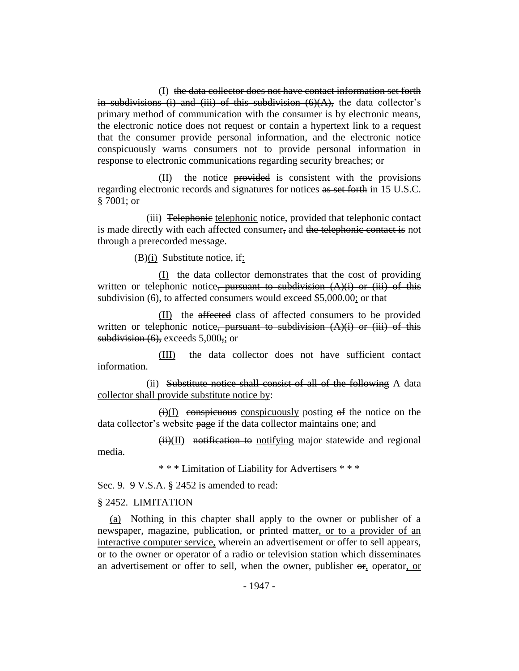(I) the data collector does not have contact information set forth in subdivisions (i) and (iii) of this subdivision  $(6)(A)$ , the data collector's primary method of communication with the consumer is by electronic means, the electronic notice does not request or contain a hypertext link to a request that the consumer provide personal information, and the electronic notice conspicuously warns consumers not to provide personal information in response to electronic communications regarding security breaches; or

(II) the notice provided is consistent with the provisions regarding electronic records and signatures for notices as set forth in 15 U.S.C. § 7001; or

(iii) Telephonic telephonic notice, provided that telephonic contact is made directly with each affected consumer, and the telephonic contact is not through a prerecorded message.

(B)(i) Substitute notice, if:

(I) the data collector demonstrates that the cost of providing written or telephonic notice, pursuant to subdivision  $(A)(i)$  or (iii) of this subdivision (6), to affected consumers would exceed \$5,000.00; or that

(II) the affected class of affected consumers to be provided written or telephonic notice, pursuant to subdivision  $(A)(i)$  or (iii) of this subdivision  $(6)$ , exceeds  $5,000$ ,; or

(III) the data collector does not have sufficient contact information.

(ii) Substitute notice shall consist of all of the following A data collector shall provide substitute notice by:

 $(ii)(I)$  conspicuous conspicuously posting of the notice on the data collector's website page if the data collector maintains one; and

 $(ii)(II)$  notification to notifying major statewide and regional media.

\* \* \* Limitation of Liability for Advertisers \* \* \*

Sec. 9. 9 V.S.A. § 2452 is amended to read:

### § 2452. LIMITATION

(a) Nothing in this chapter shall apply to the owner or publisher of a newspaper, magazine, publication, or printed matter, or to a provider of an interactive computer service, wherein an advertisement or offer to sell appears, or to the owner or operator of a radio or television station which disseminates an advertisement or offer to sell, when the owner, publisher or, operator, or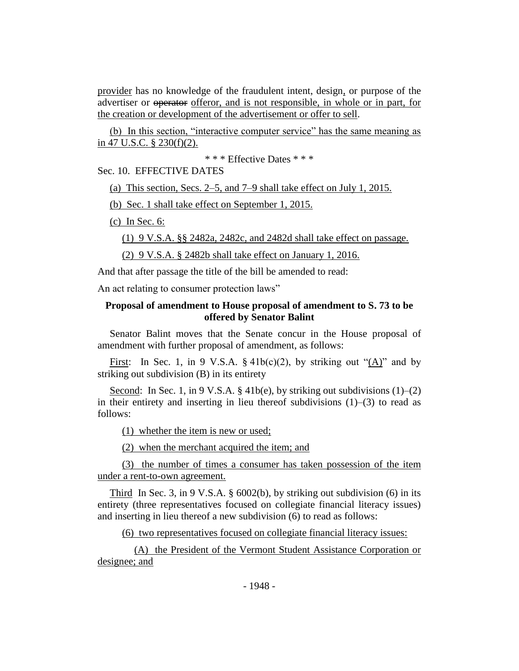provider has no knowledge of the fraudulent intent, design, or purpose of the advertiser or operator offeror, and is not responsible, in whole or in part, for the creation or development of the advertisement or offer to sell.

(b) In this section, "interactive computer service" has the same meaning as in 47 U.S.C. § 230(f)(2).

\* \* \* Effective Dates \* \* \*

Sec. 10. EFFECTIVE DATES

(a) This section, Secs. 2–5, and 7–9 shall take effect on July 1, 2015.

(b) Sec. 1 shall take effect on September 1, 2015.

(c) In Sec. 6:

(1) 9 V.S.A. §§ 2482a, 2482c, and 2482d shall take effect on passage.

(2) 9 V.S.A. § 2482b shall take effect on January 1, 2016.

And that after passage the title of the bill be amended to read:

An act relating to consumer protection laws"

## **Proposal of amendment to House proposal of amendment to S. 73 to be offered by Senator Balint**

Senator Balint moves that the Senate concur in the House proposal of amendment with further proposal of amendment, as follows:

First: In Sec. 1, in 9 V.S.A.  $\S$  41b(c)(2), by striking out "(A)" and by striking out subdivision (B) in its entirety

Second: In Sec. 1, in 9 V.S.A.  $\S$  41b(e), by striking out subdivisions (1)–(2) in their entirety and inserting in lieu thereof subdivisions (1)–(3) to read as follows:

(1) whether the item is new or used;

(2) when the merchant acquired the item; and

(3) the number of times a consumer has taken possession of the item under a rent-to-own agreement.

Third In Sec. 3, in 9 V.S.A.  $\S$  6002(b), by striking out subdivision (6) in its entirety (three representatives focused on collegiate financial literacy issues) and inserting in lieu thereof a new subdivision (6) to read as follows:

(6) two representatives focused on collegiate financial literacy issues:

(A) the President of the Vermont Student Assistance Corporation or designee; and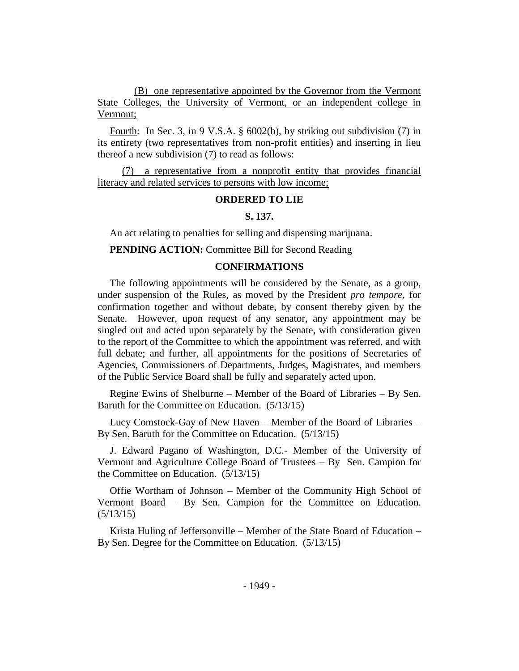(B) one representative appointed by the Governor from the Vermont State Colleges, the University of Vermont, or an independent college in Vermont;

Fourth: In Sec. 3, in 9 V.S.A. § 6002(b), by striking out subdivision (7) in its entirety (two representatives from non-profit entities) and inserting in lieu thereof a new subdivision (7) to read as follows:

(7) a representative from a nonprofit entity that provides financial literacy and related services to persons with low income;

#### **ORDERED TO LIE**

### **S. 137.**

An act relating to penalties for selling and dispensing marijuana.

**PENDING ACTION:** Committee Bill for Second Reading

#### **CONFIRMATIONS**

The following appointments will be considered by the Senate, as a group, under suspension of the Rules, as moved by the President *pro tempore,* for confirmation together and without debate, by consent thereby given by the Senate. However, upon request of any senator, any appointment may be singled out and acted upon separately by the Senate, with consideration given to the report of the Committee to which the appointment was referred, and with full debate; and further, all appointments for the positions of Secretaries of Agencies, Commissioners of Departments, Judges, Magistrates, and members of the Public Service Board shall be fully and separately acted upon.

Regine Ewins of Shelburne – Member of the Board of Libraries – By Sen. Baruth for the Committee on Education. (5/13/15)

Lucy Comstock-Gay of New Haven – Member of the Board of Libraries – By Sen. Baruth for the Committee on Education. (5/13/15)

J. Edward Pagano of Washington, D.C.- Member of the University of Vermont and Agriculture College Board of Trustees – By Sen. Campion for the Committee on Education. (5/13/15)

Offie Wortham of Johnson – Member of the Community High School of Vermont Board – By Sen. Campion for the Committee on Education. (5/13/15)

Krista Huling of Jeffersonville – Member of the State Board of Education – By Sen. Degree for the Committee on Education. (5/13/15)